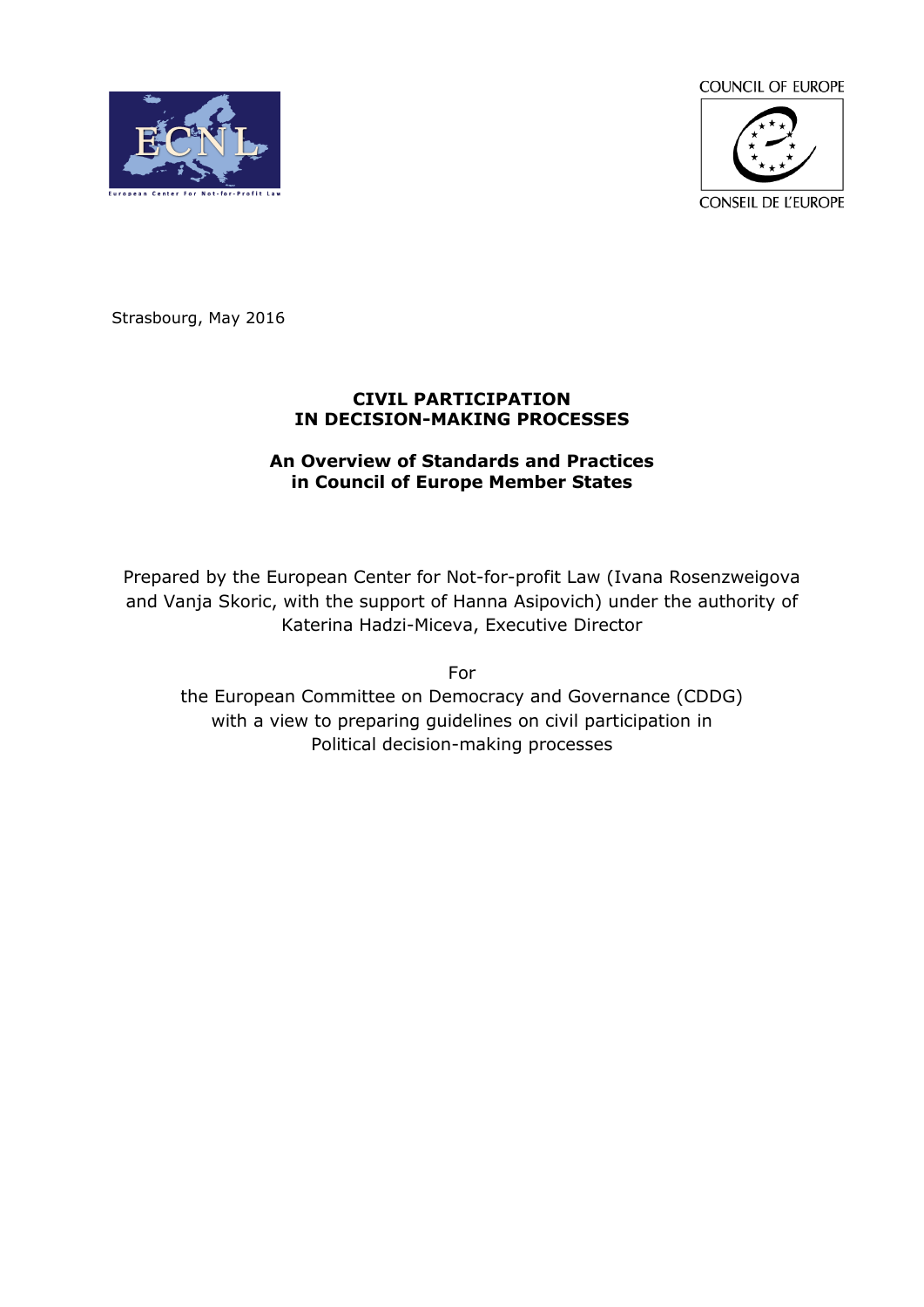**COUNCIL OF EUROPE** 





Strasbourg, May 2016

### **CIVIL PARTICIPATION IN DECISION-MAKING PROCESSES**

## **An Overview of Standards and Practices in Council of Europe Member States**

Prepared by the European Center for Not-for-profit Law (Ivana Rosenzweigova and Vanja Skoric, with the support of Hanna Asipovich) under the authority of Katerina Hadzi-Miceva, Executive Director

For

the European Committee on Democracy and Governance (CDDG) with a view to preparing guidelines on civil participation in Political decision-making processes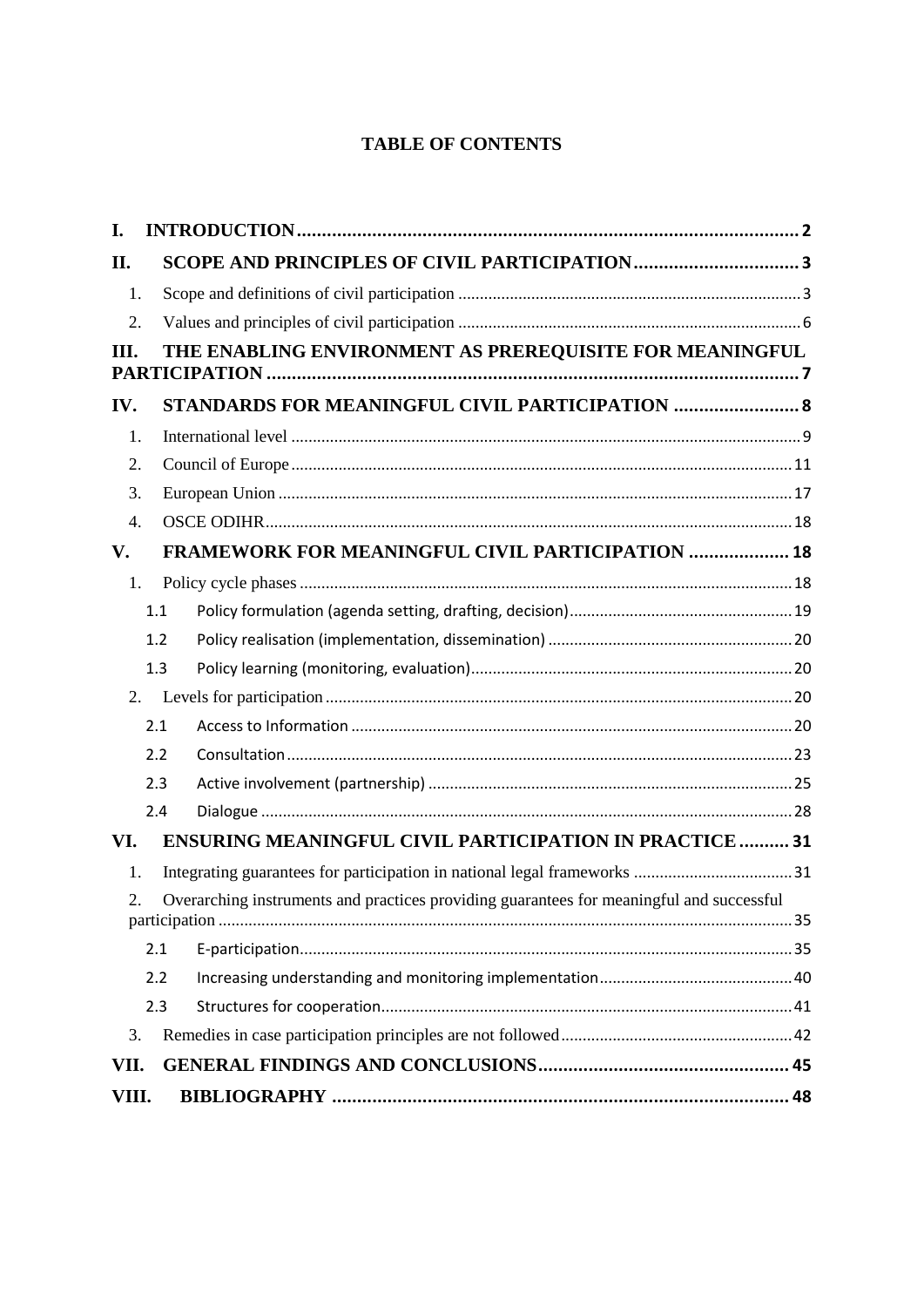# **TABLE OF CONTENTS**

| I.               |     |                                                                                          |  |
|------------------|-----|------------------------------------------------------------------------------------------|--|
| П.               |     |                                                                                          |  |
| 1.               |     |                                                                                          |  |
| 2.               |     |                                                                                          |  |
| III.             |     | THE ENABLING ENVIRONMENT AS PREREQUISITE FOR MEANINGFUL                                  |  |
| IV.              |     | STANDARDS FOR MEANINGFUL CIVIL PARTICIPATION  8                                          |  |
| 1.               |     |                                                                                          |  |
| 2.               |     |                                                                                          |  |
| 3.               |     |                                                                                          |  |
| $\overline{4}$ . |     |                                                                                          |  |
| V.               |     | <b>FRAMEWORK FOR MEANINGFUL CIVIL PARTICIPATION  18</b>                                  |  |
| 1.               |     |                                                                                          |  |
|                  | 1.1 |                                                                                          |  |
|                  | 1.2 |                                                                                          |  |
|                  | 1.3 |                                                                                          |  |
|                  | 2.  |                                                                                          |  |
|                  | 2.1 |                                                                                          |  |
|                  | 2.2 |                                                                                          |  |
|                  | 2.3 |                                                                                          |  |
|                  | 2.4 |                                                                                          |  |
| VI.              |     | <b>ENSURING MEANINGFUL CIVIL PARTICIPATION IN PRACTICE  31</b>                           |  |
| 1.               |     |                                                                                          |  |
| 2.               |     | Overarching instruments and practices providing guarantees for meaningful and successful |  |
|                  | 2.1 |                                                                                          |  |
|                  | 2.2 |                                                                                          |  |
|                  | 2.3 |                                                                                          |  |
| 3.               |     |                                                                                          |  |
| VII.             |     |                                                                                          |  |
| VIII.            |     |                                                                                          |  |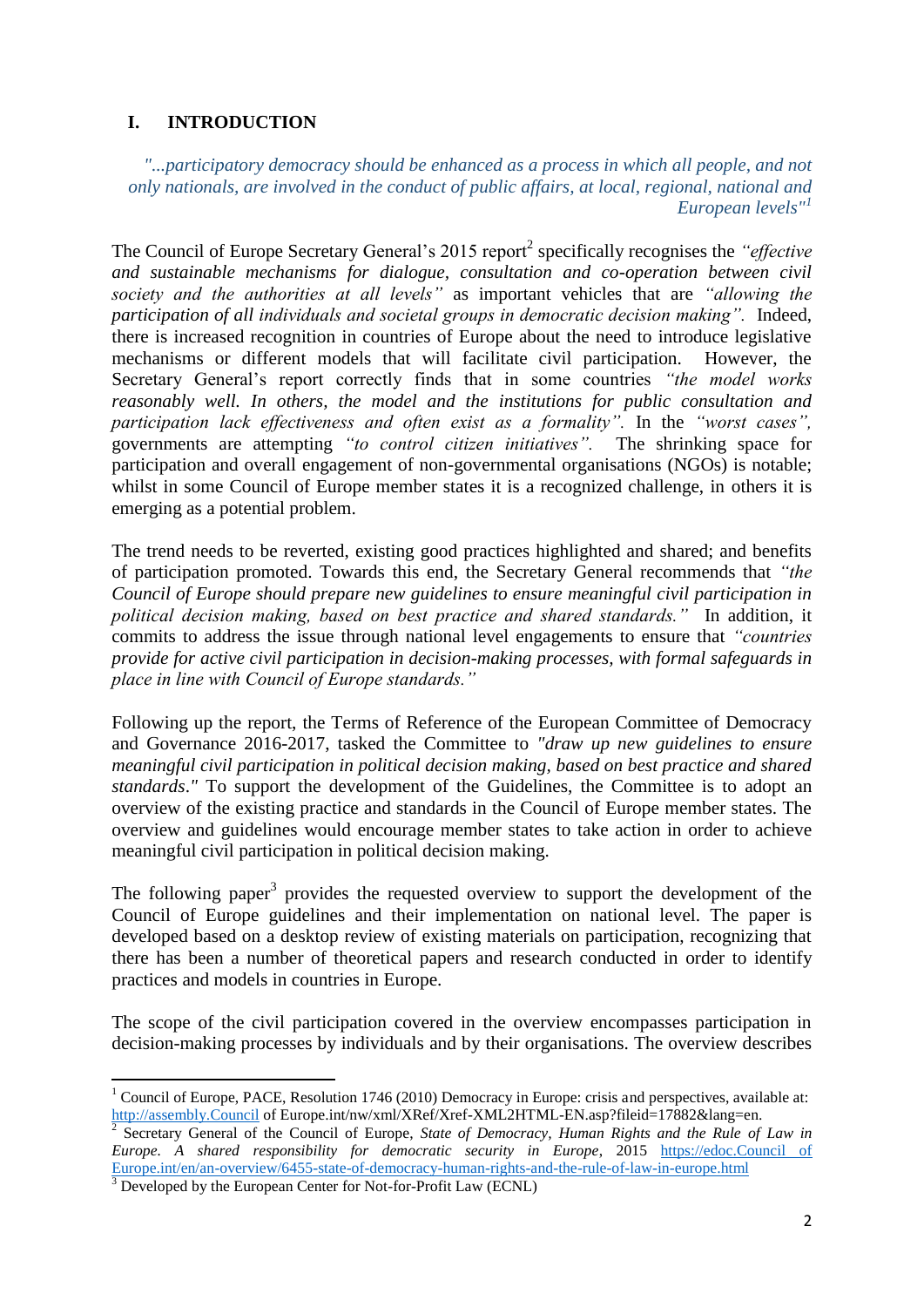# <span id="page-2-0"></span>**I. INTRODUCTION**

*"...participatory democracy should be enhanced as a process in which all people, and not only nationals, are involved in the conduct of public affairs, at local, regional, national and European levels"<sup>1</sup>*

The Council of Europe Secretary General's 2015 report<sup>2</sup> specifically recognises the *"effective and sustainable mechanisms for dialogue, consultation and co-operation between civil society and the authorities at all levels"* as important vehicles that are *"allowing the participation of all individuals and societal groups in democratic decision making".* Indeed, there is increased recognition in countries of Europe about the need to introduce legislative mechanisms or different models that will facilitate civil participation. However, the Secretary General's report correctly finds that in some countries *"the model works reasonably well. In others, the model and the institutions for public consultation and participation lack effectiveness and often exist as a formality".* In the *"worst cases",* governments are attempting *"to control citizen initiatives".* The shrinking space for participation and overall engagement of non-governmental organisations (NGOs) is notable; whilst in some Council of Europe member states it is a recognized challenge, in others it is emerging as a potential problem.

The trend needs to be reverted, existing good practices highlighted and shared; and benefits of participation promoted. Towards this end, the Secretary General recommends that *"the Council of Europe should prepare new guidelines to ensure meaningful civil participation in political decision making, based on best practice and shared standards."* In addition, it commits to address the issue through national level engagements to ensure that *"countries provide for active civil participation in decision-making processes, with formal safeguards in place in line with Council of Europe standards."*

Following up the report, the Terms of Reference of the European Committee of Democracy and Governance 2016-2017, tasked the Committee to *"draw up new guidelines to ensure meaningful civil participation in political decision making, based on best practice and shared standards*." To support the development of the Guidelines, the Committee is to adopt an overview of the existing practice and standards in the Council of Europe member states. The overview and guidelines would encourage member states to take action in order to achieve meaningful civil participation in political decision making.

The following paper<sup>3</sup> provides the requested overview to support the development of the Council of Europe guidelines and their implementation on national level. The paper is developed based on a desktop review of existing materials on participation, recognizing that there has been a number of theoretical papers and research conducted in order to identify practices and models in countries in Europe.

The scope of the civil participation covered in the overview encompasses participation in decision-making processes by individuals and by their organisations. The overview describes

1

 $1$  Council of Europe, PACE, Resolution 1746 (2010) Democracy in Europe: crisis and perspectives, available at: [http://assembly.Council](http://assembly.council/) of Europe.int/nw/xml/XRef/Xref-XML2HTML-EN.asp?fileid=17882&lang=en.

<sup>2</sup> Secretary General of the Council of Europe, *State of Democracy, Human Rights and the Rule of Law in Europe. A shared responsibility for democratic security in Europe*, 2015 [https://edoc.Council of](https://edoc.coe.int/en/an-overview/6455-state-of-democracy-human-rights-and-the-rule-of-law-in-europe.html)  [Europe.int/en/an-overview/6455-state-of-democracy-human-rights-and-the-rule-of-law-in-europe.html](https://edoc.coe.int/en/an-overview/6455-state-of-democracy-human-rights-and-the-rule-of-law-in-europe.html)

<sup>&</sup>lt;sup>3</sup> Developed by the European Center for Not-for-Profit Law (ECNL)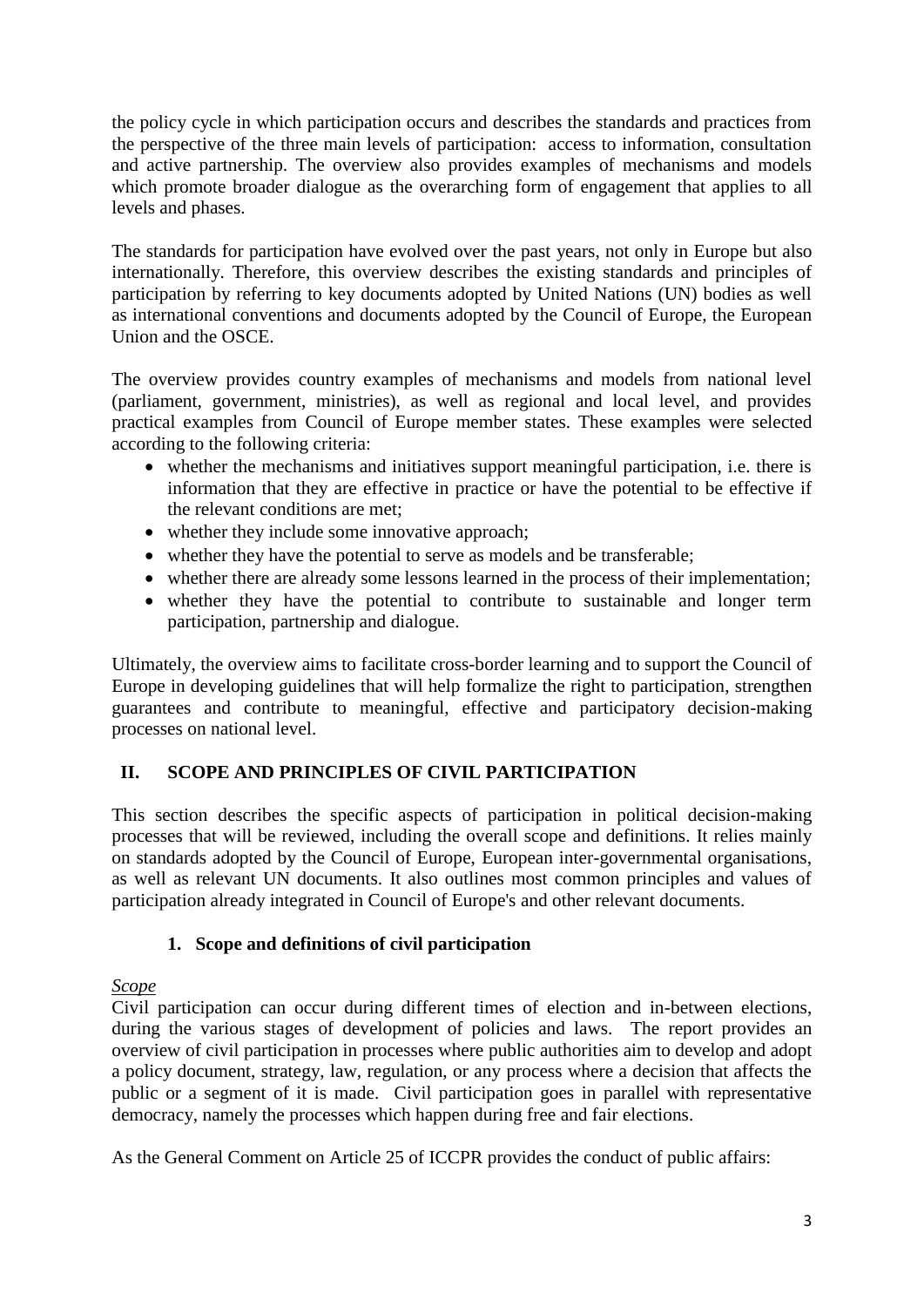the policy cycle in which participation occurs and describes the standards and practices from the perspective of the three main levels of participation: access to information, consultation and active partnership. The overview also provides examples of mechanisms and models which promote broader dialogue as the overarching form of engagement that applies to all levels and phases.

The standards for participation have evolved over the past years, not only in Europe but also internationally. Therefore, this overview describes the existing standards and principles of participation by referring to key documents adopted by United Nations (UN) bodies as well as international conventions and documents adopted by the Council of Europe, the European Union and the OSCE.

The overview provides country examples of mechanisms and models from national level (parliament, government, ministries), as well as regional and local level, and provides practical examples from Council of Europe member states. These examples were selected according to the following criteria:

- whether the mechanisms and initiatives support meaningful participation, i.e. there is information that they are effective in practice or have the potential to be effective if the relevant conditions are met;
- whether they include some innovative approach;
- whether they have the potential to serve as models and be transferable;
- whether there are already some lessons learned in the process of their implementation;
- whether they have the potential to contribute to sustainable and longer term participation, partnership and dialogue.

Ultimately, the overview aims to facilitate cross-border learning and to support the Council of Europe in developing guidelines that will help formalize the right to participation, strengthen guarantees and contribute to meaningful, effective and participatory decision-making processes on national level.

# <span id="page-3-0"></span>**II. SCOPE AND PRINCIPLES OF CIVIL PARTICIPATION**

This section describes the specific aspects of participation in political decision-making processes that will be reviewed, including the overall scope and definitions. It relies mainly on standards adopted by the Council of Europe, European inter-governmental organisations, as well as relevant UN documents. It also outlines most common principles and values of participation already integrated in Council of Europe's and other relevant documents.

## **1. Scope and definitions of civil participation**

## <span id="page-3-1"></span>*Scope*

Civil participation can occur during different times of election and in-between elections, during the various stages of development of policies and laws. The report provides an overview of civil participation in processes where public authorities aim to develop and adopt a policy document, strategy, law, regulation, or any process where a decision that affects the public or a segment of it is made. Civil participation goes in parallel with representative democracy, namely the processes which happen during free and fair elections.

As the General Comment on Article 25 of ICCPR provides the conduct of public affairs: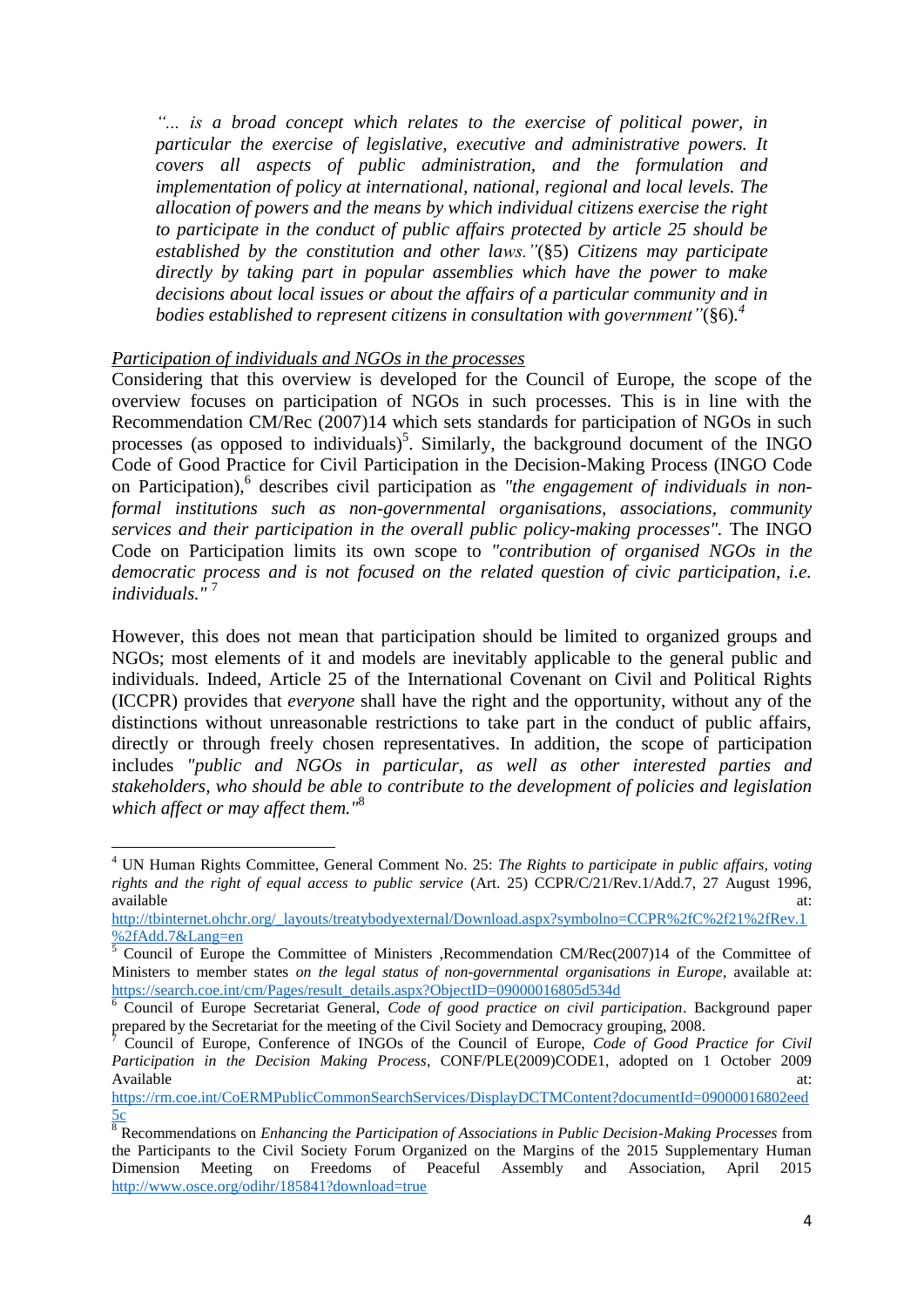*"... is a broad concept which relates to the exercise of political power, in particular the exercise of legislative, executive and administrative powers. It covers all aspects of public administration, and the formulation and implementation of policy at international, national, regional and local levels. The allocation of powers and the means by which individual citizens exercise the right to participate in the conduct of public affairs protected by article 25 should be established by the constitution and other laws."*(§5) *Citizens may participate directly by taking part in popular assemblies which have the power to make decisions about local issues or about the affairs of a particular community and in bodies established to represent citizens in consultation with government"*(§6)*. 4*

### *Participation of individuals and NGOs in the processes*

1

Considering that this overview is developed for the Council of Europe, the scope of the overview focuses on participation of NGOs in such processes. This is in line with the Recommendation CM/Rec (2007)14 which sets standards for participation of NGOs in such processes (as opposed to individuals)<sup>5</sup>. Similarly, the background document of the INGO Code of Good Practice for Civil Participation in the Decision-Making Process (INGO Code on Participation), 6 describes civil participation as *"the engagement of individuals in nonformal institutions such as non-governmental organisations, associations, community services and their participation in the overall public policy-making processes".* The INGO Code on Participation limits its own scope to *"contribution of organised NGOs in the democratic process and is not focused on the related question of civic participation, i.e. individuals."* <sup>7</sup>

However, this does not mean that participation should be limited to organized groups and NGOs; most elements of it and models are inevitably applicable to the general public and individuals. Indeed, Article 25 of the International Covenant on Civil and Political Rights (ICCPR) provides that *everyone* shall have the right and the opportunity, without any of the distinctions without unreasonable restrictions to take part in the conduct of public affairs, directly or through freely chosen representatives. In addition, the scope of participation includes *"public and NGOs in particular, as well as other interested parties and stakeholders, who should be able to contribute to the development of policies and legislation which affect or may affect them."*<sup>8</sup>

<sup>4</sup> UN Human Rights Committee, General Comment No. 25: *The Rights to participate in public affairs, voting rights and the right of equal access to public service* (Art. 25) CCPR/C/21/Rev.1/Add.7, 27 August 1996, available at:  $\overline{a}$  at:  $\overline{a}$  available at:  $\overline{a}$  at:  $\overline{a}$  at:  $\overline{a}$  at:  $\overline{a}$  at:  $\overline{a}$  at:  $\overline{a}$  at:  $\overline{a}$  at:  $\overline{a}$  at:  $\overline{a}$  at:  $\overline{a}$  at:  $\overline{a}$  at:  $\overline{a}$  at:  $\overline{a}$  at:  $\over$ 

[http://tbinternet.ohchr.org/\\_layouts/treatybodyexternal/Download.aspx?symbolno=CCPR%2fC%2f21%2fRev.1](http://tbinternet.ohchr.org/_layouts/treatybodyexternal/Download.aspx?symbolno=CCPR%2fC%2f21%2fRev.1%2fAdd.7&Lang=en) [%2fAdd.7&Lang=en](http://tbinternet.ohchr.org/_layouts/treatybodyexternal/Download.aspx?symbolno=CCPR%2fC%2f21%2fRev.1%2fAdd.7&Lang=en)

 $\overline{5}$  Council of Europe the Committee of Ministers ,Recommendation CM/Rec(2007)14 of the Committee of Ministers to member states *on the legal status of non-governmental organisations in Europe*, available at: [https://search.coe.int/cm/Pages/result\\_details.aspx?ObjectID=09000016805d534d](https://search.coe.int/cm/Pages/result_details.aspx?ObjectID=09000016805d534d) 

<sup>6</sup> Council of Europe Secretariat General, *Code of good practice on civil participation*. Background paper prepared by the Secretariat for the meeting of the Civil Society and Democracy grouping, 2008.

<sup>7</sup> Council of Europe, Conference of INGOs of the Council of Europe, *Code of Good Practice for Civil Participation in the Decision Making Process*, CONF/PLE(2009)CODE1, adopted on 1 October 2009 Available at:  $\overline{a}$  at:  $\overline{a}$  at:  $\overline{a}$  at:  $\overline{a}$  at:  $\overline{a}$  at:  $\overline{a}$  at:  $\overline{a}$  at:  $\overline{a}$  at:  $\overline{a}$  at:  $\overline{a}$  at:  $\overline{a}$  at:  $\overline{a}$  at:  $\overline{a}$  at:  $\overline{a}$  at:  $\overline{a}$  at:  $\overline{a}$  at:

[https://rm.coe.int/CoERMPublicCommonSearchServices/DisplayDCTMContent?documentId=09000016802eed](https://rm.coe.int/CoERMPublicCommonSearchServices/DisplayDCTMContent?documentId=09000016802eed5c) [5c](https://rm.coe.int/CoERMPublicCommonSearchServices/DisplayDCTMContent?documentId=09000016802eed5c)

<sup>&</sup>lt;sup>32</sup> Recommendations on *Enhancing the Participation of Associations in Public Decision-Making Processes* from the Participants to the Civil Society Forum Organized on the Margins of the 2015 Supplementary Human Dimension Meeting on Freedoms of Peaceful Assembly and Association, April 2015 <http://www.osce.org/odihr/185841?download=true>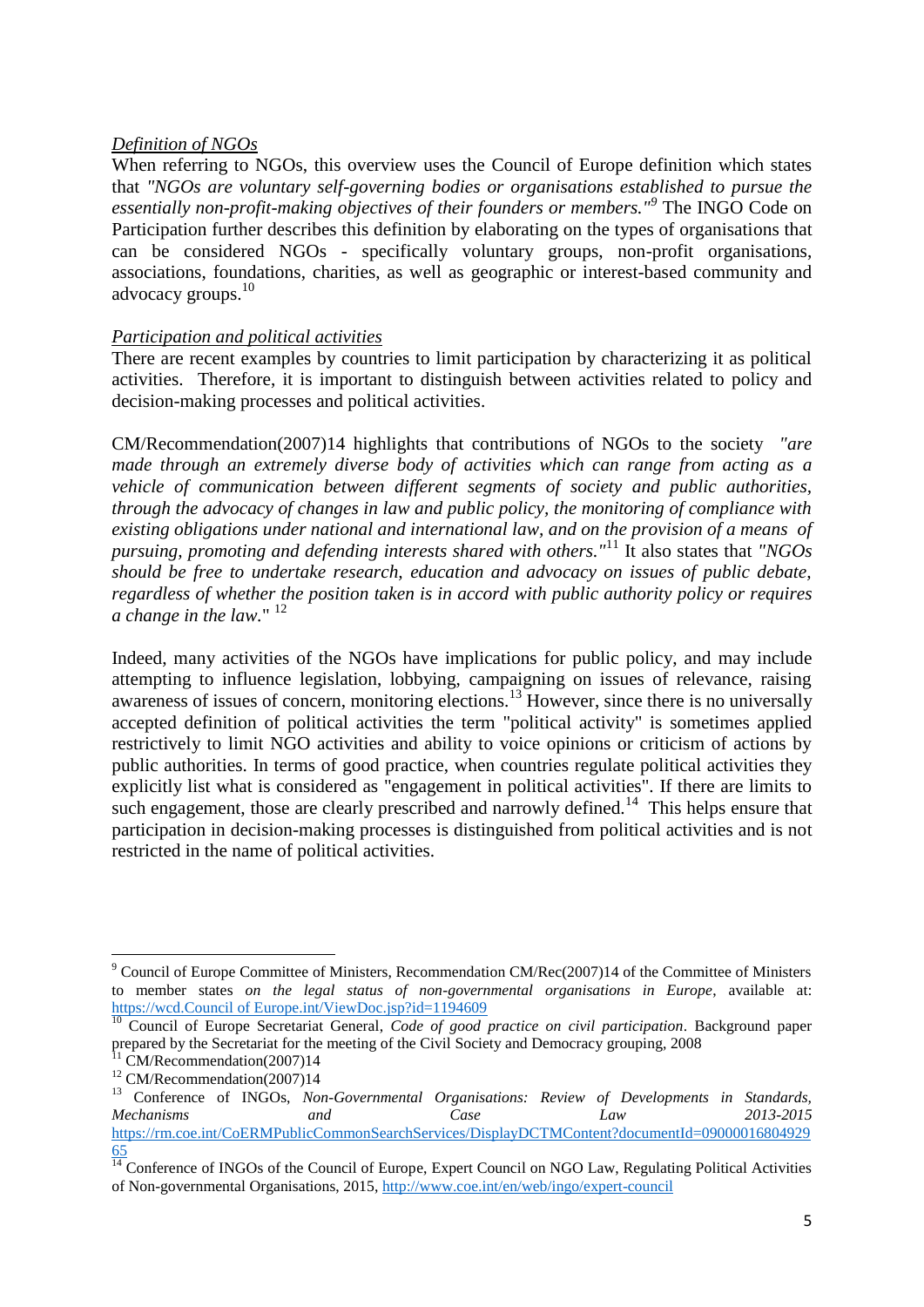### *Definition of NGOs*

When referring to NGOs, this overview uses the Council of Europe definition which states that *"NGOs are voluntary self-governing bodies or organisations established to pursue the essentially non-profit-making objectives of their founders or members."<sup>9</sup>* The INGO Code on Participation further describes this definition by elaborating on the types of organisations that can be considered NGOs - specifically voluntary groups, non-profit organisations, associations, foundations, charities, as well as geographic or interest-based community and advocacy groups.<sup>10</sup>

### *Participation and political activities*

There are recent examples by countries to limit participation by characterizing it as political activities. Therefore, it is important to distinguish between activities related to policy and decision-making processes and political activities.

CM/Recommendation(2007)14 highlights that contributions of NGOs to the society *"are made through an extremely diverse body of activities which can range from acting as a vehicle of communication between different segments of society and public authorities, through the advocacy of changes in law and public policy, the monitoring of compliance with existing obligations under national and international law, and on the provision of a means of pursuing, promoting and defending interests shared with others."*<sup>11</sup> It also states that *"NGOs should be free to undertake research, education and advocacy on issues of public debate, regardless of whether the position taken is in accord with public authority policy or requires a change in the law.*"<sup>12</sup>

Indeed, many activities of the NGOs have implications for public policy, and may include attempting to influence legislation, lobbying, campaigning on issues of relevance, raising awareness of issues of concern, monitoring elections.<sup>13</sup> However, since there is no universally accepted definition of political activities the term "political activity" is sometimes applied restrictively to limit NGO activities and ability to voice opinions or criticism of actions by public authorities. In terms of good practice, when countries regulate political activities they explicitly list what is considered as "engagement in political activities". If there are limits to such engagement, those are clearly prescribed and narrowly defined.<sup>14</sup> This helps ensure that participation in decision-making processes is distinguished from political activities and is not restricted in the name of political activities.

 $\overline{a}$ 

<sup>&</sup>lt;sup>9</sup> Council of Europe Committee of Ministers, Recommendation CM/Rec(2007)14 of the Committee of Ministers to member states *on the legal status of non-governmental organisations in Europe*, available at: [https://wcd.Council of Europe.int/ViewDoc.jsp?id=1194609](https://wcd.coe.int/ViewDoc.jsp?id=1194609)

<sup>10</sup> Council of Europe Secretariat General, *Code of good practice on civil participation*. Background paper prepared by the Secretariat for the meeting of the Civil Society and Democracy grouping, 2008

 $11$  CM/Recommendation(2007)14

<sup>&</sup>lt;sup>12</sup> CM/Recommendation(2007)14

<sup>&</sup>lt;sup>13</sup> Conference of INGOs, *Non-Governmental Organisations: Review of Developments in Standards, Mechanisms and Case Law 2013-2015* [https://rm.coe.int/CoERMPublicCommonSearchServices/DisplayDCTMContent?documentId=09000016804929](https://rm.coe.int/CoERMPublicCommonSearchServices/DisplayDCTMContent?documentId=0900001680492965) [65](https://rm.coe.int/CoERMPublicCommonSearchServices/DisplayDCTMContent?documentId=0900001680492965)

 $\frac{14}{14}$  Conference of INGOs of the Council of Europe, Expert Council on NGO Law, Regulating Political Activities of Non-governmental Organisations, 2015,<http://www.coe.int/en/web/ingo/expert-council>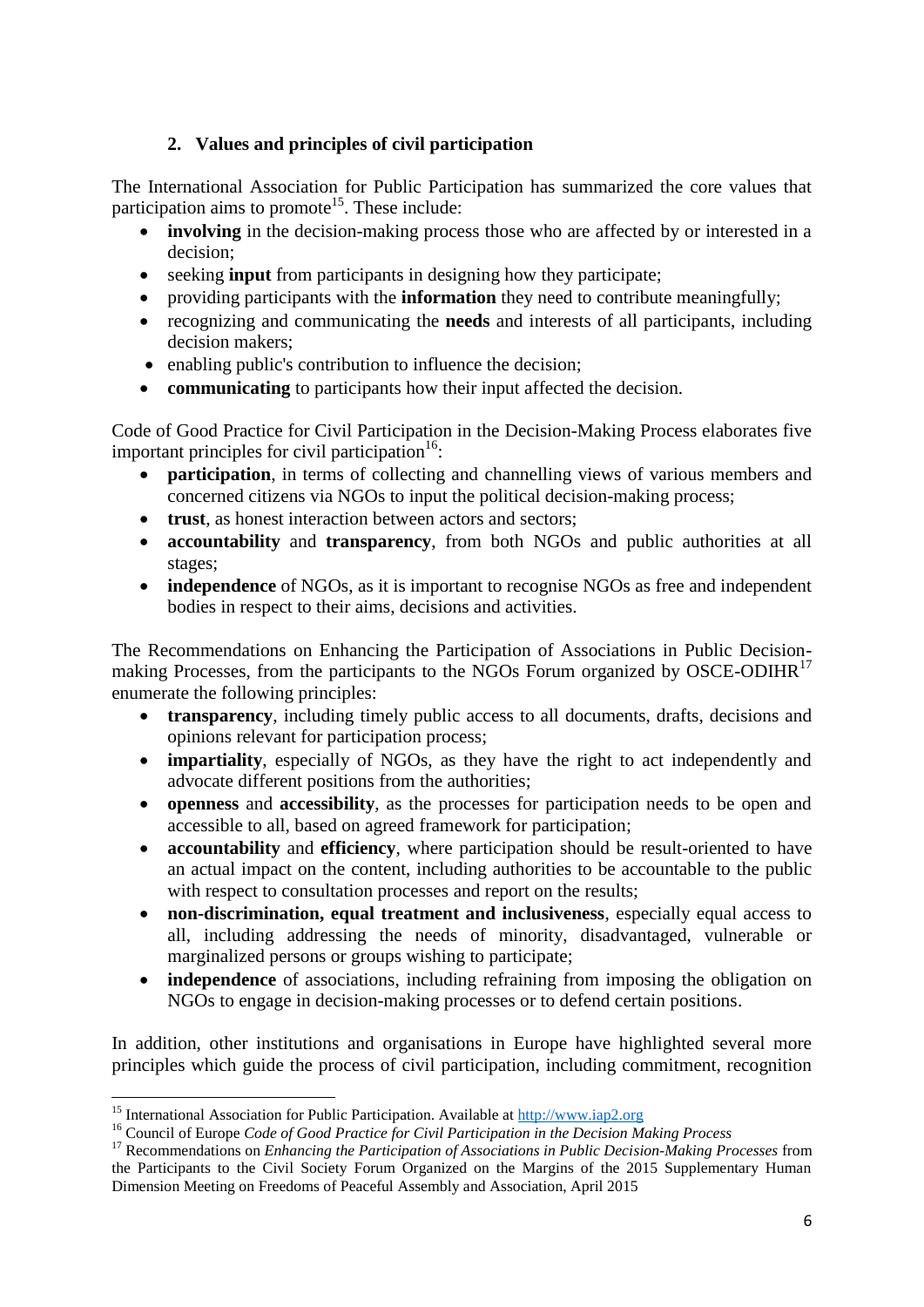# **2. Values and principles of civil participation**

<span id="page-6-0"></span>The International Association for Public Participation has summarized the core values that participation aims to promote<sup>15</sup>. These include:

- **involving** in the decision-making process those who are affected by or interested in a decision;
- seeking **input** from participants in designing how they participate;
- providing participants with the **information** they need to contribute meaningfully;
- recognizing and communicating the **needs** and interests of all participants, including decision makers;
- enabling public's contribution to influence the decision;
- **communicating** to participants how their input affected the decision.

Code of Good Practice for Civil Participation in the Decision-Making Process elaborates five important principles for civil participation $16$ :

- **participation**, in terms of collecting and channelling views of various members and concerned citizens via NGOs to input the political decision-making process;
- **trust**, as honest interaction between actors and sectors;
- **accountability** and **transparency**, from both NGOs and public authorities at all stages;
- **independence** of NGOs, as it is important to recognise NGOs as free and independent bodies in respect to their aims, decisions and activities.

The Recommendations on Enhancing the Participation of Associations in Public Decisionmaking Processes, from the participants to the NGOs Forum organized by OSCE-ODIHR<sup>17</sup> enumerate the following principles:

- **transparency**, including timely public access to all documents, drafts, decisions and opinions relevant for participation process;
- **impartiality**, especially of NGOs, as they have the right to act independently and advocate different positions from the authorities;
- **openness** and **accessibility**, as the processes for participation needs to be open and accessible to all, based on agreed framework for participation;
- **accountability** and **efficiency**, where participation should be result-oriented to have an actual impact on the content, including authorities to be accountable to the public with respect to consultation processes and report on the results;
- **non-discrimination, equal treatment and inclusiveness**, especially equal access to all, including addressing the needs of minority, disadvantaged, vulnerable or marginalized persons or groups wishing to participate;
- **independence** of associations, including refraining from imposing the obligation on NGOs to engage in decision-making processes or to defend certain positions.

In addition, other institutions and organisations in Europe have highlighted several more principles which guide the process of civil participation, including commitment, recognition

**.** 

<sup>&</sup>lt;sup>15</sup> International Association for Public Participation. Available a[t http://www.iap2.org](http://www.iap2.org/)

<sup>16</sup> Council of Europe *Code of Good Practice for Civil Participation in the Decision Making Process*

<sup>17</sup> Recommendations on *Enhancing the Participation of Associations in Public Decision-Making Processes* from the Participants to the Civil Society Forum Organized on the Margins of the 2015 Supplementary Human Dimension Meeting on Freedoms of Peaceful Assembly and Association, April 2015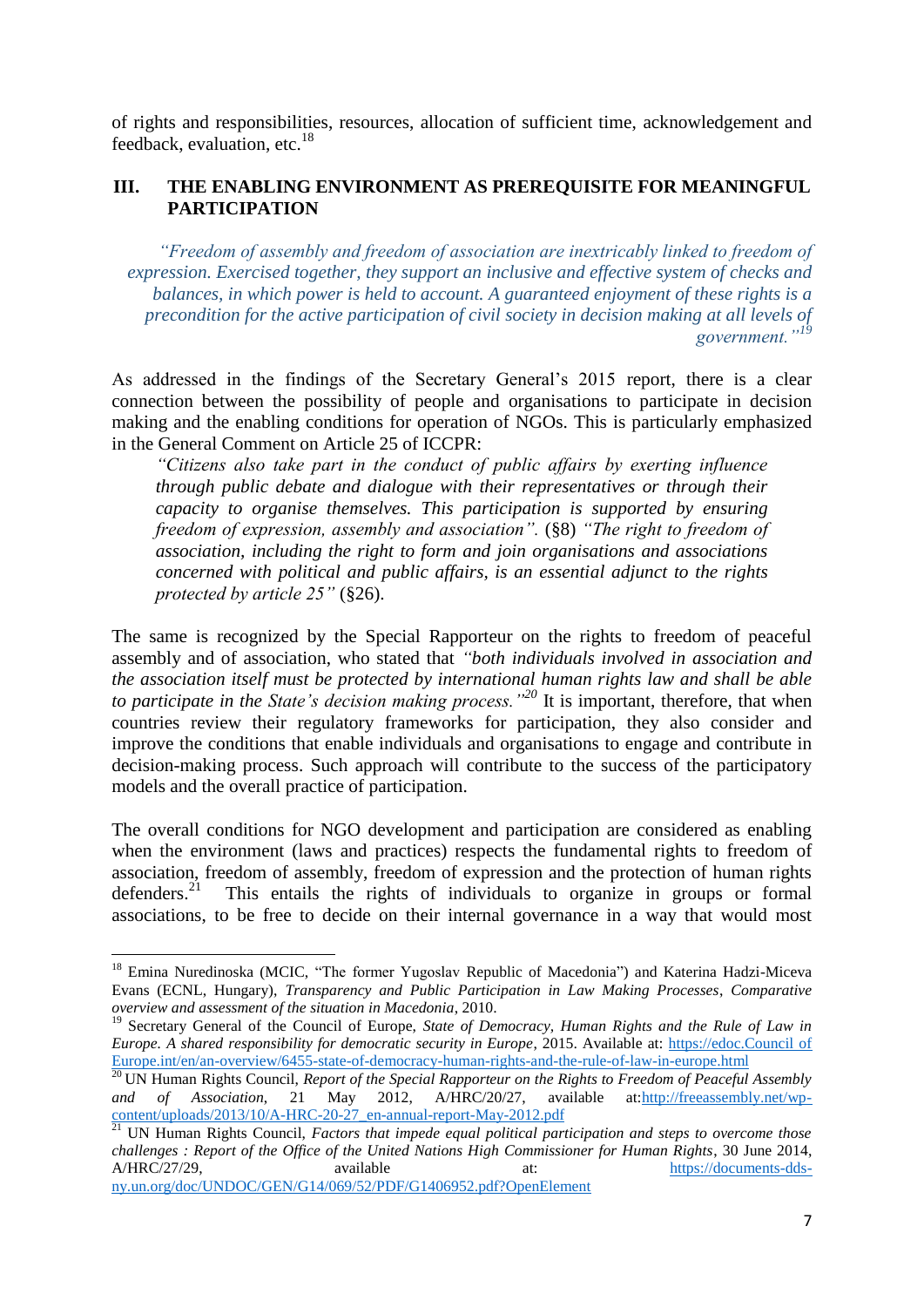of rights and responsibilities, resources, allocation of sufficient time, acknowledgement and feedback, evaluation, etc. $^{18}$ 

### <span id="page-7-0"></span>**III. THE ENABLING ENVIRONMENT AS PREREQUISITE FOR MEANINGFUL PARTICIPATION**

*"Freedom of assembly and freedom of association are inextricably linked to freedom of expression. Exercised together, they support an inclusive and effective system of checks and balances, in which power is held to account. A guaranteed enjoyment of these rights is a precondition for the active participation of civil society in decision making at all levels of government."<sup>19</sup>*

As addressed in the findings of the Secretary General's 2015 report, there is a clear connection between the possibility of people and organisations to participate in decision making and the enabling conditions for operation of NGOs. This is particularly emphasized in the General Comment on Article 25 of ICCPR:

*"Citizens also take part in the conduct of public affairs by exerting influence through public debate and dialogue with their representatives or through their capacity to organise themselves. This participation is supported by ensuring freedom of expression, assembly and association".* (§8) *"The right to freedom of association, including the right to form and join organisations and associations concerned with political and public affairs, is an essential adjunct to the rights protected by article 25"* (§26).

The same is recognized by the Special Rapporteur on the rights to freedom of peaceful assembly and of association, who stated that *"both individuals involved in association and the association itself must be protected by international human rights law and shall be able to participate in the State's decision making process."<sup>20</sup>* It is important, therefore, that when countries review their regulatory frameworks for participation, they also consider and improve the conditions that enable individuals and organisations to engage and contribute in decision-making process. Such approach will contribute to the success of the participatory models and the overall practice of participation.

The overall conditions for NGO development and participation are considered as enabling when the environment (laws and practices) respects the fundamental rights to freedom of association, freedom of assembly, freedom of expression and the protection of human rights defenders.<sup>21</sup> This entails the rights of individuals to organize in groups or formal associations, to be free to decide on their internal governance in a way that would most

[ny.un.org/doc/UNDOC/GEN/G14/069/52/PDF/G1406952.pdf?OpenElement](https://documents-dds-ny.un.org/doc/UNDOC/GEN/G14/069/52/PDF/G1406952.pdf?OpenElement)

 $\overline{a}$ 

<sup>&</sup>lt;sup>18</sup> Emina Nuredinoska (MCIC, "The former Yugoslav Republic of Macedonia") and Katerina Hadzi-Miceva Evans (ECNL, Hungary), *Transparency and Public Participation in Law Making Processes*, *Comparative overview and assessment of the situation in Macedonia*, 2010.

<sup>&</sup>lt;sup>19</sup> Secretary General of the Council of Europe, *State of Democracy, Human Rights and the Rule of Law in Europe. A shared responsibility for democratic security in Europe*, 2015. Available at: [https://edoc.Council of](https://edoc.coe.int/en/an-overview/6455-state-of-democracy-human-rights-and-the-rule-of-law-in-europe.html)  [Europe.int/en/an-overview/6455-state-of-democracy-human-rights-and-the-rule-of-law-in-europe.html](https://edoc.coe.int/en/an-overview/6455-state-of-democracy-human-rights-and-the-rule-of-law-in-europe.html)

<sup>&</sup>lt;sup>20</sup> UN Human Rights Council, *Report of the Special Rapporteur on the Rights to Freedom of Peaceful Assembly and of Association, 21 May 2012,*  $A/HRC/20/27$ *, available at:http://freeassembly.net/wpand of Association*, 21 May 2012, A/HRC/20/27, available at[:http://freeassembly.net/wp](http://freeassembly.net/wp-content/uploads/2013/10/A-HRC-20-27_en-annual-report-May-2012.pdf)[content/uploads/2013/10/A-HRC-20-27\\_en-annual-report-May-2012.pdf](http://freeassembly.net/wp-content/uploads/2013/10/A-HRC-20-27_en-annual-report-May-2012.pdf)

<sup>&</sup>lt;sup>21</sup> UN Human Rights Council, *Factors that impede equal political participation and steps to overcome those challenges : Report of the Office of the United Nations High Commissioner for Human Rights*, 30 June 2014, A/HRC/27/29, available at: [https://documents-dds-](https://documents-dds-ny.un.org/doc/UNDOC/GEN/G14/069/52/PDF/G1406952.pdf?OpenElement)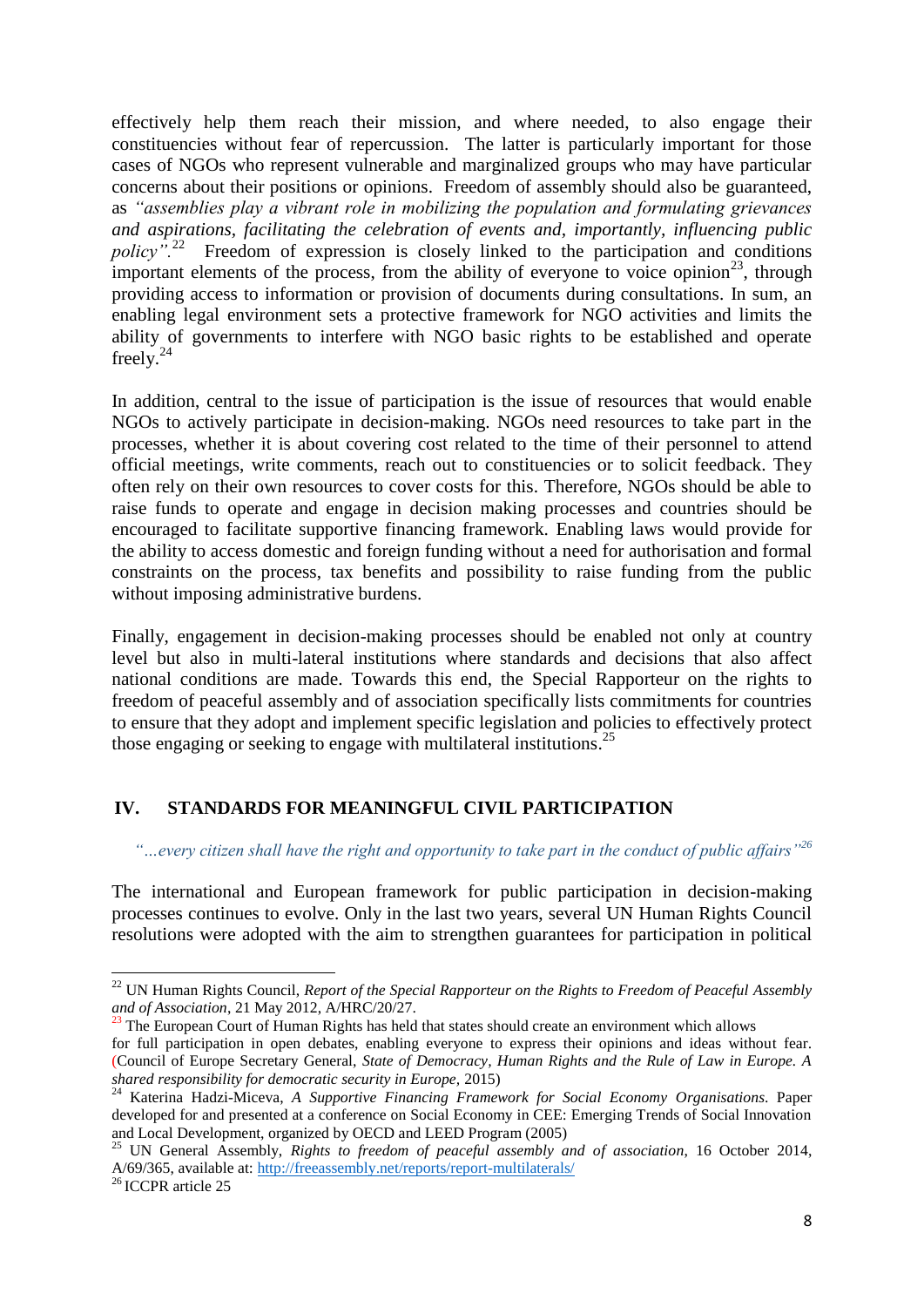effectively help them reach their mission, and where needed, to also engage their constituencies without fear of repercussion. The latter is particularly important for those cases of NGOs who represent vulnerable and marginalized groups who may have particular concerns about their positions or opinions. Freedom of assembly should also be guaranteed, as *"assemblies play a vibrant role in mobilizing the population and formulating grievances and aspirations, facilitating the celebration of events and, importantly, influencing public policy".*<sup>22</sup> Freedom of expression is closely linked to the participation and conditions important elements of the process, from the ability of everyone to voice opinion<sup>23</sup>, through providing access to information or provision of documents during consultations. In sum, an enabling legal environment sets a protective framework for NGO activities and limits the ability of governments to interfere with NGO basic rights to be established and operate freely. $^{24}$ 

In addition, central to the issue of participation is the issue of resources that would enable NGOs to actively participate in decision-making. NGOs need resources to take part in the processes, whether it is about covering cost related to the time of their personnel to attend official meetings, write comments, reach out to constituencies or to solicit feedback. They often rely on their own resources to cover costs for this. Therefore, NGOs should be able to raise funds to operate and engage in decision making processes and countries should be encouraged to facilitate supportive financing framework. Enabling laws would provide for the ability to access domestic and foreign funding without a need for authorisation and formal constraints on the process, tax benefits and possibility to raise funding from the public without imposing administrative burdens.

Finally, engagement in decision-making processes should be enabled not only at country level but also in multi-lateral institutions where standards and decisions that also affect national conditions are made. Towards this end, the Special Rapporteur on the rights to freedom of peaceful assembly and of association specifically lists commitments for countries to ensure that they adopt and implement specific legislation and policies to effectively protect those engaging or seeking to engage with multilateral institutions.<sup>25</sup>

## <span id="page-8-0"></span>**IV. STANDARDS FOR MEANINGFUL CIVIL PARTICIPATION**

*"…every citizen shall have the right and opportunity to take part in the conduct of public affairs"<sup>26</sup>*

The international and European framework for public participation in decision-making processes continues to evolve. Only in the last two years, several UN Human Rights Council resolutions were adopted with the aim to strengthen guarantees for participation in political

1

<sup>22</sup> UN Human Rights Council, *Report of the Special Rapporteur on the Rights to Freedom of Peaceful Assembly and of Association*, 21 May 2012, A/HRC/20/27.

 $23$  The European Court of Human Rights has held that states should create an environment which allows

for full participation in open debates, enabling everyone to express their opinions and ideas without fear. (Council of Europe Secretary General, *State of Democracy, Human Rights and the Rule of Law in Europe. A shared responsibility for democratic security in Europe,* 2015)

<sup>24</sup> Katerina Hadzi-Miceva, *A Supportive Financing Framework for Social Economy Organisations*. Paper developed for and presented at a conference on Social Economy in CEE: Emerging Trends of Social Innovation and Local Development, organized by OECD and LEED Program (2005)

<sup>&</sup>lt;sup>25</sup> UN General Assembly, *Rights to freedom of peaceful assembly and of association*, 16 October 2014, A/69/365, available at:<http://freeassembly.net/reports/report-multilaterals/>

<sup>26</sup> ICCPR article 25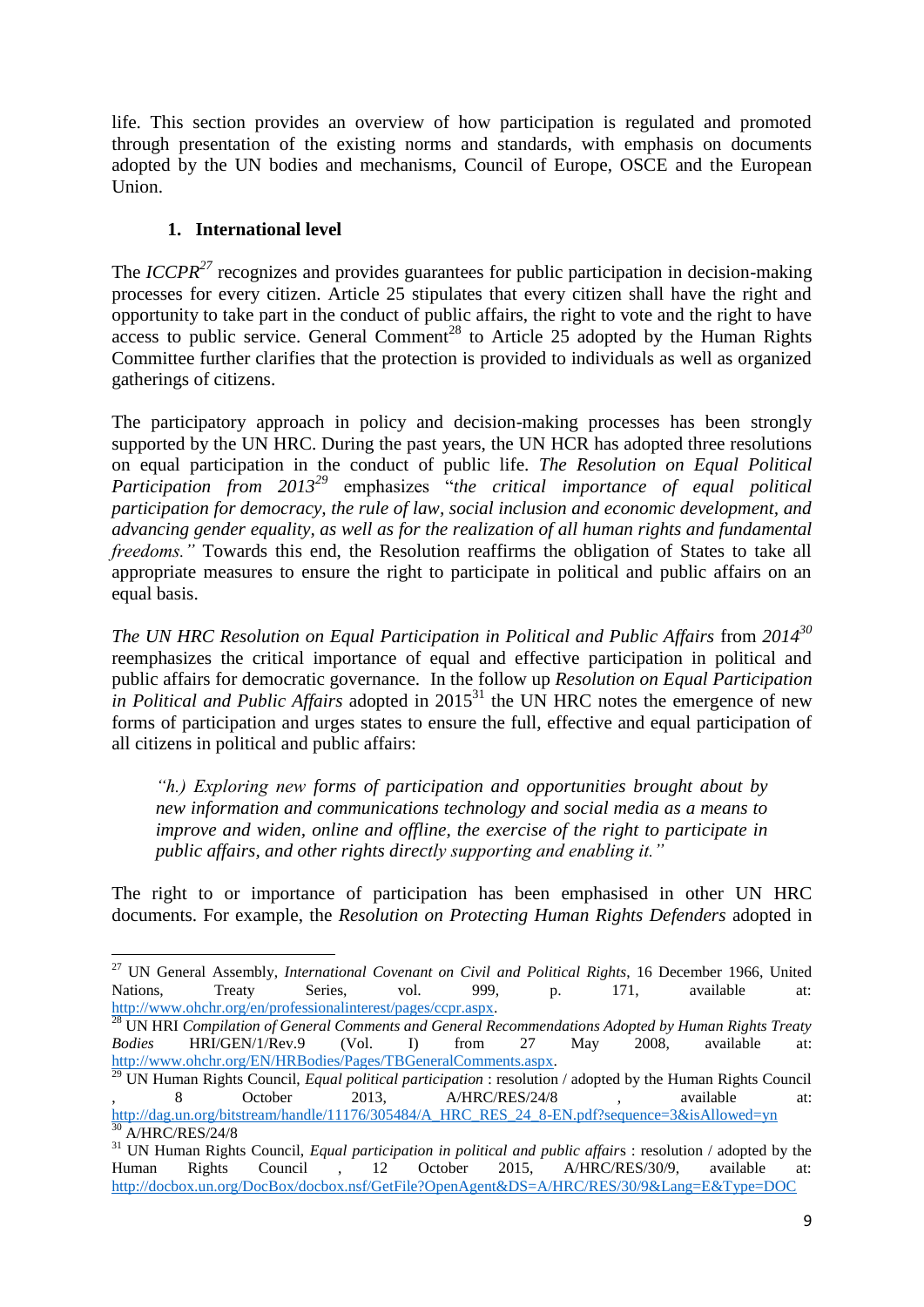life. This section provides an overview of how participation is regulated and promoted through presentation of the existing norms and standards, with emphasis on documents adopted by the UN bodies and mechanisms, Council of Europe, OSCE and the European Union.

# **1. International level**

 $\overline{a}$ 

<span id="page-9-0"></span>The *ICCPR*<sup>27</sup> recognizes and provides guarantees for public participation in decision-making processes for every citizen. Article 25 stipulates that every citizen shall have the right and opportunity to take part in the conduct of public affairs, the right to vote and the right to have access to public service. General Comment<sup>28</sup> to Article 25 adopted by the Human Rights Committee further clarifies that the protection is provided to individuals as well as organized gatherings of citizens.

The participatory approach in policy and decision-making processes has been strongly supported by the UN HRC. During the past years, the UN HCR has adopted three resolutions on equal participation in the conduct of public life. *The Resolution on Equal Political Participation from 2013<sup>29</sup>* emphasizes "*the critical importance of equal political participation for democracy, the rule of law, social inclusion and economic development, and advancing gender equality, as well as for the realization of all human rights and fundamental freedoms."* Towards this end, the Resolution reaffirms the obligation of States to take all appropriate measures to ensure the right to participate in political and public affairs on an equal basis.

*The UN HRC Resolution on Equal Participation in Political and Public Affairs* from *2014<sup>30</sup>* reemphasizes the critical importance of equal and effective participation in political and public affairs for democratic governance. In the follow up *Resolution on Equal Participation in Political and Public Affairs* adopted in  $2015^{31}$  the UN HRC notes the emergence of new forms of participation and urges states to ensure the full, effective and equal participation of all citizens in political and public affairs:

*"h.) Exploring new forms of participation and opportunities brought about by new information and communications technology and social media as a means to improve and widen, online and offline, the exercise of the right to participate in public affairs, and other rights directly supporting and enabling it."*

The right to or importance of participation has been emphasised in other UN HRC documents. For example, the *Resolution on Protecting Human Rights Defenders* adopted in

<sup>27</sup> UN General Assembly, *International Covenant on Civil and Political Rights*, 16 December 1966, United Nations, Treaty Series, vol. 999, p. 171, available at: [http://www.ohchr.org/en/professionalinterest/pages/ccpr.aspx.](http://www.ohchr.org/en/professionalinterest/pages/ccpr.aspx)

<sup>28</sup> UN HRI *Compilation of General Comments and General Recommendations Adopted by Human Rights Treaty Bodies* HRI/GEN/1/Rev.9 (Vol. I) from 27 May 2008, available at: [http://www.ohchr.org/EN/HRBodies/Pages/TBGeneralComments.aspx.](http://www.ohchr.org/EN/HRBodies/Pages/TBGeneralComments.aspx)

<sup>29</sup> UN Human Rights Council, *Equal political participation* : resolution / adopted by the Human Rights Council 8 October 2013, A/HRC/RES/24/8 , available at: [http://dag.un.org/bitstream/handle/11176/305484/A\\_HRC\\_RES\\_24\\_8-EN.pdf?sequence=3&isAllowed=yn](http://dag.un.org/bitstream/handle/11176/305484/A_HRC_RES_24_8-EN.pdf?sequence=3&isAllowed=yn)  $30$  A/HRC/RES/24/8

<sup>31</sup> UN Human Rights Council, *Equal participation in political and public affair*s : resolution / adopted by the Human Rights Council , 12 October 2015, A/HRC/RES/30/9, available at: <http://docbox.un.org/DocBox/docbox.nsf/GetFile?OpenAgent&DS=A/HRC/RES/30/9&Lang=E&Type=DOC>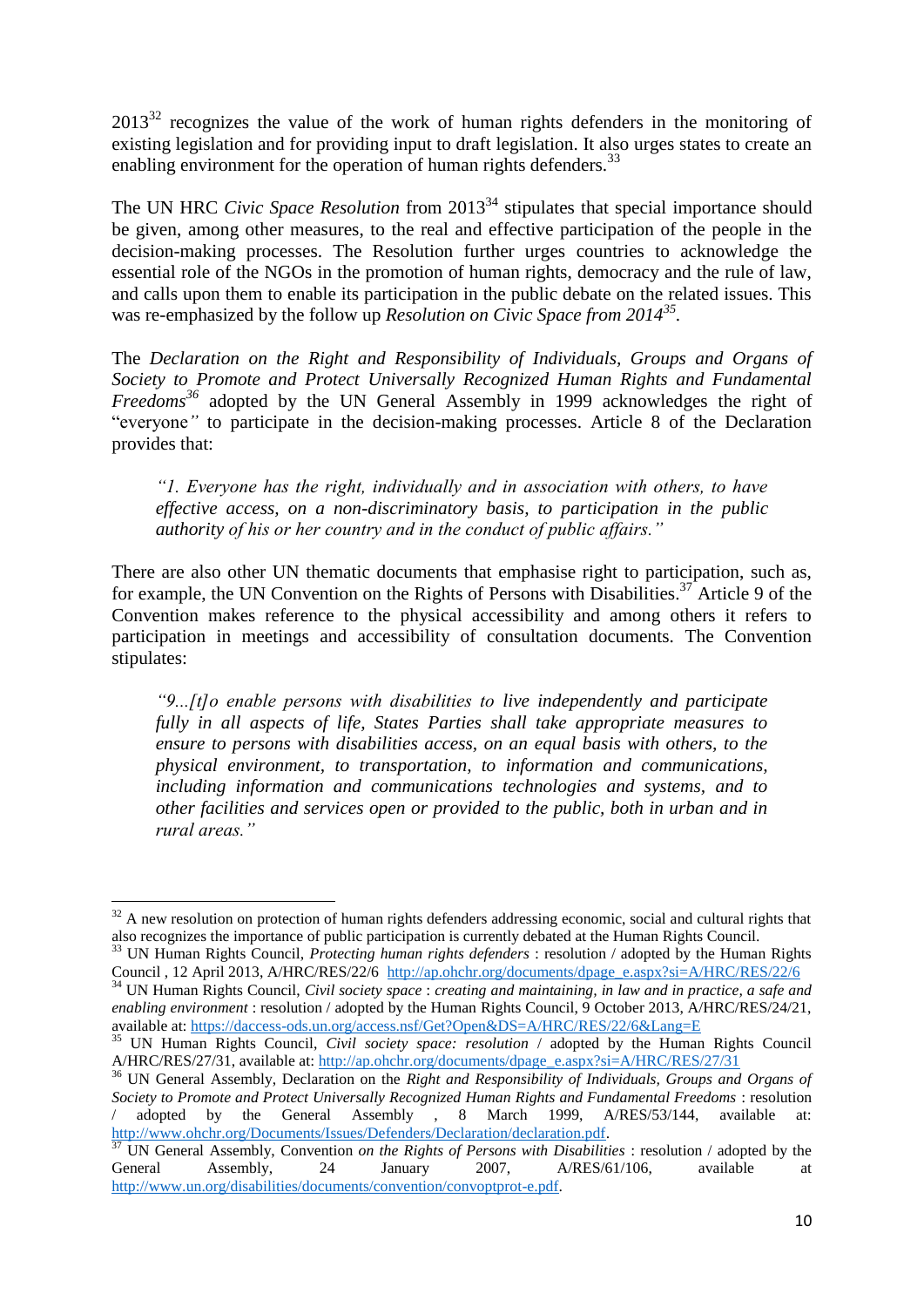$2013^{32}$  recognizes the value of the work of human rights defenders in the monitoring of existing legislation and for providing input to draft legislation. It also urges states to create an enabling environment for the operation of human rights defenders.<sup>33</sup>

The UN HRC *Civic Space Resolution* from 2013<sup>34</sup> stipulates that special importance should be given, among other measures, to the real and effective participation of the people in the decision-making processes. The Resolution further urges countries to acknowledge the essential role of the NGOs in the promotion of human rights, democracy and the rule of law, and calls upon them to enable its participation in the public debate on the related issues. This was re-emphasized by the follow up *Resolution on Civic Space from 2014<sup>35</sup> .*

The *Declaration on the Right and Responsibility of Individuals, Groups and Organs of Society to Promote and Protect Universally Recognized Human Rights and Fundamental Freedoms<sup>36</sup>* adopted by the UN General Assembly in 1999 acknowledges the right of "everyone*"* to participate in the decision-making processes. Article 8 of the Declaration provides that:

*"1. Everyone has the right, individually and in association with others, to have effective access, on a non-discriminatory basis, to participation in the public authority of his or her country and in the conduct of public affairs."* 

There are also other UN thematic documents that emphasise right to participation, such as, for example, the UN Convention on the Rights of Persons with Disabilities.<sup>37</sup> Article 9 of the Convention makes reference to the physical accessibility and among others it refers to participation in meetings and accessibility of consultation documents. The Convention stipulates:

*"9...[t]o enable persons with disabilities to live independently and participate fully in all aspects of life, States Parties shall take appropriate measures to ensure to persons with disabilities access, on an equal basis with others, to the physical environment, to transportation, to information and communications, including information and communications technologies and systems, and to other facilities and services open or provided to the public, both in urban and in rural areas."*

**.** 

 $32$  A new resolution on protection of human rights defenders addressing economic, social and cultural rights that also recognizes the importance of public participation is currently debated at the Human Rights Council.

<sup>33</sup> UN Human Rights Council, *Protecting human rights defenders* : resolution / adopted by the Human Rights Council, 12 April 2013, A/HRC/RES/22/6 [http://ap.ohchr.org/documents/dpage\\_e.aspx?si=A/HRC/RES/22/6](http://ap.ohchr.org/documents/dpage_e.aspx?si=A/HRC/RES/22/6)

<sup>34</sup> UN Human Rights Council, *Civil society space* : *creating and maintaining, in law and in practice, a safe and enabling environment* : resolution / adopted by the Human Rights Council, 9 October 2013, A/HRC/RES/24/21, available at:<https://daccess-ods.un.org/access.nsf/Get?Open&DS=A/HRC/RES/22/6&Lang=E>

<sup>35</sup> UN Human Rights Council, *Civil society space: resolution* / adopted by the Human Rights Council A/HRC/RES/27/31, available at: [http://ap.ohchr.org/documents/dpage\\_e.aspx?si=A/HRC/RES/27/31](http://ap.ohchr.org/documents/dpage_e.aspx?si=A/HRC/RES/27/31) 

<sup>&</sup>lt;sup>36</sup> UN General Assembly, Declaration on the *Right and Responsibility of Individuals, Groups and Organs of Society to Promote and Protect Universally Recognized Human Rights and Fundamental Freedoms* : resolution adopted by the General Assembly , 8 March 1999, A/RES/53/144, available at: [http://www.ohchr.org/Documents/Issues/Defenders/Declaration/declaration.pdf.](http://www.ohchr.org/Documents/Issues/Defenders/Declaration/declaration.pdf)

<sup>&</sup>lt;sup>37</sup> UN General Assembly, Convention *on the Rights of Persons with Disabilities* : resolution / adopted by the General Assembly, 24 January 2007, A/RES/61/106, available at [http://www.un.org/disabilities/documents/convention/convoptprot-e.pdf.](http://www.un.org/disabilities/documents/convention/convoptprot-e.pdf)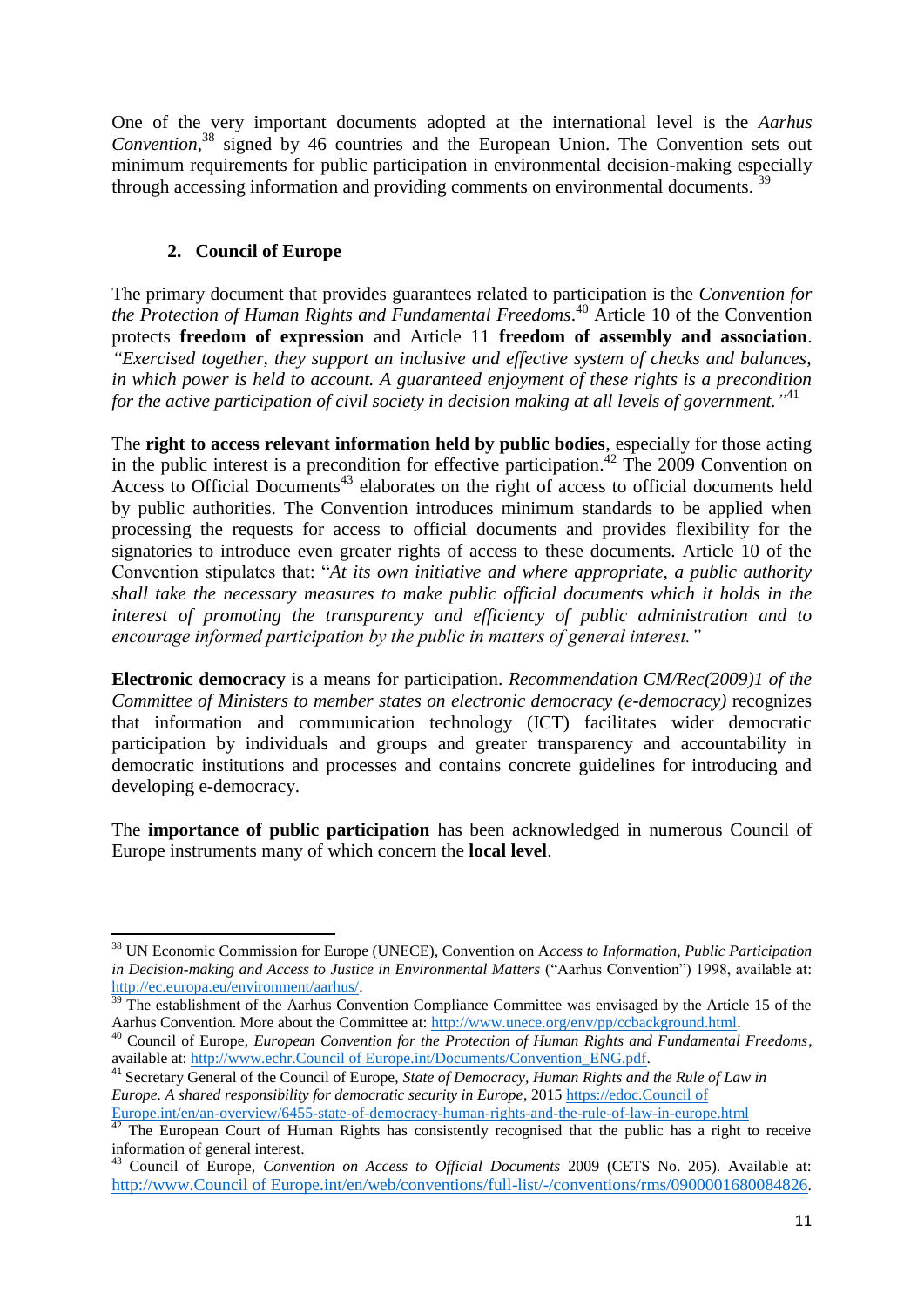One of the very important documents adopted at the international level is the *Aarhus Convention*, <sup>38</sup> signed by 46 countries and the European Union. The Convention sets out minimum requirements for public participation in environmental decision-making especially through accessing information and providing comments on environmental documents.<sup>39</sup>

## **2. Council of Europe**

<span id="page-11-0"></span>The primary document that provides guarantees related to participation is the *Convention for the Protection of Human Rights and Fundamental Freedoms*. <sup>40</sup> Article 10 of the Convention protects **freedom of expression** and Article 11 **freedom of assembly and association**. *"Exercised together, they support an inclusive and effective system of checks and balances, in which power is held to account. A guaranteed enjoyment of these rights is a precondition for the active participation of civil society in decision making at all levels of government."* 41

The **right to access relevant information held by public bodies**, especially for those acting in the public interest is a precondition for effective participation. <sup>42</sup> The 2009 Convention on Access to Official Documents<sup>43</sup> elaborates on the right of access to official documents held by public authorities. The Convention introduces minimum standards to be applied when processing the requests for access to official documents and provides flexibility for the signatories to introduce even greater rights of access to these documents. Article 10 of the Convention stipulates that: "*At its own initiative and where appropriate, a public authority shall take the necessary measures to make public official documents which it holds in the interest of promoting the transparency and efficiency of public administration and to encourage informed participation by the public in matters of general interest."*

**Electronic democracy** is a means for participation. *Recommendation CM/Rec(2009)1 of the Committee of Ministers to member states on electronic democracy (e-democracy)* recognizes that information and communication technology (ICT) facilitates wider democratic participation by individuals and groups and greater transparency and accountability in democratic institutions and processes and contains concrete guidelines for introducing and developing e-democracy.

The **importance of public participation** has been acknowledged in numerous Council of Europe instruments many of which concern the **local level**.

**<sup>.</sup>** <sup>38</sup> UN Economic Commission for Europe (UNECE), Convention on A*ccess to Information, Public Participation in Decision-making and Access to Justice in Environmental Matters* ("Aarhus Convention") 1998, available at: [http://ec.europa.eu/environment/aarhus/.](http://ec.europa.eu/environment/aarhus/) 

 $39$  The establishment of the Aarhus Convention Compliance Committee was envisaged by the Article 15 of the Aarhus Convention. More about the Committee at: [http://www.unece.org/env/pp/ccbackground.html.](http://www.unece.org/env/pp/ccbackground.html)

<sup>40</sup> Council of Europe, *European Convention for the Protection of Human Rights and Fundamental Freedoms*, available at: [http://www.echr.Council of Europe.int/Documents/Convention\\_ENG.pdf.](http://www.echr.coe.int/Documents/Convention_ENG.pdf)

<sup>&</sup>lt;sup>41</sup> Secretary General of the Council of Europe, *State of Democracy, Human Rights and the Rule of Law in Europe. A shared responsibility for democratic security in Europe*, 201[5 https://edoc.Council of](https://edoc.coe.int/en/an-overview/6455-state-of-democracy-human-rights-and-the-rule-of-law-in-europe.html)  [Europe.int/en/an-overview/6455-state-of-democracy-human-rights-and-the-rule-of-law-in-europe.html](https://edoc.coe.int/en/an-overview/6455-state-of-democracy-human-rights-and-the-rule-of-law-in-europe.html)

 $42$  The European Court of Human Rights has consistently recognised that the public has a right to receive information of general interest.

<sup>43</sup> Council of Europe, *Convention on Access to Official Documents* 2009 (CETS No. 205). Available at: [http://www.Council of Europe.int/en/web/conventions/full-list/-/conventions/rms/0900001680084826](http://www.coe.int/en/web/conventions/full-list/-/conventions/rms/0900001680084826).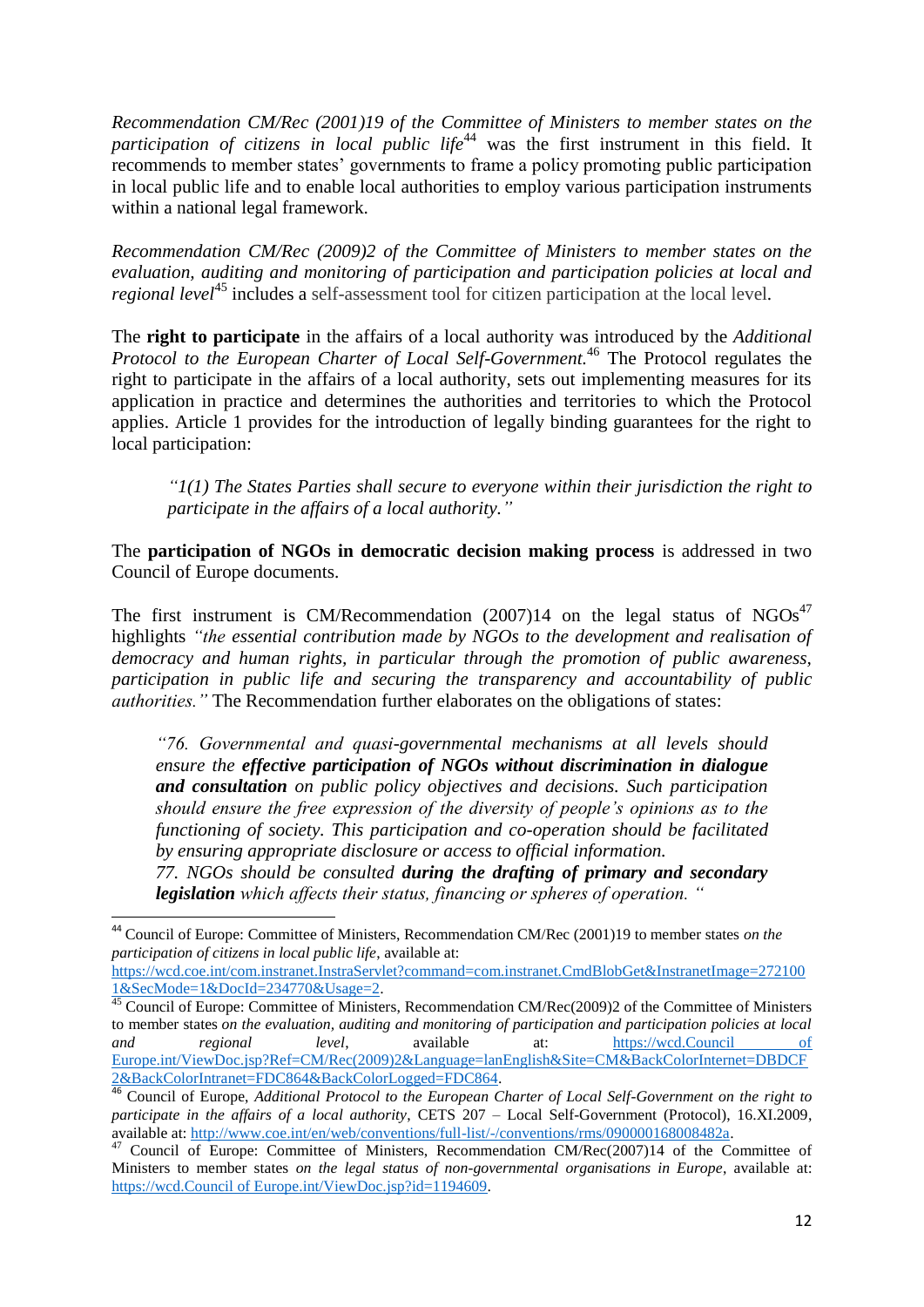*Recommendation CM/Rec (2001)19 of the Committee of Ministers to member states on the participation of citizens in local public life*<sup>44</sup> was the first instrument in this field. It recommends to member states' governments to frame a policy promoting public participation in local public life and to enable local authorities to employ various participation instruments within a national legal framework.

*Recommendation CM/Rec (2009)2 of the Committee of Ministers to member states on the evaluation, auditing and monitoring of participation and participation policies at local and regional level* <sup>45</sup> includes a self-assessment tool for citizen participation at the local level*.*

The **right to participate** in the affairs of a local authority was introduced by the *Additional Protocol to the European Charter of Local Self-Government.* <sup>46</sup> The Protocol regulates the right to participate in the affairs of a local authority, sets out implementing measures for its application in practice and determines the authorities and territories to which the Protocol applies. Article 1 provides for the introduction of legally binding guarantees for the right to local participation:

*"1(1) The States Parties shall secure to everyone within their jurisdiction the right to participate in the affairs of a local authority."*

The **participation of NGOs in democratic decision making process** is addressed in two Council of Europe documents.

The first instrument is CM/Recommendation  $(2007)14$  on the legal status of NGOs<sup>47</sup> highlights *"the essential contribution made by NGOs to the development and realisation of democracy and human rights, in particular through the promotion of public awareness, participation in public life and securing the transparency and accountability of public authorities."* The Recommendation further elaborates on the obligations of states:

*"76. Governmental and quasi-governmental mechanisms at all levels should ensure the effective participation of NGOs without discrimination in dialogue and consultation on public policy objectives and decisions. Such participation should ensure the free expression of the diversity of people's opinions as to the functioning of society. This participation and co-operation should be facilitated by ensuring appropriate disclosure or access to official information.* 

*77. NGOs should be consulted during the drafting of primary and secondary legislation which affects their status, financing or spheres of operation. "*

 $\overline{a}$ 

<sup>44</sup> Council of Europe: Committee of Ministers, Recommendation CM/Rec (2001)19 to member states *on the participation of citizens in local public life*, available at:

[https://wcd.coe.int/com.instranet.InstraServlet?command=com.instranet.CmdBlobGet&InstranetImage=272100](https://wcd.coe.int/com.instranet.InstraServlet?command=com.instranet.CmdBlobGet&InstranetImage=2721001&SecMode=1&DocId=234770&Usage=2) [1&SecMode=1&DocId=234770&Usage=2.](https://wcd.coe.int/com.instranet.InstraServlet?command=com.instranet.CmdBlobGet&InstranetImage=2721001&SecMode=1&DocId=234770&Usage=2)

<sup>&</sup>lt;sup>45</sup> Council of Europe: Committee of Ministers, Recommendation CM/Rec(2009)2 of the Committee of Ministers to member states *on the evaluation, auditing and monitoring of participation and participation policies at local and regional level*, available at: [https://wcd.Council of](https://wcd.coe.int/ViewDoc.jsp?Ref=CM/Rec(2009)2&Language=lanEnglish&Site=CM&BackColorInternet=DBDCF2&BackColorIntranet=FDC864&BackColorLogged=FDC864)  [Europe.int/ViewDoc.jsp?Ref=CM/Rec\(2009\)2&Language=lanEnglish&Site=CM&BackColorInternet=DBDCF](https://wcd.coe.int/ViewDoc.jsp?Ref=CM/Rec(2009)2&Language=lanEnglish&Site=CM&BackColorInternet=DBDCF2&BackColorIntranet=FDC864&BackColorLogged=FDC864) [2&BackColorIntranet=FDC864&BackColorLogged=FDC864.](https://wcd.coe.int/ViewDoc.jsp?Ref=CM/Rec(2009)2&Language=lanEnglish&Site=CM&BackColorInternet=DBDCF2&BackColorIntranet=FDC864&BackColorLogged=FDC864)

<sup>46</sup> Council of Europe, *Additional Protocol to the European Charter of Local Self-Government on the right to participate in the affairs of a local authority*, CETS 207 – Local Self-Government (Protocol), 16.XI.2009, available at: [http://www.coe.int/en/web/conventions/full-list/-/conventions/rms/090000168008482a.](http://www.coe.int/en/web/conventions/full-list/-/conventions/rms/090000168008482a)

<sup>&</sup>lt;sup>47</sup> Council of Europe: Committee of Ministers, Recommendation CM/Rec(2007)14 of the Committee of Ministers to member states *on the legal status of non-governmental organisations in Europe*, available at: [https://wcd.Council of Europe.int/ViewDoc.jsp?id=1194609.](https://wcd.coe.int/ViewDoc.jsp?id=1194609)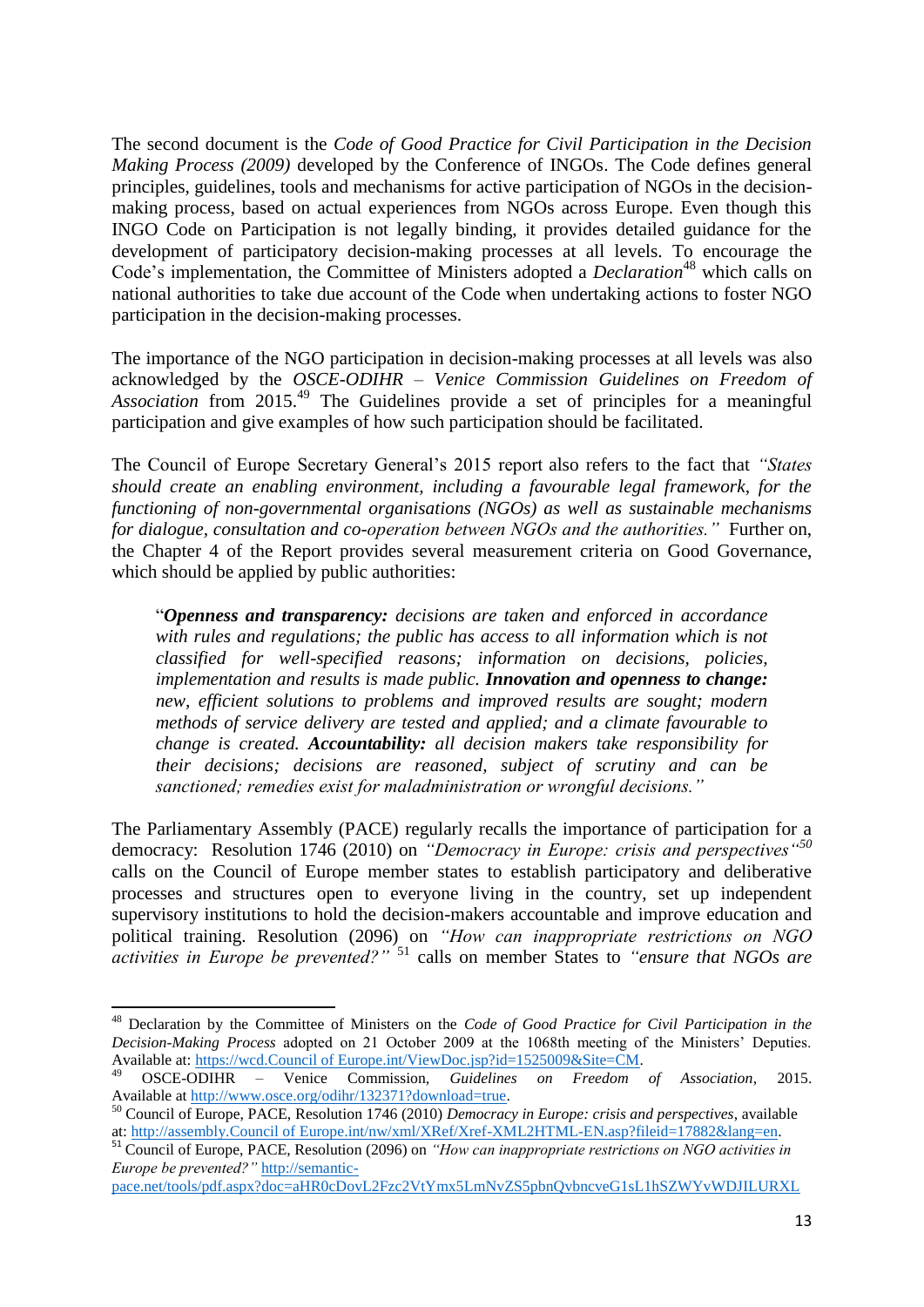The second document is the *Code of Good Practice for Civil Participation in the Decision Making Process (2009)* developed by the Conference of INGOs. The Code defines general principles, guidelines, tools and mechanisms for active participation of NGOs in the decisionmaking process, based on actual experiences from NGOs across Europe. Even though this INGO Code on Participation is not legally binding, it provides detailed guidance for the development of participatory decision-making processes at all levels. To encourage the Code's implementation, the Committee of Ministers adopted a *Declaration*<sup>48</sup> which calls on national authorities to take due account of the Code when undertaking actions to foster NGO participation in the decision-making processes.

The importance of the NGO participation in decision-making processes at all levels was also acknowledged by the *OSCE-ODIHR – Venice Commission Guidelines on Freedom of Association* from 2015.<sup>49</sup> The Guidelines provide a set of principles for a meaningful participation and give examples of how such participation should be facilitated.

The Council of Europe Secretary General's 2015 report also refers to the fact that *"States should create an enabling environment, including a favourable legal framework, for the functioning of non-governmental organisations (NGOs) as well as sustainable mechanisms for dialogue, consultation and co-operation between NGOs and the authorities."* Further on, the Chapter 4 of the Report provides several measurement criteria on Good Governance, which should be applied by public authorities:

"*Openness and transparency: decisions are taken and enforced in accordance with rules and regulations; the public has access to all information which is not classified for well-specified reasons; information on decisions, policies, implementation and results is made public. Innovation and openness to change: new, efficient solutions to problems and improved results are sought; modern methods of service delivery are tested and applied; and a climate favourable to change is created. Accountability: all decision makers take responsibility for their decisions; decisions are reasoned, subject of scrutiny and can be sanctioned; remedies exist for maladministration or wrongful decisions."*

The Parliamentary Assembly (PACE) regularly recalls the importance of participation for a democracy: Resolution 1746 (2010) on *"Democracy in Europe: crisis and perspectives"<sup>50</sup>* calls on the Council of Europe member states to establish participatory and deliberative processes and structures open to everyone living in the country, set up independent supervisory institutions to hold the decision-makers accountable and improve education and political training. Resolution (2096) on *"How can inappropriate restrictions on NGO activities in Europe be prevented?"* <sup>51</sup> calls on member States to *"ensure that NGOs are* 

**.** 

<sup>48</sup> Declaration by the Committee of Ministers on the *Code of Good Practice for Civil Participation in the Decision-Making Process* adopted on 21 October 2009 at the 1068th meeting of the Ministers' Deputies. Available at: [https://wcd.Council of Europe.int/ViewDoc.jsp?id=1525009&Site=CM.](https://wcd.coe.int/ViewDoc.jsp?id=1525009&Site=CM) 

<sup>49</sup> OSCE-ODIHR – Venice Commission, *Guidelines on Freedom of Association*, 2015. Available at [http://www.osce.org/odihr/132371?download=true.](http://www.osce.org/odihr/132371?download=true) 

<sup>50</sup> Council of Europe, PACE, Resolution 1746 (2010) *Democracy in Europe: crisis and perspectives*, available at: [http://assembly.Council of Europe.int/nw/xml/XRef/Xref-XML2HTML-EN.asp?fileid=17882&lang=en.](http://assembly.coe.int/nw/xml/XRef/Xref-XML2HTML-EN.asp?fileid=17882&lang=en) 

<sup>51</sup> Council of Europe, PACE, Resolution (2096) on *"How can inappropriate restrictions on NGO activities in Europe be prevented?"* [http://semantic-](http://semantic-pace.net/tools/pdf.aspx?doc=aHR0cDovL2Fzc2VtYmx5LmNvZS5pbnQvbncveG1sL1hSZWYvWDJILURXLWV4dHIuYXNwP2ZpbGVpZD0yMjUwMiZsYW5nPUVO&xsl=aHR0cDovL3NlbWFudGljcGFjZS5uZXQvWHNsdC9QZGYvWFJlZi1XRC1BVC1YTUwyUERGLnhzbA==&xsltparams=ZmlsZWlkPTIyNTAy)

[pace.net/tools/pdf.aspx?doc=aHR0cDovL2Fzc2VtYmx5LmNvZS5pbnQvbncveG1sL1hSZWYvWDJILURXL](http://semantic-pace.net/tools/pdf.aspx?doc=aHR0cDovL2Fzc2VtYmx5LmNvZS5pbnQvbncveG1sL1hSZWYvWDJILURXLWV4dHIuYXNwP2ZpbGVpZD0yMjUwMiZsYW5nPUVO&xsl=aHR0cDovL3NlbWFudGljcGFjZS5uZXQvWHNsdC9QZGYvWFJlZi1XRC1BVC1YTUwyUERGLnhzbA==&xsltparams=ZmlsZWlkPTIyNTAy)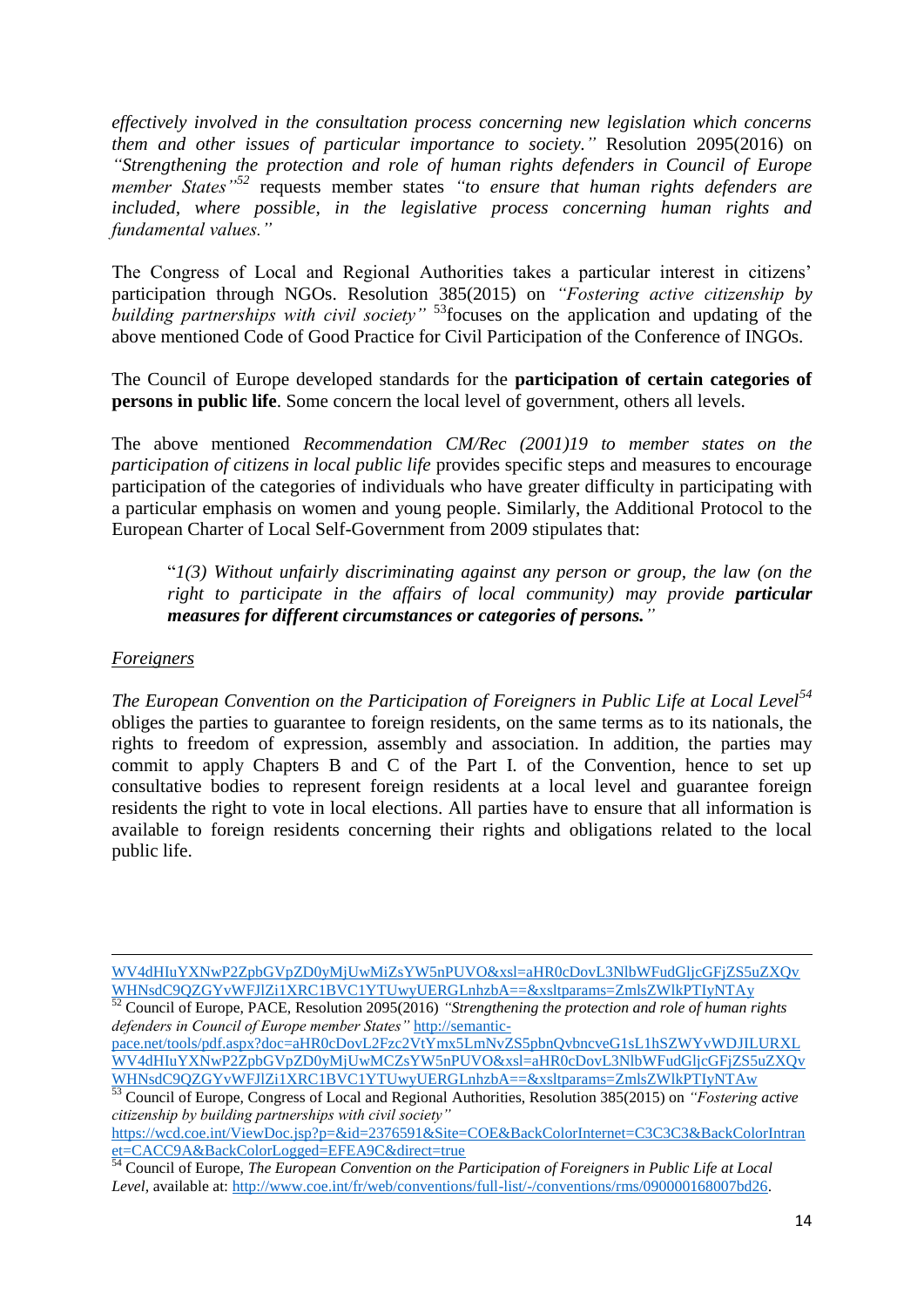*effectively involved in the consultation process concerning new legislation which concerns them and other issues of particular importance to society."* Resolution 2095(2016) on *"Strengthening the protection and role of human rights defenders in Council of Europe member States"<sup>52</sup>* requests member states *"to ensure that human rights defenders are included, where possible, in the legislative process concerning human rights and fundamental values."*

The Congress of Local and Regional Authorities takes a particular interest in citizens' participation through NGOs. Resolution 385(2015) on *"Fostering active citizenship by building partnerships with civil society*" <sup>53</sup> focuses on the application and updating of the above mentioned Code of Good Practice for Civil Participation of the Conference of INGOs.

The Council of Europe developed standards for the **participation of certain categories of persons in public life**. Some concern the local level of government, others all levels.

The above mentioned *Recommendation CM/Rec (2001)19 to member states on the participation of citizens in local public life* provides specific steps and measures to encourage participation of the categories of individuals who have greater difficulty in participating with a particular emphasis on women and young people. Similarly, the Additional Protocol to the European Charter of Local Self-Government from 2009 stipulates that:

"*1(3) Without unfairly discriminating against any person or group, the law (on the right to participate in the affairs of local community) may provide particular measures for different circumstances or categories of persons."*

### *Foreigners*

 $\overline{a}$ 

*The European Convention on the Participation of Foreigners in Public Life at Local Level<sup>54</sup>* obliges the parties to guarantee to foreign residents, on the same terms as to its nationals, the rights to freedom of expression, assembly and association. In addition, the parties may commit to apply Chapters B and C of the Part I. of the Convention, hence to set up consultative bodies to represent foreign residents at a local level and guarantee foreign residents the right to vote in local elections. All parties have to ensure that all information is available to foreign residents concerning their rights and obligations related to the local public life.

[WV4dHIuYXNwP2ZpbGVpZD0yMjUwMiZsYW5nPUVO&xsl=aHR0cDovL3NlbWFudGljcGFjZS5uZXQv](http://semantic-pace.net/tools/pdf.aspx?doc=aHR0cDovL2Fzc2VtYmx5LmNvZS5pbnQvbncveG1sL1hSZWYvWDJILURXLWV4dHIuYXNwP2ZpbGVpZD0yMjUwMiZsYW5nPUVO&xsl=aHR0cDovL3NlbWFudGljcGFjZS5uZXQvWHNsdC9QZGYvWFJlZi1XRC1BVC1YTUwyUERGLnhzbA==&xsltparams=ZmlsZWlkPTIyNTAy) [WHNsdC9QZGYvWFJlZi1XRC1BVC1YTUwyUERGLnhzbA==&xsltparams=ZmlsZWlkPTIyNTAy](http://semantic-pace.net/tools/pdf.aspx?doc=aHR0cDovL2Fzc2VtYmx5LmNvZS5pbnQvbncveG1sL1hSZWYvWDJILURXLWV4dHIuYXNwP2ZpbGVpZD0yMjUwMiZsYW5nPUVO&xsl=aHR0cDovL3NlbWFudGljcGFjZS5uZXQvWHNsdC9QZGYvWFJlZi1XRC1BVC1YTUwyUERGLnhzbA==&xsltparams=ZmlsZWlkPTIyNTAy)

[https://wcd.coe.int/ViewDoc.jsp?p=&id=2376591&Site=COE&BackColorInternet=C3C3C3&BackColorIntran](https://wcd.coe.int/ViewDoc.jsp?p=&id=2376591&Site=COE&BackColorInternet=C3C3C3&BackColorIntranet=CACC9A&BackColorLogged=EFEA9C&direct=true) [et=CACC9A&BackColorLogged=EFEA9C&direct=true](https://wcd.coe.int/ViewDoc.jsp?p=&id=2376591&Site=COE&BackColorInternet=C3C3C3&BackColorIntranet=CACC9A&BackColorLogged=EFEA9C&direct=true)

<sup>&</sup>lt;sup>52</sup> Council of Europe, PACE, Resolution 2095(2016) *"Strengthening the protection and role of human rights defenders in Council of Europe member States"* [http://semantic-](http://semantic-pace.net/tools/pdf.aspx?doc=aHR0cDovL2Fzc2VtYmx5LmNvZS5pbnQvbncveG1sL1hSZWYvWDJILURXLWV4dHIuYXNwP2ZpbGVpZD0yMjUwMCZsYW5nPUVO&xsl=aHR0cDovL3NlbWFudGljcGFjZS5uZXQvWHNsdC9QZGYvWFJlZi1XRC1BVC1YTUwyUERGLnhzbA==&xsltparams=ZmlsZWlkPTIyNTAw)

[pace.net/tools/pdf.aspx?doc=aHR0cDovL2Fzc2VtYmx5LmNvZS5pbnQvbncveG1sL1hSZWYvWDJILURXL](http://semantic-pace.net/tools/pdf.aspx?doc=aHR0cDovL2Fzc2VtYmx5LmNvZS5pbnQvbncveG1sL1hSZWYvWDJILURXLWV4dHIuYXNwP2ZpbGVpZD0yMjUwMCZsYW5nPUVO&xsl=aHR0cDovL3NlbWFudGljcGFjZS5uZXQvWHNsdC9QZGYvWFJlZi1XRC1BVC1YTUwyUERGLnhzbA==&xsltparams=ZmlsZWlkPTIyNTAw) [WV4dHIuYXNwP2ZpbGVpZD0yMjUwMCZsYW5nPUVO&xsl=aHR0cDovL3NlbWFudGljcGFjZS5uZXQv](http://semantic-pace.net/tools/pdf.aspx?doc=aHR0cDovL2Fzc2VtYmx5LmNvZS5pbnQvbncveG1sL1hSZWYvWDJILURXLWV4dHIuYXNwP2ZpbGVpZD0yMjUwMCZsYW5nPUVO&xsl=aHR0cDovL3NlbWFudGljcGFjZS5uZXQvWHNsdC9QZGYvWFJlZi1XRC1BVC1YTUwyUERGLnhzbA==&xsltparams=ZmlsZWlkPTIyNTAw) [WHNsdC9QZGYvWFJlZi1XRC1BVC1YTUwyUERGLnhzbA==&xsltparams=ZmlsZWlkPTIyNTAw](http://semantic-pace.net/tools/pdf.aspx?doc=aHR0cDovL2Fzc2VtYmx5LmNvZS5pbnQvbncveG1sL1hSZWYvWDJILURXLWV4dHIuYXNwP2ZpbGVpZD0yMjUwMCZsYW5nPUVO&xsl=aHR0cDovL3NlbWFudGljcGFjZS5uZXQvWHNsdC9QZGYvWFJlZi1XRC1BVC1YTUwyUERGLnhzbA==&xsltparams=ZmlsZWlkPTIyNTAw)

<sup>53</sup> Council of Europe, Congress of Local and Regional Authorities, Resolution 385(2015) on *"Fostering active citizenship by building partnerships with civil society"*

<sup>54</sup> Council of Europe, *The European Convention on the Participation of Foreigners in Public Life at Local Level,* available at[: http://www.coe.int/fr/web/conventions/full-list/-/conventions/rms/090000168007bd26.](http://www.coe.int/fr/web/conventions/full-list/-/conventions/rms/090000168007bd26)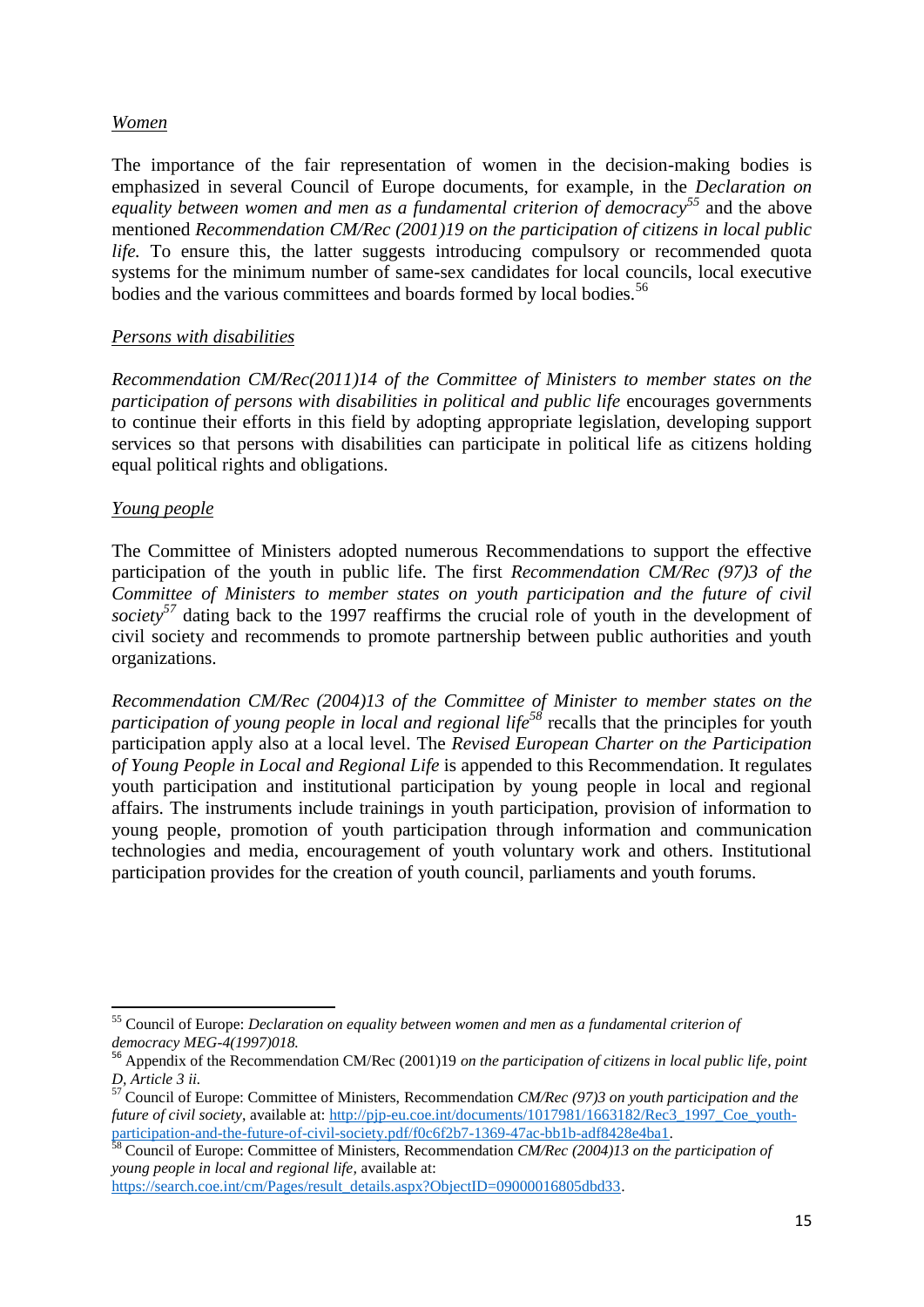### *Women*

The importance of the fair representation of women in the decision-making bodies is emphasized in several Council of Europe documents, for example, in the *Declaration on equality between women and men as a fundamental criterion of democracy<sup>55</sup>* and the above mentioned *Recommendation CM/Rec (2001)19 on the participation of citizens in local public life.* To ensure this, the latter suggests introducing compulsory or recommended quota systems for the minimum number of same-sex candidates for local councils, local executive bodies and the various committees and boards formed by local bodies.<sup>56</sup>

## *Persons with disabilities*

*Recommendation CM/Rec(2011)14 of the Committee of Ministers to member states on the participation of persons with disabilities in political and public life* encourages governments to continue their efforts in this field by adopting appropriate legislation, developing support services so that persons with disabilities can participate in political life as citizens holding equal political rights and obligations.

## *Young people*

The Committee of Ministers adopted numerous Recommendations to support the effective participation of the youth in public life. The first *Recommendation CM/Rec (97)3 of the Committee of Ministers to member states on youth participation and the future of civil society<sup>57</sup>* dating back to the 1997 reaffirms the crucial role of youth in the development of civil society and recommends to promote partnership between public authorities and youth organizations.

*Recommendation CM/Rec (2004)13 of the Committee of Minister to member states on the participation of young people in local and regional life<sup>58</sup> recalls that the principles for youth* participation apply also at a local level. The *Revised European Charter on the Participation of Young People in Local and Regional Life* is appended to this Recommendation. It regulates youth participation and institutional participation by young people in local and regional affairs. The instruments include trainings in youth participation, provision of information to young people, promotion of youth participation through information and communication technologies and media, encouragement of youth voluntary work and others. Institutional participation provides for the creation of youth council, parliaments and youth forums.

**<sup>.</sup>** <sup>55</sup> Council of Europe: *Declaration on equality between women and men as a fundamental criterion of democracy MEG-4(1997)018.*

<sup>56</sup> Appendix of the Recommendation CM/Rec (2001)19 *on the participation of citizens in local public life, point D, Article 3 ii.*

<sup>57</sup> Council of Europe: Committee of Ministers, Recommendation *CM/Rec (97)3 on youth participation and the future of civil society*, available at: http://pip-eu.coe.int/documents/1017981/1663182/Rec3\_1997\_Coe\_youth[participation-and-the-future-of-civil-society.pdf/f0c6f2b7-1369-47ac-bb1b-adf8428e4ba1.](http://pjp-eu.coe.int/documents/1017981/1663182/Rec3_1997_Coe_youth-participation-and-the-future-of-civil-society.pdf/f0c6f2b7-1369-47ac-bb1b-adf8428e4ba1)

<sup>58</sup> Council of Europe: Committee of Ministers, Recommendation *CM/Rec (2004)13 on the participation of young people in local and regional life,* available at:

[https://search.coe.int/cm/Pages/result\\_details.aspx?ObjectID=09000016805dbd33.](https://search.coe.int/cm/Pages/result_details.aspx?ObjectID=09000016805dbd33)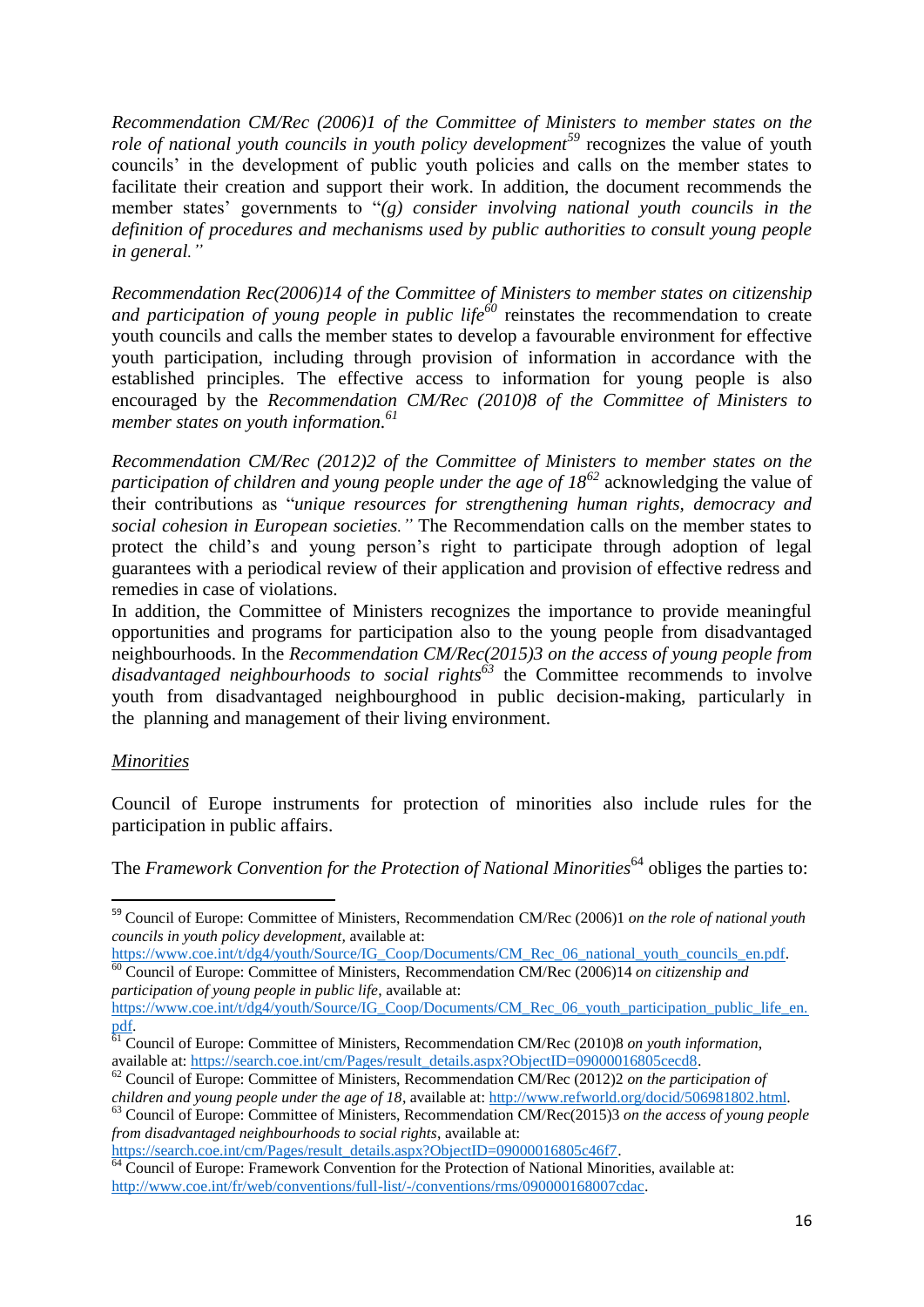*Recommendation CM/Rec (2006)1 of the Committee of Ministers to member states on the role of national youth councils in youth policy development<sup>59</sup>* recognizes the value of youth councils' in the development of public youth policies and calls on the member states to facilitate their creation and support their work. In addition, the document recommends the member states' governments to "*(g) consider involving national youth councils in the definition of procedures and mechanisms used by public authorities to consult young people in general."*

*Recommendation Rec(2006)14 of the Committee of Ministers to member states on citizenship and participation of young people in public life<sup>60</sup>* reinstates the recommendation to create youth councils and calls the member states to develop a favourable environment for effective youth participation, including through provision of information in accordance with the established principles. The effective access to information for young people is also encouraged by the *Recommendation [CM/Rec \(2010\)8](https://search.coe.int/cm/Pages/result_details.aspx?Reference=CM/Rec(2010)8) of the Committee of Ministers to member states on youth information. 61*

*Recommendation CM/Rec (2012)2 of the Committee of Ministers to member states on the participation of children and young people under the age of 18<sup>62</sup>* acknowledging the value of their contributions as "*unique resources for strengthening human rights, democracy and social cohesion in European societies."* The Recommendation calls on the member states to protect the child's and young person's right to participate through adoption of legal guarantees with a periodical review of their application and provision of effective redress and remedies in case of violations.

In addition, the Committee of Ministers recognizes the importance to provide meaningful opportunities and programs for participation also to the young people from disadvantaged neighbourhoods. In the *Recommendation [CM/Rec\(2015\)3](https://search.coe.int/cm/Pages/result_details.aspx?Reference=CM/Rec(2015)3) on the access of young people from disadvantaged neighbourhoods to social rights<sup>63</sup>* the Committee recommends to involve youth from disadvantaged neighbourghood in public decision-making, particularly in the planning and management of their living environment.

## *Minorities*

**.** 

Council of Europe instruments for protection of minorities also include rules for the participation in public affairs.

The *Framework Convention for the Protection of National Minorities*<sup>64</sup> obliges the parties to:

[https://search.coe.int/cm/Pages/result\\_details.aspx?ObjectID=09000016805c46f7.](https://search.coe.int/cm/Pages/result_details.aspx?ObjectID=09000016805c46f7)

<sup>59</sup> Council of Europe: Committee of Ministers, Recommendation CM/Rec (2006)1 *on the role of national youth councils in youth policy development,* available at:

[https://www.coe.int/t/dg4/youth/Source/IG\\_Coop/Documents/CM\\_Rec\\_06\\_national\\_youth\\_councils\\_en.pdf.](https://www.coe.int/t/dg4/youth/Source/IG_Coop/Documents/CM_Rec_06_national_youth_councils_en.pdf) <sup>60</sup> Council of Europe: Committee of Ministers, Recommendation CM/Rec (2006)14 *on citizenship and participation of young people in public life*, available at:

[https://www.coe.int/t/dg4/youth/Source/IG\\_Coop/Documents/CM\\_Rec\\_06\\_youth\\_participation\\_public\\_life\\_en.](https://www.coe.int/t/dg4/youth/Source/IG_Coop/Documents/CM_Rec_06_youth_participation_public_life_en.pdf) [pdf.](https://www.coe.int/t/dg4/youth/Source/IG_Coop/Documents/CM_Rec_06_youth_participation_public_life_en.pdf) 

<sup>61</sup> Council of Europe: Committee of Ministers, Recommendatio[n CM/Rec \(2010\)8](https://search.coe.int/cm/Pages/result_details.aspx?Reference=CM/Rec(2010)8) *on youth information*, available at: [https://search.coe.int/cm/Pages/result\\_details.aspx?ObjectID=09000016805cecd8.](https://search.coe.int/cm/Pages/result_details.aspx?ObjectID=09000016805cecd8)

<sup>62</sup> Council of Europe: Committee of Ministers, Recommendation CM/Rec (2012)2 *on the participation of children and young people under the age of 18*, available at: [http://www.refworld.org/docid/506981802.html.](http://www.refworld.org/docid/506981802.html)

<sup>63</sup> Council of Europe: Committee of Ministers, Recommendatio[n CM/Rec\(2015\)3](https://search.coe.int/cm/Pages/result_details.aspx?Reference=CM/Rec(2015)3) *on the access of young people from disadvantaged neighbourhoods to social rights*, available at:

 $64$  Council of Europe: Framework Convention for the Protection of National Minorities, available at: [http://www.coe.int/fr/web/conventions/full-list/-/conventions/rms/090000168007cdac.](http://www.coe.int/fr/web/conventions/full-list/-/conventions/rms/090000168007cdac)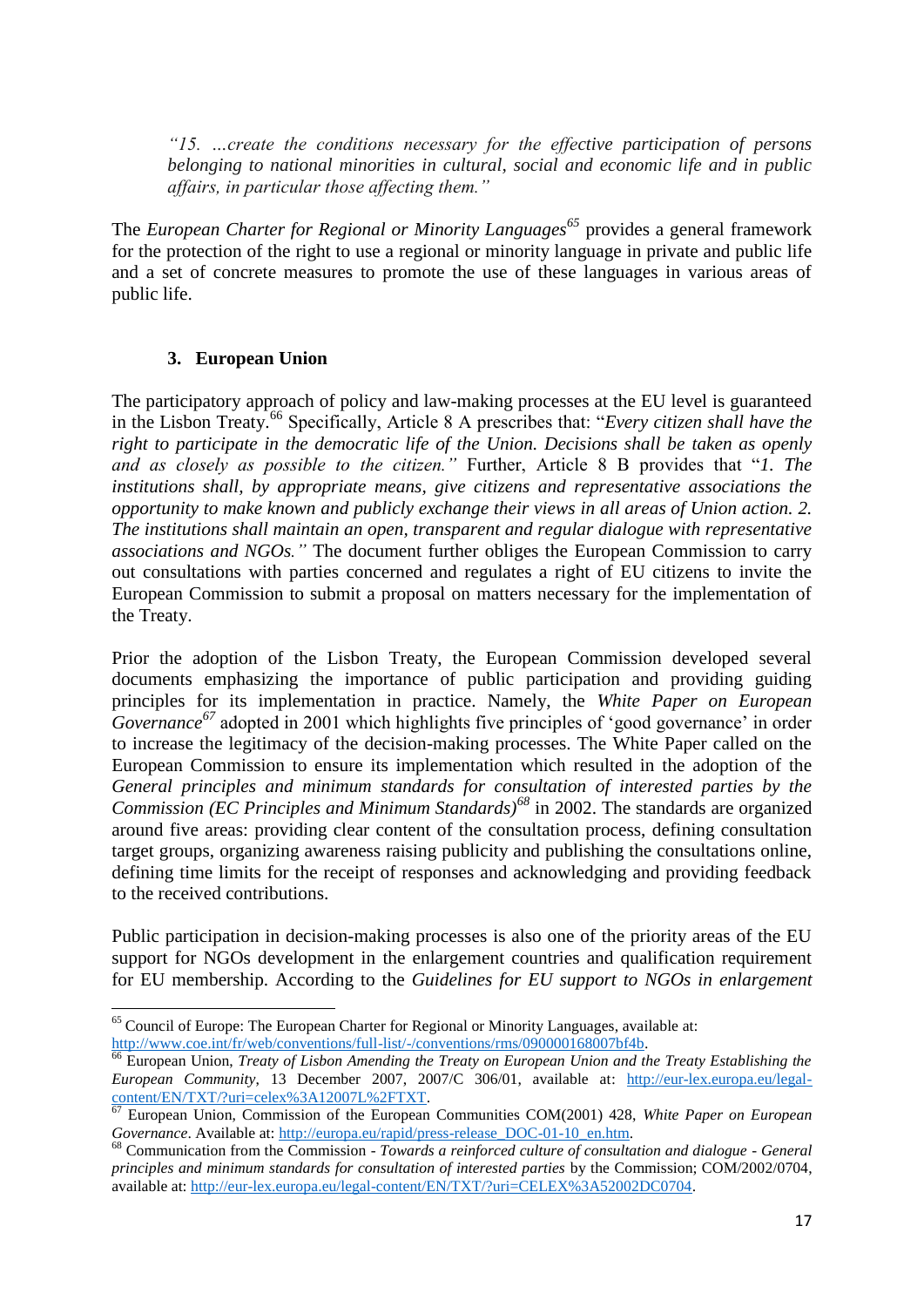*"15. …create the conditions necessary for the effective participation of persons belonging to national minorities in cultural, social and economic life and in public affairs, in particular those affecting them."*

The *European Charter for Regional or Minority Languages<sup>65</sup>* provides a general framework for the protection of the right to use a regional or minority language in private and public life and a set of concrete measures to promote the use of these languages in various areas of public life.

## **3. European Union**

**.** 

<span id="page-17-0"></span>The participatory approach of policy and law-making processes at the EU level is guaranteed in the Lisbon Treaty.<sup>66</sup> Specifically, Article 8 A prescribes that: "*Every citizen shall have the right to participate in the democratic life of the Union. Decisions shall be taken as openly and as closely as possible to the citizen."* Further, Article 8 B provides that "*1. The institutions shall, by appropriate means, give citizens and representative associations the opportunity to make known and publicly exchange their views in all areas of Union action. 2. The institutions shall maintain an open, transparent and regular dialogue with representative associations and NGOs."* The document further obliges the European Commission to carry out consultations with parties concerned and regulates a right of EU citizens to invite the European Commission to submit a proposal on matters necessary for the implementation of the Treaty.

Prior the adoption of the Lisbon Treaty, the European Commission developed several documents emphasizing the importance of public participation and providing guiding principles for its implementation in practice. Namely, the *White Paper on European Governance <sup>67</sup>* adopted in 2001 which highlights five principles of 'good governance' in order to increase the legitimacy of the decision-making processes. The White Paper called on the European Commission to ensure its implementation which resulted in the adoption of the *General principles and minimum standards for consultation of interested parties by the Commission (EC Principles and Minimum Standards)<sup>68</sup>* in 2002. The standards are organized around five areas: providing clear content of the consultation process, defining consultation target groups, organizing awareness raising publicity and publishing the consultations online, defining time limits for the receipt of responses and acknowledging and providing feedback to the received contributions.

Public participation in decision-making processes is also one of the priority areas of the EU support for NGOs development in the enlargement countries and qualification requirement for EU membership. According to the *Guidelines for EU support to NGOs in enlargement* 

<sup>&</sup>lt;sup>65</sup> Council of Europe: The European Charter for Regional or Minority Languages, available at: [http://www.coe.int/fr/web/conventions/full-list/-/conventions/rms/090000168007bf4b.](http://www.coe.int/fr/web/conventions/full-list/-/conventions/rms/090000168007bf4b) 

<sup>66</sup> European Union, *Treaty of Lisbon Amending the Treaty on European Union and the Treaty Establishing the European Community*, 13 December 2007, 2007/C 306/01, available at: [http://eur-lex.europa.eu/legal](http://eur-lex.europa.eu/legal-content/EN/TXT/?uri=celex%3A12007L%2FTXT)[content/EN/TXT/?uri=celex%3A12007L%2FTXT.](http://eur-lex.europa.eu/legal-content/EN/TXT/?uri=celex%3A12007L%2FTXT)

<sup>67</sup> European Union, Commission of the European Communities COM(2001) 428, *White Paper on European Governance*. Available at[: http://europa.eu/rapid/press-release\\_DOC-01-10\\_en.htm.](http://europa.eu/rapid/press-release_DOC-01-10_en.htm)

<sup>68</sup> Communication from the Commission - *Towards a reinforced culture of consultation and dialogue - General principles and minimum standards for consultation of interested parties* by the Commission; COM/2002/0704, available at: [http://eur-lex.europa.eu/legal-content/EN/TXT/?uri=CELEX%3A52002DC0704.](http://eur-lex.europa.eu/legal-content/EN/TXT/?uri=CELEX%3A52002DC0704)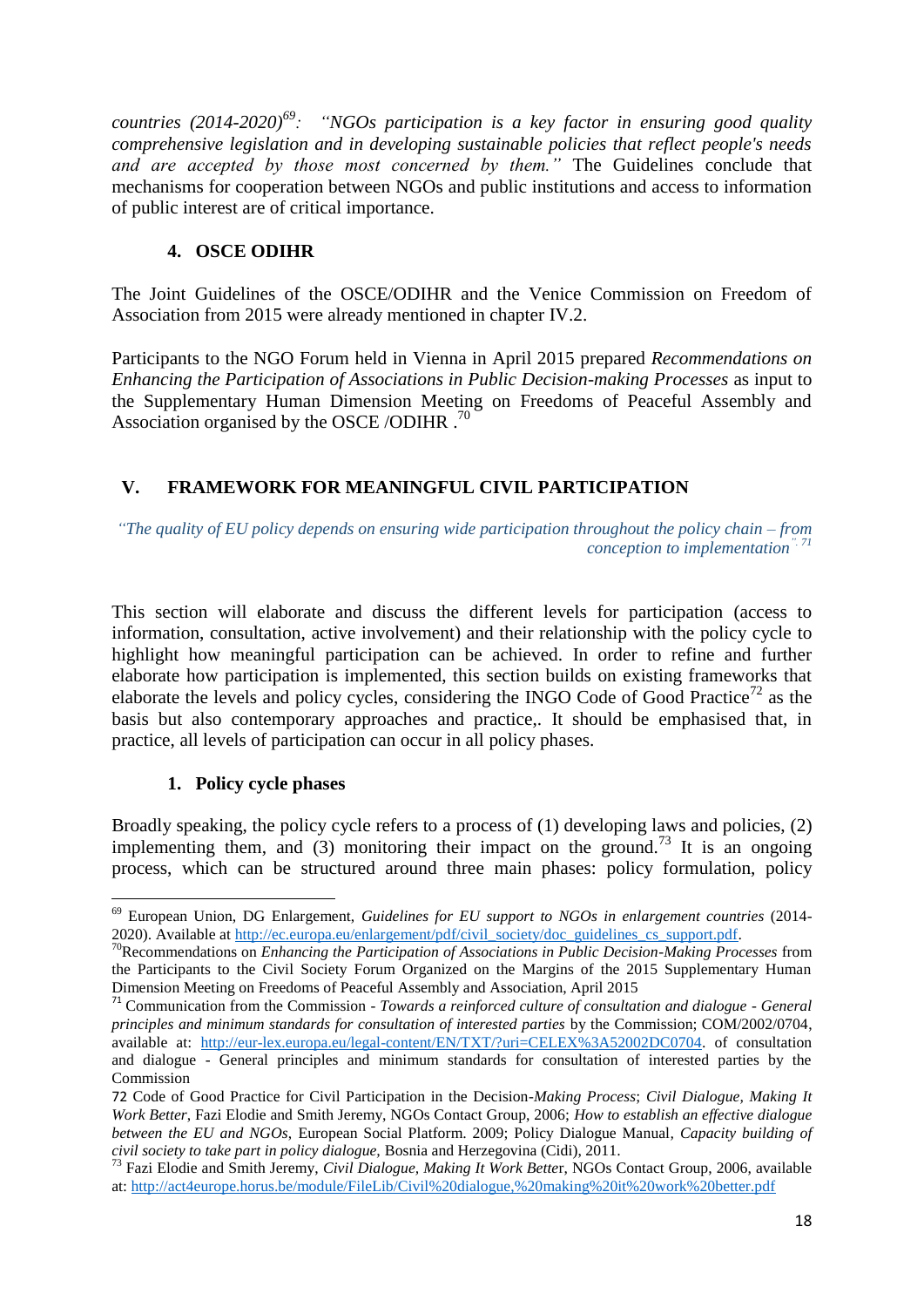*countries (2014-2020)<sup>69</sup>: "NGOs participation is a key factor in ensuring good quality comprehensive legislation and in developing sustainable policies that reflect people's needs and are accepted by those most concerned by them."* The Guidelines conclude that mechanisms for cooperation between NGOs and public institutions and access to information of public interest are of critical importance.

## **4. OSCE ODIHR**

<span id="page-18-0"></span>The Joint Guidelines of the OSCE/ODIHR and the Venice Commission on Freedom of Association from 2015 were already mentioned in chapter IV.2.

Participants to the NGO Forum held in Vienna in April 2015 prepared *Recommendations on Enhancing the Participation of Associations in Public Decision-making Processes* as input to the Supplementary Human Dimension Meeting on Freedoms of Peaceful Assembly and Association organised by the OSCE/ODIHR.<sup>70</sup>

# <span id="page-18-1"></span>**V. FRAMEWORK FOR MEANINGFUL CIVIL PARTICIPATION**

*"The quality of EU policy depends on ensuring wide participation throughout the policy chain – from conception to implementation". 71* 

This section will elaborate and discuss the different levels for participation (access to information, consultation, active involvement) and their relationship with the policy cycle to highlight how meaningful participation can be achieved. In order to refine and further elaborate how participation is implemented, this section builds on existing frameworks that elaborate the levels and policy cycles, considering the INGO Code of Good Practice<sup>72</sup> as the basis but also contemporary approaches and practice,. It should be emphasised that, in practice, all levels of participation can occur in all policy phases.

# **1. Policy cycle phases**

<span id="page-18-2"></span>Broadly speaking, the policy cycle refers to a process of (1) developing laws and policies, (2) implementing them, and  $(3)$  monitoring their impact on the ground.<sup>73</sup> It is an ongoing process, which can be structured around three main phases: policy formulation, policy

**<sup>.</sup>** <sup>69</sup> European Union, DG Enlargement, *Guidelines for EU support to NGOs in enlargement countries* (2014 2020). Available at [http://ec.europa.eu/enlargement/pdf/civil\\_society/doc\\_guidelines\\_cs\\_support.pdf.](http://ec.europa.eu/enlargement/pdf/civil_society/doc_guidelines_cs_support.pdf)

<sup>70</sup>Recommendations on *Enhancing the Participation of Associations in Public Decision-Making Processes* from the Participants to the Civil Society Forum Organized on the Margins of the 2015 Supplementary Human Dimension Meeting on Freedoms of Peaceful Assembly and Association, April 2015

<sup>71</sup> Communication from the Commission - *Towards a reinforced culture of consultation and dialogue - General principles and minimum standards for consultation of interested parties* by the Commission; COM/2002/0704, available at: [http://eur-lex.europa.eu/legal-content/EN/TXT/?uri=CELEX%3A52002DC0704.](http://eur-lex.europa.eu/legal-content/EN/TXT/?uri=CELEX%3A52002DC0704) of consultation and dialogue - General principles and minimum standards for consultation of interested parties by the Commission

<sup>72</sup> Code of Good Practice for Civil Participation in the Decision*-Making Process*; *Civil Dialogue, Making It Work Better*, Fazi Elodie and Smith Jeremy, NGOs Contact Group, 2006; *How to establish an effective dialogue between the EU and NGOs*, European Social Platform. 2009; Policy Dialogue Manual*, Capacity building of civil society to take part in policy dialogue,* Bosnia and Herzegovina (Cidi), 2011.

<sup>73</sup> Fazi Elodie and Smith Jeremy, *Civil Dialogue, Making It Work Bette*r, NGOs Contact Group, 2006, available at:<http://act4europe.horus.be/module/FileLib/Civil%20dialogue,%20making%20it%20work%20better.pdf>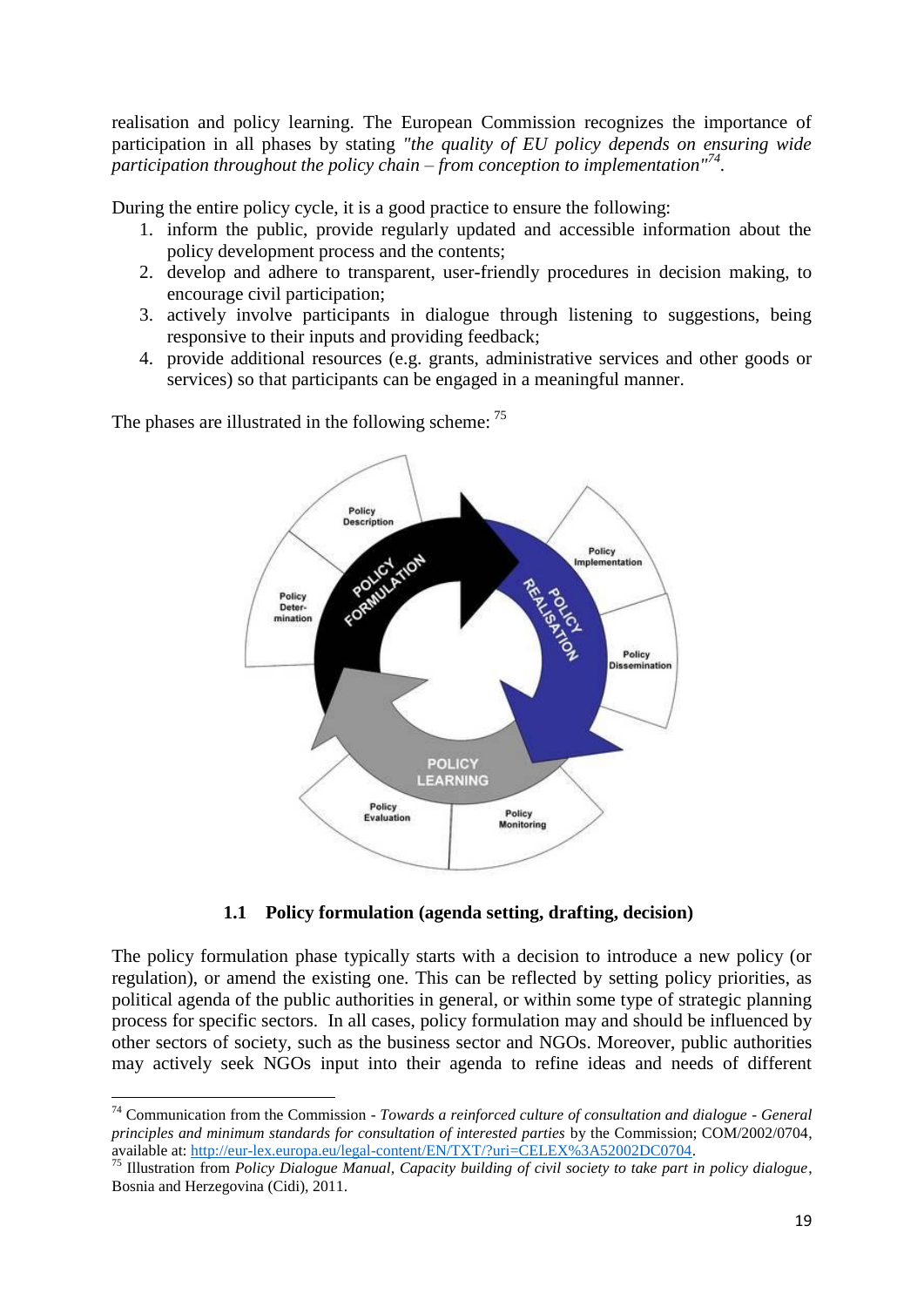realisation and policy learning. The European Commission recognizes the importance of participation in all phases by stating *"the quality of EU policy depends on ensuring wide participation throughout the policy chain – from conception to implementation"<sup>74</sup> .*

During the entire policy cycle, it is a good practice to ensure the following:

- 1. inform the public, provide regularly updated and accessible information about the policy development process and the contents;
- 2. develop and adhere to transparent, user-friendly procedures in decision making, to encourage civil participation;
- 3. actively involve participants in dialogue through listening to suggestions, being responsive to their inputs and providing feedback;
- 4. provide additional resources (e.g. grants, administrative services and other goods or services) so that participants can be engaged in a meaningful manner.



The phases are illustrated in the following scheme: <sup>75</sup>

**.** 

**1.1 Policy formulation (agenda setting, drafting, decision)**

<span id="page-19-0"></span>The policy formulation phase typically starts with a decision to introduce a new policy (or regulation), or amend the existing one. This can be reflected by setting policy priorities, as political agenda of the public authorities in general, or within some type of strategic planning process for specific sectors. In all cases, policy formulation may and should be influenced by other sectors of society, such as the business sector and NGOs. Moreover, public authorities may actively seek NGOs input into their agenda to refine ideas and needs of different

<sup>74</sup> Communication from the Commission - *Towards a reinforced culture of consultation and dialogue - General principles and minimum standards for consultation of interested parties* by the Commission; COM/2002/0704, available at: [http://eur-lex.europa.eu/legal-content/EN/TXT/?uri=CELEX%3A52002DC0704.](http://eur-lex.europa.eu/legal-content/EN/TXT/?uri=CELEX%3A52002DC0704)

<sup>75</sup> Illustration from *Policy Dialogue Manual, Capacity building of civil society to take part in policy dialogue*, Bosnia and Herzegovina (Cidi), 2011.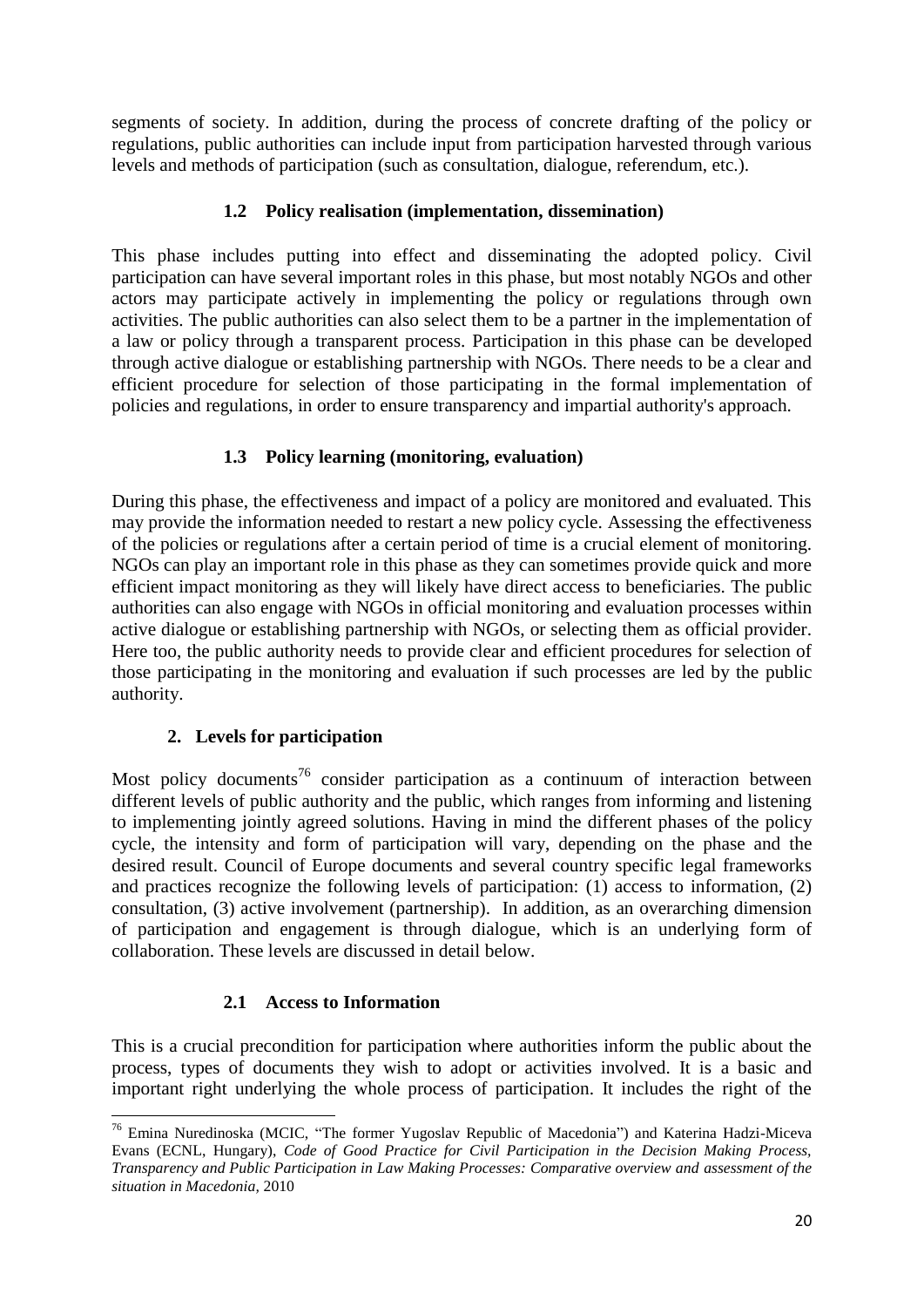segments of society. In addition, during the process of concrete drafting of the policy or regulations, public authorities can include input from participation harvested through various levels and methods of participation (such as consultation, dialogue, referendum, etc.).

# **1.2 Policy realisation (implementation, dissemination)**

<span id="page-20-0"></span>This phase includes putting into effect and disseminating the adopted policy. Civil participation can have several important roles in this phase, but most notably NGOs and other actors may participate actively in implementing the policy or regulations through own activities. The public authorities can also select them to be a partner in the implementation of a law or policy through a transparent process. Participation in this phase can be developed through active dialogue or establishing partnership with NGOs. There needs to be a clear and efficient procedure for selection of those participating in the formal implementation of policies and regulations, in order to ensure transparency and impartial authority's approach.

# **1.3 Policy learning (monitoring, evaluation)**

<span id="page-20-1"></span>During this phase, the effectiveness and impact of a policy are monitored and evaluated. This may provide the information needed to restart a new policy cycle. Assessing the effectiveness of the policies or regulations after a certain period of time is a crucial element of monitoring. NGOs can play an important role in this phase as they can sometimes provide quick and more efficient impact monitoring as they will likely have direct access to beneficiaries. The public authorities can also engage with NGOs in official monitoring and evaluation processes within active dialogue or establishing partnership with NGOs, or selecting them as official provider. Here too, the public authority needs to provide clear and efficient procedures for selection of those participating in the monitoring and evaluation if such processes are led by the public authority.

## **2. Levels for participation**

**.** 

<span id="page-20-2"></span>Most policy documents<sup>76</sup> consider participation as a continuum of interaction between different levels of public authority and the public, which ranges from informing and listening to implementing jointly agreed solutions. Having in mind the different phases of the policy cycle, the intensity and form of participation will vary, depending on the phase and the desired result. Council of Europe documents and several country specific legal frameworks and practices recognize the following levels of participation: (1) access to information, (2) consultation, (3) active involvement (partnership). In addition, as an overarching dimension of participation and engagement is through dialogue, which is an underlying form of collaboration. These levels are discussed in detail below.

# **2.1 Access to Information**

<span id="page-20-3"></span>This is a crucial precondition for participation where authorities inform the public about the process, types of documents they wish to adopt or activities involved. It is a basic and important right underlying the whole process of participation. It includes the right of the

<sup>&</sup>lt;sup>76</sup> Emina Nuredinoska (MCIC, "The former Yugoslav Republic of Macedonia") and Katerina Hadzi-Miceva Evans (ECNL, Hungary), *Code of Good Practice for Civil Participation in the Decision Making Process, Transparency and Public Participation in Law Making Processes: Comparative overview and assessment of the situation in Macedonia,* 2010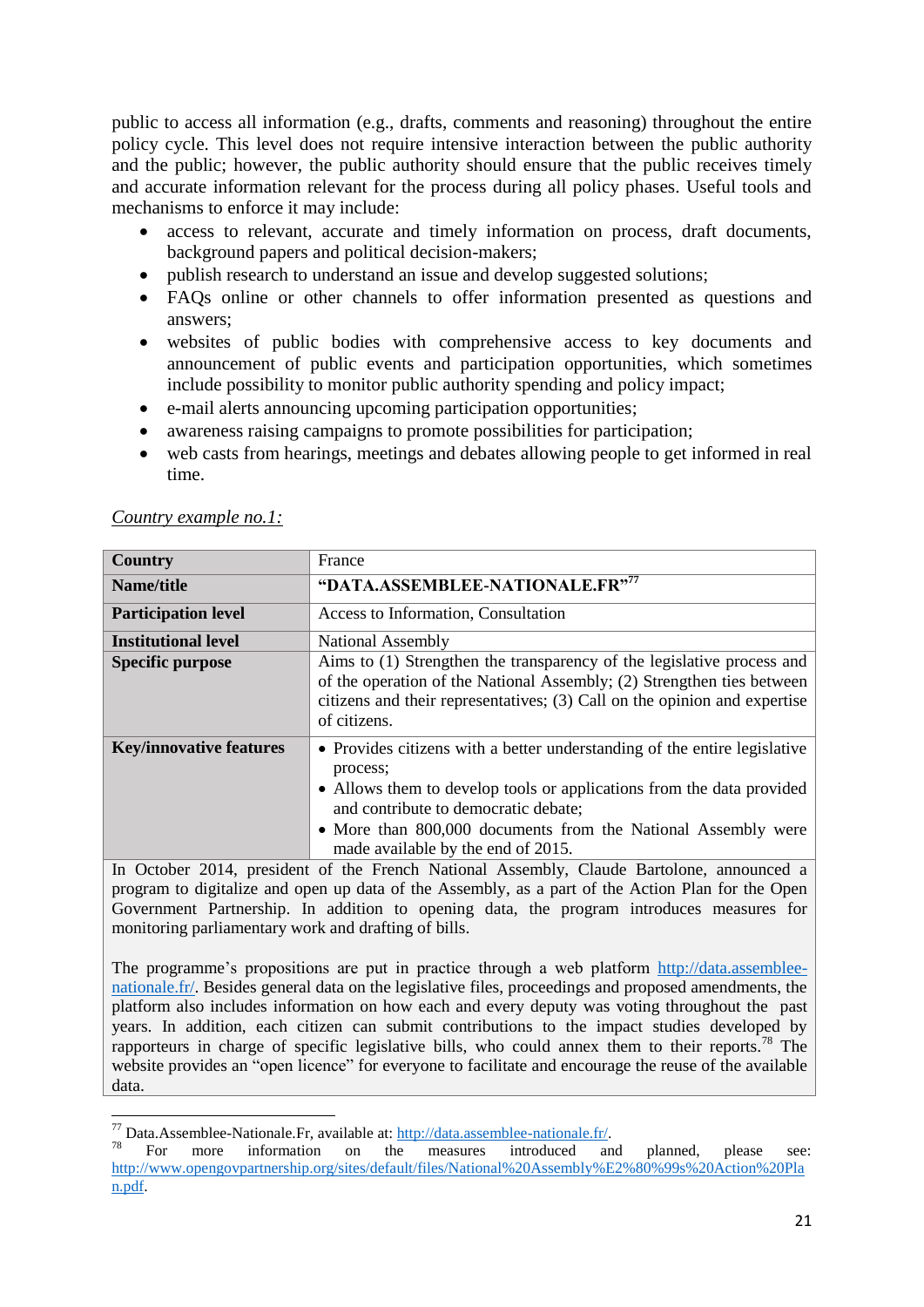public to access all information (e.g., drafts, comments and reasoning) throughout the entire policy cycle. This level does not require intensive interaction between the public authority and the public; however, the public authority should ensure that the public receives timely and accurate information relevant for the process during all policy phases. Useful tools and mechanisms to enforce it may include:

- access to relevant, accurate and timely information on process, draft documents, background papers and political decision-makers;
- publish research to understand an issue and develop suggested solutions;
- FAQs online or other channels to offer information presented as questions and answers;
- websites of public bodies with comprehensive access to key documents and announcement of public events and participation opportunities, which sometimes include possibility to monitor public authority spending and policy impact;
- e-mail alerts announcing upcoming participation opportunities;
- awareness raising campaigns to promote possibilities for participation;
- web casts from hearings, meetings and debates allowing people to get informed in real time.

| <b>Country</b>                                                                                    | France                                                                                                                                                                                                                                                                                                        |  |
|---------------------------------------------------------------------------------------------------|---------------------------------------------------------------------------------------------------------------------------------------------------------------------------------------------------------------------------------------------------------------------------------------------------------------|--|
| Name/title                                                                                        | "DATA.ASSEMBLEE-NATIONALE.FR"77                                                                                                                                                                                                                                                                               |  |
| <b>Participation level</b>                                                                        | Access to Information, Consultation                                                                                                                                                                                                                                                                           |  |
| <b>Institutional level</b>                                                                        | National Assembly                                                                                                                                                                                                                                                                                             |  |
| <b>Specific purpose</b>                                                                           | Aims to (1) Strengthen the transparency of the legislative process and<br>of the operation of the National Assembly; (2) Strengthen ties between<br>citizens and their representatives; (3) Call on the opinion and expertise<br>of citizens.                                                                 |  |
| <b>Key/innovative features</b>                                                                    | • Provides citizens with a better understanding of the entire legislative<br>process;<br>• Allows them to develop tools or applications from the data provided<br>and contribute to democratic debate;<br>• More than 800,000 documents from the National Assembly were<br>made available by the end of 2015. |  |
| In October 2014, president of the French National Assembly, Claude Bartolone, announced a         |                                                                                                                                                                                                                                                                                                               |  |
| program to digitalize and open up data of the Assembly, as a part of the Action Plan for the Open |                                                                                                                                                                                                                                                                                                               |  |
|                                                                                                   | Government Partnership. In addition to opening data, the program introduces measures for                                                                                                                                                                                                                      |  |

### *Country example no.1:*

**.** 

Government Partnership. In addition to opening data, the program introduces measures for monitoring parliamentary work and drafting of bills.

The programme's propositions are put in practice through a web platform [http://data.assemblee](http://data.assemblee-nationale.fr/)[nationale.fr/.](http://data.assemblee-nationale.fr/) Besides general data on the legislative files, proceedings and proposed amendments, the platform also includes information on how each and every deputy was voting throughout the past years. In addition, each citizen can submit contributions to the impact studies developed by rapporteurs in charge of specific legislative bills, who could annex them to their reports.<sup>78</sup> The website provides an "open licence" for everyone to facilitate and encourage the reuse of the available data.

<sup>77</sup> Data.Assemblee-Nationale.Fr, available at: [http://data.assemblee-nationale.fr/.](http://data.assemblee-nationale.fr/)

<sup>&</sup>lt;sup>78</sup> For more information on the measures introduced and planned, please see: [http://www.opengovpartnership.org/sites/default/files/National%20Assembly%E2%80%99s%20Action%20Pla](http://www.opengovpartnership.org/sites/default/files/National%20Assembly%E2%80%99s%20Action%20Plan.pdf) [n.pdf.](http://www.opengovpartnership.org/sites/default/files/National%20Assembly%E2%80%99s%20Action%20Plan.pdf)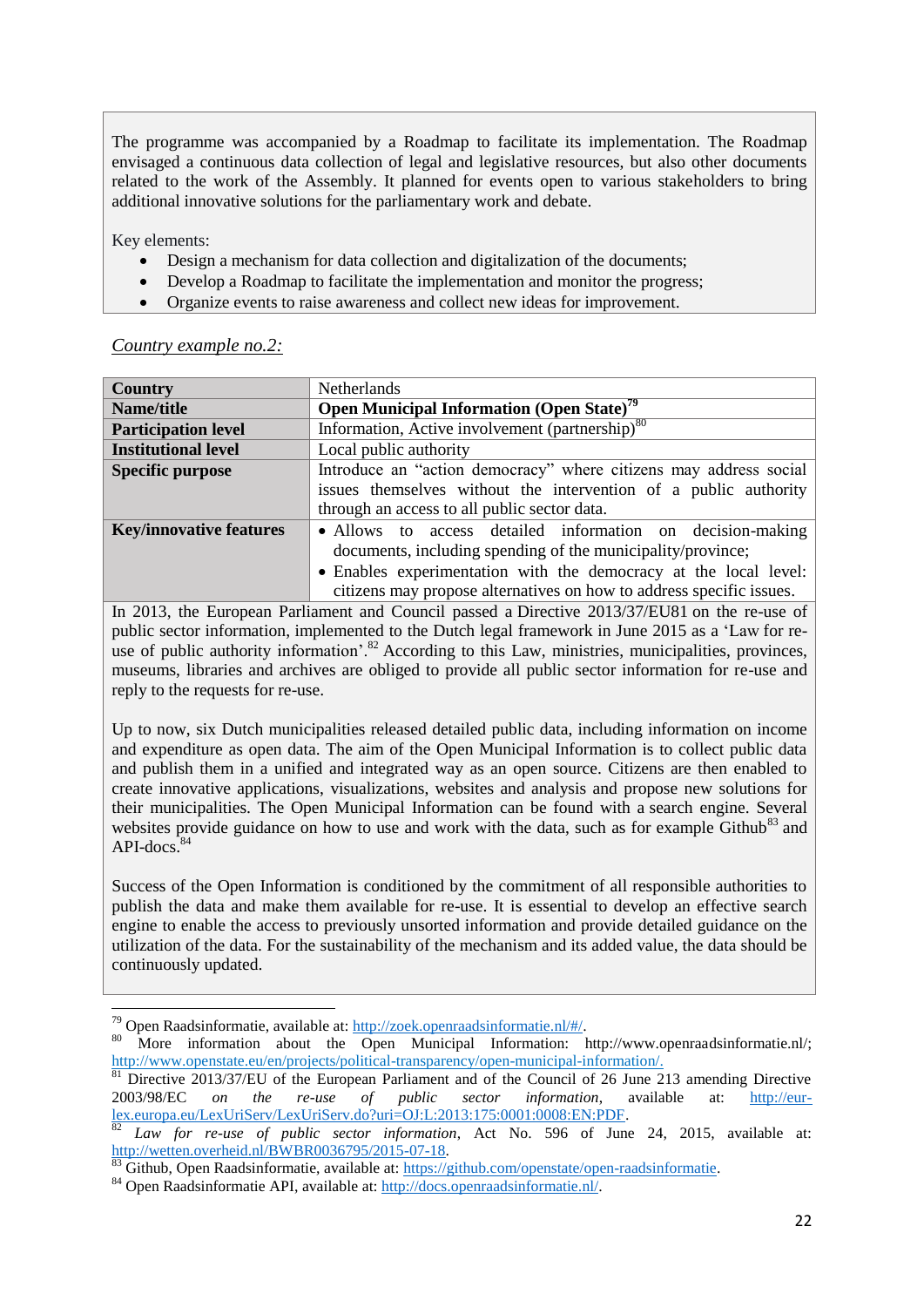The programme was accompanied by a Roadmap to facilitate its implementation. The Roadmap envisaged a continuous data collection of legal and legislative resources, but also other documents related to the work of the Assembly. It planned for events open to various stakeholders to bring additional innovative solutions for the parliamentary work and debate.

Key elements:

**.** 

- Design a mechanism for data collection and digitalization of the documents;
- Develop a Roadmap to facilitate the implementation and monitor the progress;
- Organize events to raise awareness and collect new ideas for improvement.

*Country example no.2:* 

| <b>Country</b>                 | <b>Netherlands</b>                                                   |  |
|--------------------------------|----------------------------------------------------------------------|--|
| Name/title                     | <b>Open Municipal Information (Open State)<sup>79</sup></b>          |  |
| <b>Participation level</b>     | Information, Active involvement (partnership) <sup>80</sup>          |  |
| <b>Institutional level</b>     | Local public authority                                               |  |
| <b>Specific purpose</b>        | Introduce an "action democracy" where citizens may address social    |  |
|                                | issues themselves without the intervention of a public authority     |  |
|                                | through an access to all public sector data.                         |  |
| <b>Key/innovative features</b> | • Allows to access detailed information on decision-making           |  |
|                                | documents, including spending of the municipality/province;          |  |
|                                | • Enables experimentation with the democracy at the local level:     |  |
|                                | citizens may propose alternatives on how to address specific issues. |  |

In 2013, the European Parliament and Council passed a Directive 2013/37/EU81 on the re-use of public sector information, implemented to the Dutch legal framework in June 2015 as a 'Law for reuse of public authority information'.<sup>82</sup> According to this Law, ministries, municipalities, provinces, museums, libraries and archives are obliged to provide all public sector information for re-use and reply to the requests for re-use.

Up to now, six Dutch municipalities released detailed public data, including information on income and expenditure as open data. The aim of the Open Municipal Information is to collect public data and publish them in a unified and integrated way as an open source. Citizens are then enabled to create innovative applications, visualizations, websites and analysis and propose new solutions for their municipalities. The Open Municipal Information can be found with a search engine. Several websites provide guidance on how to use and work with the data, such as for example Github<sup>83</sup> and API-docs. 84

Success of the Open Information is conditioned by the commitment of all responsible authorities to publish the data and make them available for re-use. It is essential to develop an effective search engine to enable the access to previously unsorted information and provide detailed guidance on the utilization of the data. For the sustainability of the mechanism and its added value, the data should be continuously updated.

<sup>79</sup> Open Raadsinformatie, available at: [http://zoek.openraadsinformatie.nl/#/.](http://zoek.openraadsinformatie.nl/#/)

<sup>80</sup> More information about the Open Municipal Information: http://www.openraadsinformatie.nl/; [http://www.openstate.eu/en/projects/political-transparency/open-municipal-information/.](http://www.openstate.eu/en/projects/political-transparency/open-municipal-information/)

<sup>&</sup>lt;sup>81</sup> Directive 2013/37/EU of the European Parliament and of the Council of 26 June 213 amending Directive 2003/98/EC *on the re-use of public sector information*, available at: [http://eur](http://eur-lex.europa.eu/LexUriServ/LexUriServ.do?uri=OJ:L:2013:175:0001:0008:EN:PDF)[lex.europa.eu/LexUriServ/LexUriServ.do?uri=OJ:L:2013:175:0001:0008:EN:PDF.](http://eur-lex.europa.eu/LexUriServ/LexUriServ.do?uri=OJ:L:2013:175:0001:0008:EN:PDF)

 $82$  *Law for re-use of public sector information*, Act No. 596 of June 24, 2015, available at: [http://wetten.overheid.nl/BWBR0036795/2015-07-18.](http://wetten.overheid.nl/BWBR0036795/2015-07-18)

Github, Open Raadsinformatie, available at: [https://github.com/openstate/open-raadsinformatie.](https://github.com/openstate/open-raadsinformatie)

<sup>84</sup> Open Raadsinformatie API, available at: [http://docs.openraadsinformatie.nl/.](http://docs.openraadsinformatie.nl/)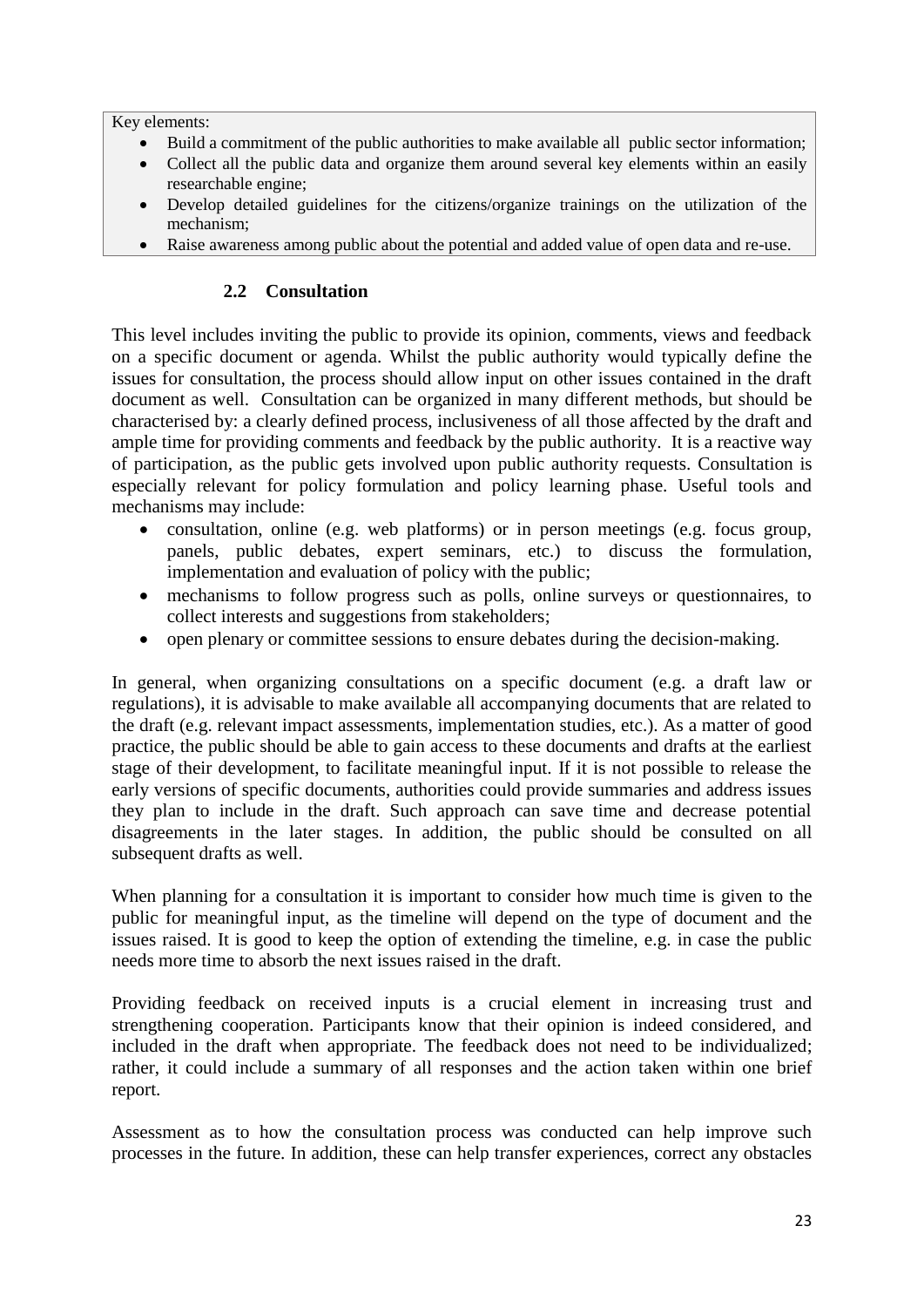Key elements:

- Build a commitment of the public authorities to make available all public sector information;
- Collect all the public data and organize them around several key elements within an easily researchable engine;
- Develop detailed guidelines for the citizens/organize trainings on the utilization of the mechanism;
- Raise awareness among public about the potential and added value of open data and re-use.

## **2.2 Consultation**

<span id="page-23-0"></span>This level includes inviting the public to provide its opinion, comments, views and feedback on a specific document or agenda. Whilst the public authority would typically define the issues for consultation, the process should allow input on other issues contained in the draft document as well. Consultation can be organized in many different methods, but should be characterised by: a clearly defined process, inclusiveness of all those affected by the draft and ample time for providing comments and feedback by the public authority. It is a reactive way of participation, as the public gets involved upon public authority requests. Consultation is especially relevant for policy formulation and policy learning phase. Useful tools and mechanisms may include:

- consultation, online (e.g. web platforms) or in person meetings (e.g. focus group, panels, public debates, expert seminars, etc.) to discuss the formulation, implementation and evaluation of policy with the public;
- mechanisms to follow progress such as polls, online surveys or questionnaires, to collect interests and suggestions from stakeholders;
- open plenary or committee sessions to ensure debates during the decision-making.

In general, when organizing consultations on a specific document (e.g. a draft law or regulations), it is advisable to make available all accompanying documents that are related to the draft (e.g. relevant impact assessments, implementation studies, etc.). As a matter of good practice, the public should be able to gain access to these documents and drafts at the earliest stage of their development, to facilitate meaningful input. If it is not possible to release the early versions of specific documents, authorities could provide summaries and address issues they plan to include in the draft. Such approach can save time and decrease potential disagreements in the later stages. In addition, the public should be consulted on all subsequent drafts as well.

When planning for a consultation it is important to consider how much time is given to the public for meaningful input, as the timeline will depend on the type of document and the issues raised. It is good to keep the option of extending the timeline, e.g. in case the public needs more time to absorb the next issues raised in the draft.

Providing feedback on received inputs is a crucial element in increasing trust and strengthening cooperation. Participants know that their opinion is indeed considered, and included in the draft when appropriate. The feedback does not need to be individualized; rather, it could include a summary of all responses and the action taken within one brief report.

Assessment as to how the consultation process was conducted can help improve such processes in the future. In addition, these can help transfer experiences, correct any obstacles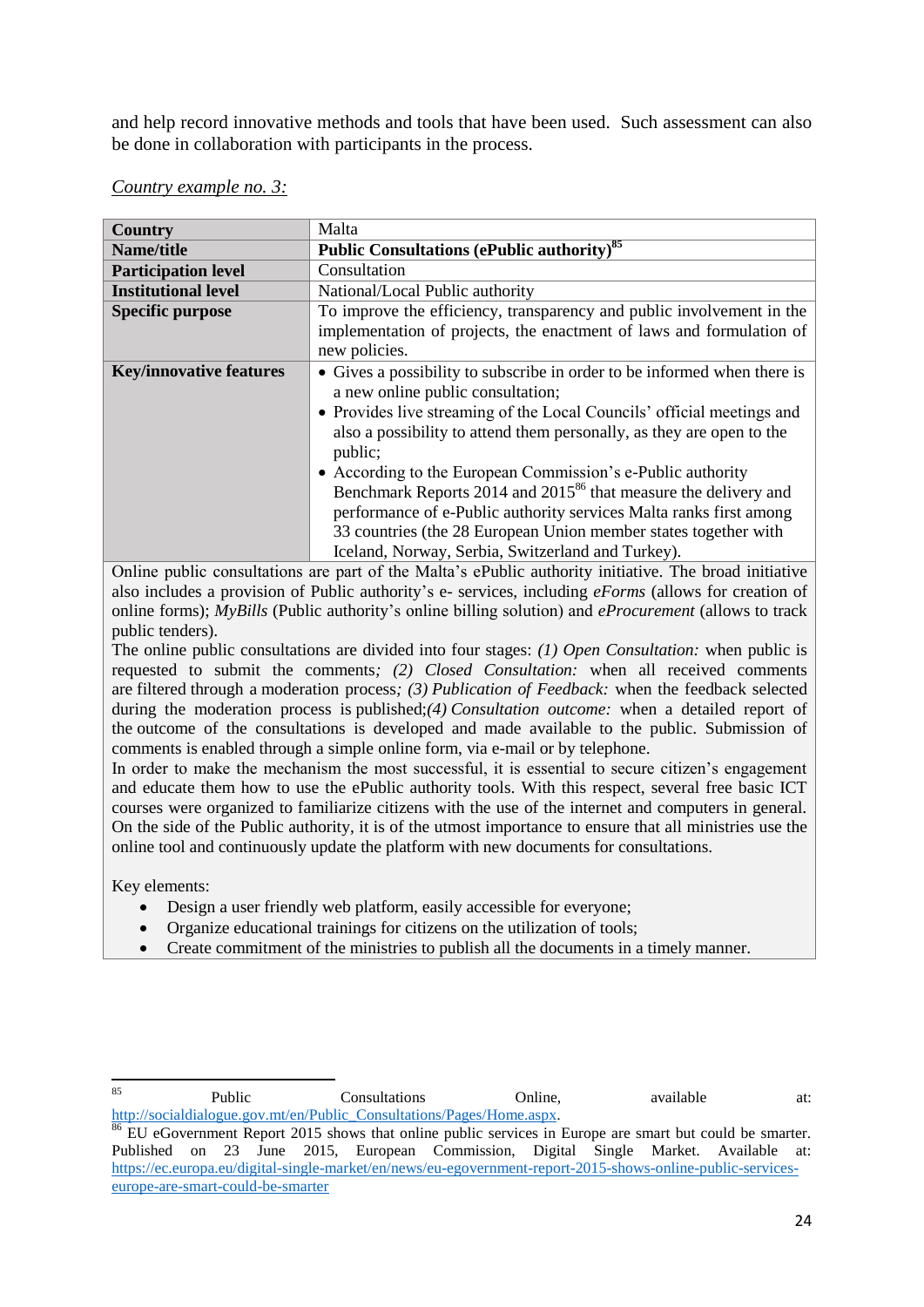and help record innovative methods and tools that have been used. Such assessment can also be done in collaboration with participants in the process.

| <b>Country</b>                 | Malta                                                                                                                                                                                                                                                                                                                                                                                                                                                                                                                                                                                                                   |
|--------------------------------|-------------------------------------------------------------------------------------------------------------------------------------------------------------------------------------------------------------------------------------------------------------------------------------------------------------------------------------------------------------------------------------------------------------------------------------------------------------------------------------------------------------------------------------------------------------------------------------------------------------------------|
| Name/title                     | Public Consultations (ePublic authority) <sup>85</sup>                                                                                                                                                                                                                                                                                                                                                                                                                                                                                                                                                                  |
| <b>Participation level</b>     | Consultation                                                                                                                                                                                                                                                                                                                                                                                                                                                                                                                                                                                                            |
| <b>Institutional level</b>     | National/Local Public authority                                                                                                                                                                                                                                                                                                                                                                                                                                                                                                                                                                                         |
| <b>Specific purpose</b>        | To improve the efficiency, transparency and public involvement in the<br>implementation of projects, the enactment of laws and formulation of<br>new policies.                                                                                                                                                                                                                                                                                                                                                                                                                                                          |
| <b>Key/innovative features</b> | • Gives a possibility to subscribe in order to be informed when there is<br>a new online public consultation;<br>• Provides live streaming of the Local Councils' official meetings and<br>also a possibility to attend them personally, as they are open to the<br>public;<br>• According to the European Commission's e-Public authority<br>Benchmark Reports 2014 and 2015 <sup>86</sup> that measure the delivery and<br>performance of e-Public authority services Malta ranks first among<br>33 countries (the 28 European Union member states together with<br>Iceland, Norway, Serbia, Switzerland and Turkey). |

### *Country example no. 3:*

Online public consultations are part of the Malta's ePublic authority initiative. The broad initiative also includes a provision of Public authority's e- services, including *eForms* (allows for creation of online forms); *MyBills* (Public authority's online billing solution) and *eProcurement* (allows to track public tenders).

The online public consultations are divided into four stages: *(1) Open Consultation:* when public is requested to submit the comments*; (2) Closed Consultation:* when all received comments are filtered through a moderation process*; (3) Publication of Feedback:* when the feedback selected during the moderation process is published;*(4) Consultation outcome:* when a detailed report of the outcome of the consultations is developed and made available to the public. Submission of comments is enabled through a simple online form, via e-mail or by telephone.

In order to make the mechanism the most successful, it is essential to secure citizen's engagement and educate them how to use the ePublic authority tools. With this respect, several free basic ICT courses were organized to familiarize citizens with the use of the internet and computers in general. On the side of the Public authority, it is of the utmost importance to ensure that all ministries use the online tool and continuously update the platform with new documents for consultations.

Key elements:

- Design a user friendly web platform, easily accessible for everyone;
- Organize educational trainings for citizens on the utilization of tools;
- Create commitment of the ministries to publish all the documents in a timely manner.

 $85$ 85 **Public** Consultations Online, available at: [http://socialdialogue.gov.mt/en/Public\\_Consultations/Pages/Home.aspx.](http://socialdialogue.gov.mt/en/Public_Consultations/Pages/Home.aspx)

<sup>&</sup>lt;sup>86</sup> EU eGovernment Report 2015 shows that online public services in Europe are smart but could be smarter. Published on 23 June 2015, European Commission, Digital Single Market. Available at: [https://ec.europa.eu/digital-single-market/en/news/eu-egovernment-report-2015-shows-online-public-services](https://ec.europa.eu/digital-single-market/en/news/eu-egovernment-report-2015-shows-online-public-services-europe-are-smart-could-be-smarter)[europe-are-smart-could-be-smarter](https://ec.europa.eu/digital-single-market/en/news/eu-egovernment-report-2015-shows-online-public-services-europe-are-smart-could-be-smarter)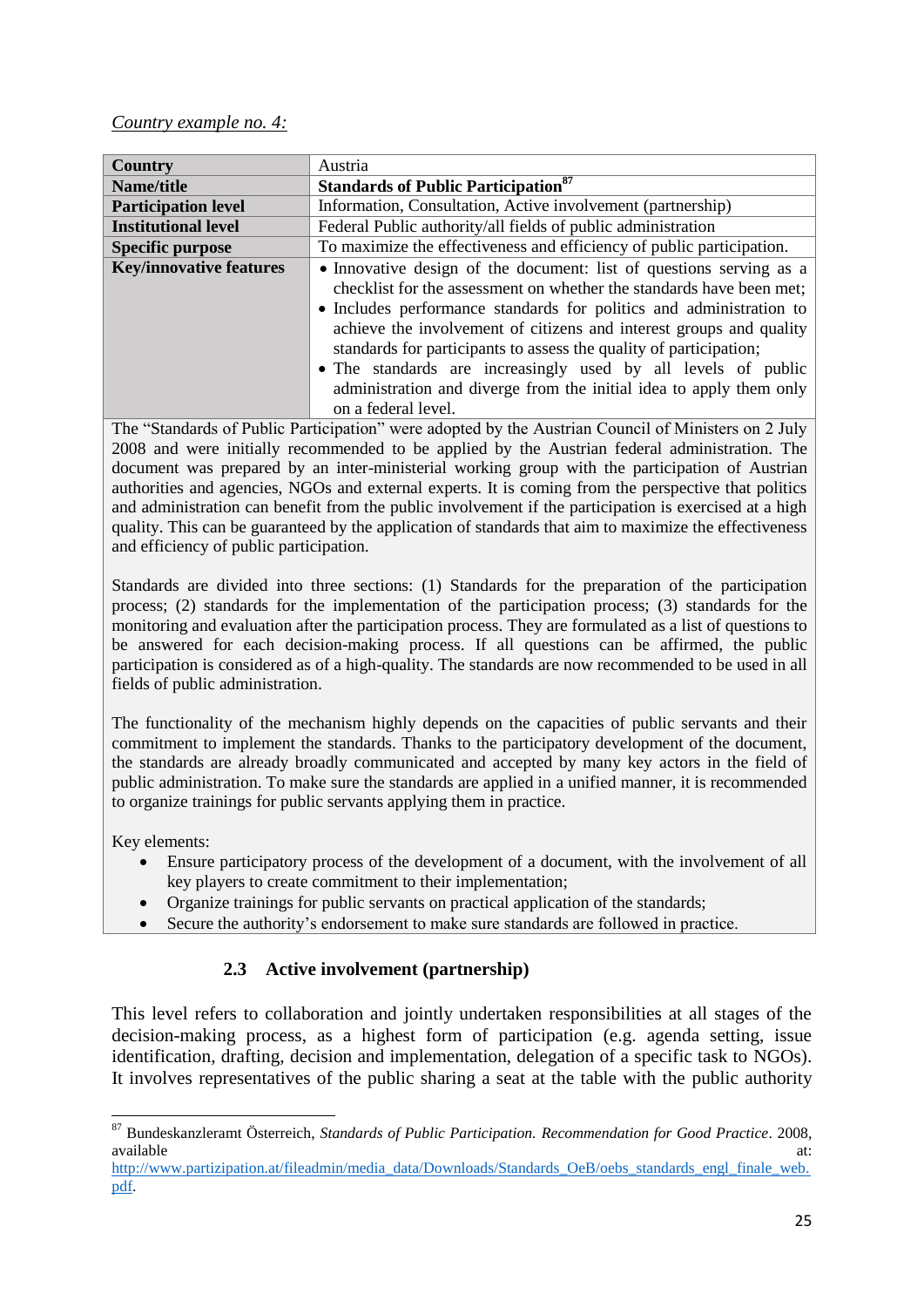### *Country example no. 4:*

| <b>Country</b>                 | Austria                                                                                                                                                                                                                                                                                                                                                                                                                                                                                                                        |
|--------------------------------|--------------------------------------------------------------------------------------------------------------------------------------------------------------------------------------------------------------------------------------------------------------------------------------------------------------------------------------------------------------------------------------------------------------------------------------------------------------------------------------------------------------------------------|
| Name/title                     | <b>Standards of Public Participation</b> <sup>87</sup>                                                                                                                                                                                                                                                                                                                                                                                                                                                                         |
| <b>Participation level</b>     | Information, Consultation, Active involvement (partnership)                                                                                                                                                                                                                                                                                                                                                                                                                                                                    |
| <b>Institutional level</b>     | Federal Public authority/all fields of public administration                                                                                                                                                                                                                                                                                                                                                                                                                                                                   |
| <b>Specific purpose</b>        | To maximize the effectiveness and efficiency of public participation.                                                                                                                                                                                                                                                                                                                                                                                                                                                          |
| <b>Key/innovative features</b> | • Innovative design of the document: list of questions serving as a<br>checklist for the assessment on whether the standards have been met;<br>• Includes performance standards for politics and administration to<br>achieve the involvement of citizens and interest groups and quality<br>standards for participants to assess the quality of participation;<br>• The standards are increasingly used by all levels of public<br>administration and diverge from the initial idea to apply them only<br>on a federal level. |

The "Standards of Public Participation" were adopted by the Austrian Council of Ministers on 2 July 2008 and were initially recommended to be applied by the Austrian federal administration. The document was prepared by an inter-ministerial working group with the participation of Austrian authorities and agencies, NGOs and external experts. It is coming from the perspective that politics and administration can benefit from the public involvement if the participation is exercised at a high quality. This can be guaranteed by the application of standards that aim to maximize the effectiveness and efficiency of public participation.

Standards are divided into three sections: (1) Standards for the preparation of the participation process; (2) standards for the implementation of the participation process; (3) standards for the monitoring and evaluation after the participation process. They are formulated as a list of questions to be answered for each decision-making process. If all questions can be affirmed, the public participation is considered as of a high-quality. The standards are now recommended to be used in all fields of public administration.

The functionality of the mechanism highly depends on the capacities of public servants and their commitment to implement the standards. Thanks to the participatory development of the document, the standards are already broadly communicated and accepted by many key actors in the field of public administration. To make sure the standards are applied in a unified manner, it is recommended to organize trainings for public servants applying them in practice.

Key elements:

**.** 

- Ensure participatory process of the development of a document, with the involvement of all key players to create commitment to their implementation;
- Organize trainings for public servants on practical application of the standards;
- Secure the authority's endorsement to make sure standards are followed in practice.

# **2.3 Active involvement (partnership)**

<span id="page-25-0"></span>This level refers to collaboration and jointly undertaken responsibilities at all stages of the decision-making process, as a highest form of participation (e.g. agenda setting, issue identification, drafting, decision and implementation, delegation of a specific task to NGOs). It involves representatives of the public sharing a seat at the table with the public authority

<sup>87</sup> Bundeskanzleramt Österreich, *Standards of Public Participation. Recommendation for Good Practice*. 2008, available at:  $\overline{a}$  at:  $\overline{a}$  available at:  $\overline{a}$  at:  $\overline{a}$  at:  $\overline{a}$  at:  $\overline{a}$  at:  $\overline{a}$  at:  $\overline{a}$  at:  $\overline{a}$  at:  $\overline{a}$  at:  $\overline{a}$  at:  $\overline{a}$  at:  $\overline{a}$  at:  $\overline{a}$  at:  $\overline{a}$  at:  $\over$ 

[http://www.partizipation.at/fileadmin/media\\_data/Downloads/Standards\\_OeB/oebs\\_standards\\_engl\\_finale\\_web.](http://www.partizipation.at/fileadmin/media_data/Downloads/Standards_OeB/oebs_standards_engl_finale_web.pdf) [pdf.](http://www.partizipation.at/fileadmin/media_data/Downloads/Standards_OeB/oebs_standards_engl_finale_web.pdf)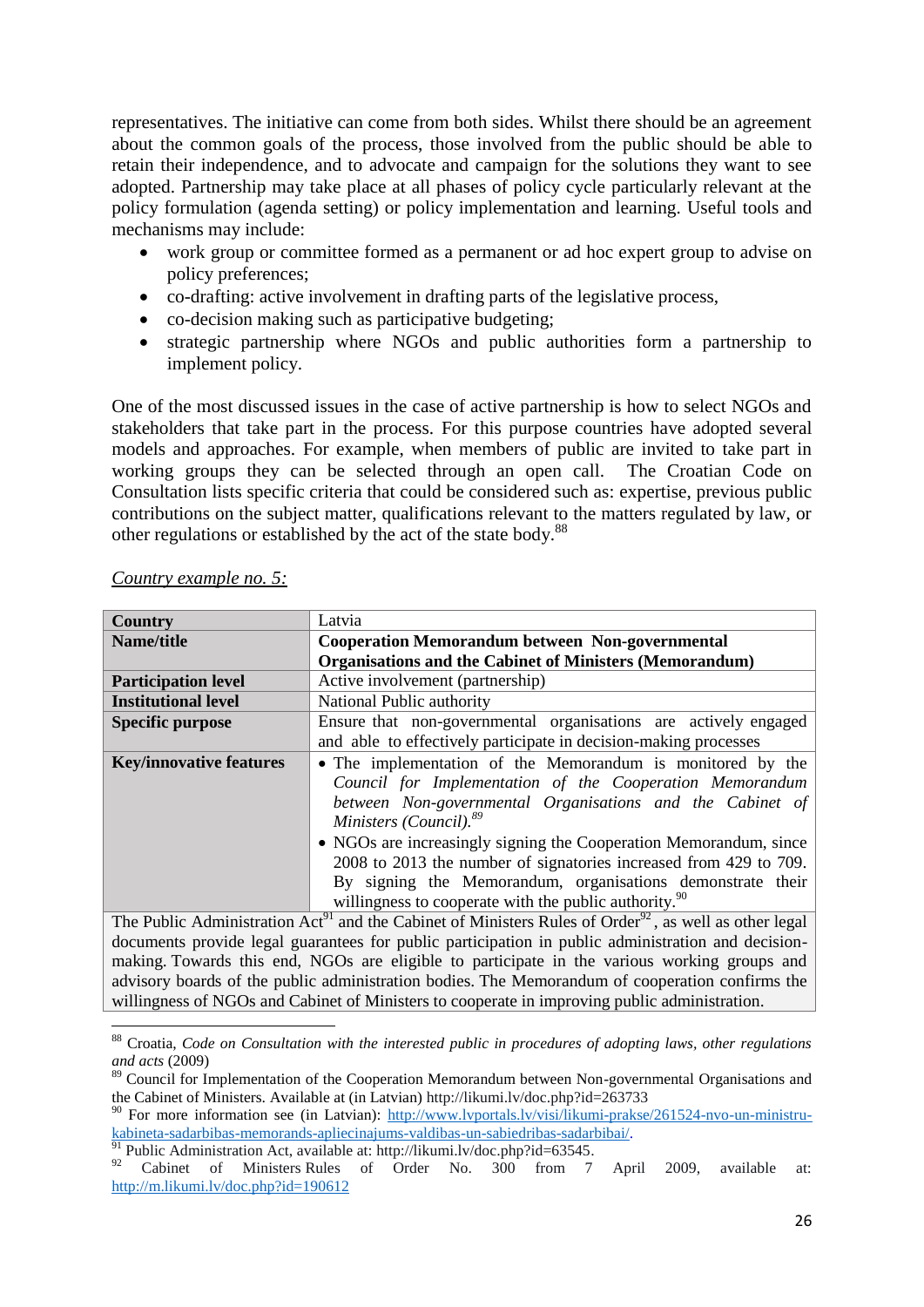representatives. The initiative can come from both sides. Whilst there should be an agreement about the common goals of the process, those involved from the public should be able to retain their independence, and to advocate and campaign for the solutions they want to see adopted. Partnership may take place at all phases of policy cycle particularly relevant at the policy formulation (agenda setting) or policy implementation and learning. Useful tools and mechanisms may include:

- work group or committee formed as a permanent or ad hoc expert group to advise on policy preferences;
- co-drafting: active involvement in drafting parts of the legislative process,
- co-decision making such as participative budgeting;
- strategic partnership where NGOs and public authorities form a partnership to implement policy.

One of the most discussed issues in the case of active partnership is how to select NGOs and stakeholders that take part in the process. For this purpose countries have adopted several models and approaches. For example, when members of public are invited to take part in working groups they can be selected through an open call. The Croatian Code on Consultation lists specific criteria that could be considered such as: expertise, previous public contributions on the subject matter, qualifications relevant to the matters regulated by law, or other regulations or established by the act of the state body.<sup>88</sup>

| <b>Country</b>                                                                                                                 | Latvia                                                                                             |  |
|--------------------------------------------------------------------------------------------------------------------------------|----------------------------------------------------------------------------------------------------|--|
| Name/title                                                                                                                     | <b>Cooperation Memorandum between Non-governmental</b>                                             |  |
|                                                                                                                                | <b>Organisations and the Cabinet of Ministers (Memorandum)</b>                                     |  |
| <b>Participation level</b>                                                                                                     | Active involvement (partnership)                                                                   |  |
| <b>Institutional level</b>                                                                                                     | National Public authority                                                                          |  |
| <b>Specific purpose</b>                                                                                                        | Ensure that non-governmental organisations are actively engaged                                    |  |
|                                                                                                                                | and able to effectively participate in decision-making processes                                   |  |
| <b>Key/innovative features</b>                                                                                                 | • The implementation of the Memorandum is monitored by the                                         |  |
|                                                                                                                                | Council for Implementation of the Cooperation Memorandum                                           |  |
|                                                                                                                                | between Non-governmental Organisations and the Cabinet of                                          |  |
|                                                                                                                                | Ministers (Council). <sup>89</sup>                                                                 |  |
|                                                                                                                                | • NGOs are increasingly signing the Cooperation Memorandum, since                                  |  |
|                                                                                                                                | 2008 to 2013 the number of signatories increased from 429 to 709.                                  |  |
|                                                                                                                                | By signing the Memorandum, organisations demonstrate their                                         |  |
|                                                                                                                                | willingness to cooperate with the public authority. <sup>90</sup>                                  |  |
| The Public Administration Act <sup>91</sup> and the Cabinet of Ministers Rules of Order <sup>92</sup> , as well as other legal |                                                                                                    |  |
|                                                                                                                                | documents provide legal guarantees for public participation in public administration and decision- |  |

*Country example no. 5:* 

 $\overline{a}$ 

making. Towards this end, NGOs are eligible to participate in the various working groups and advisory boards of the public administration bodies. The Memorandum of cooperation confirms the willingness of NGOs and Cabinet of Ministers to cooperate in improving public administration.

<sup>88</sup> Croatia, *Code on Consultation with the interested public in procedures of adopting laws, other regulations and acts* (2009)

<sup>&</sup>lt;sup>89</sup> Council for Implementation of the Cooperation Memorandum between Non-governmental Organisations and the Cabinet of Ministers. Available at (in Latvian) http://likumi.lv/doc.php?id=263733

<sup>90</sup> For more information see (in Latvian): [http://www.lvportals.lv/visi/likumi-prakse/261524-nvo-un-ministru](http://www.lvportals.lv/visi/likumi-prakse/261524-nvo-un-ministru-kabineta-sadarbibas-memorands-apliecinajums-valdibas-un-sabiedribas-sadarbibai/)[kabineta-sadarbibas-memorands-apliecinajums-valdibas-un-sabiedribas-sadarbibai/.](http://www.lvportals.lv/visi/likumi-prakse/261524-nvo-un-ministru-kabineta-sadarbibas-memorands-apliecinajums-valdibas-un-sabiedribas-sadarbibai/)

Public Administration Act, available at: [http://likumi.lv/doc.php?id=63545.](http://likumi.lv/doc.php?id=63545)

<sup>&</sup>lt;sup>92</sup> Cabinet of Ministers Rules of Order No. 300 from 7 April 2009, available at: <http://m.likumi.lv/doc.php?id=190612>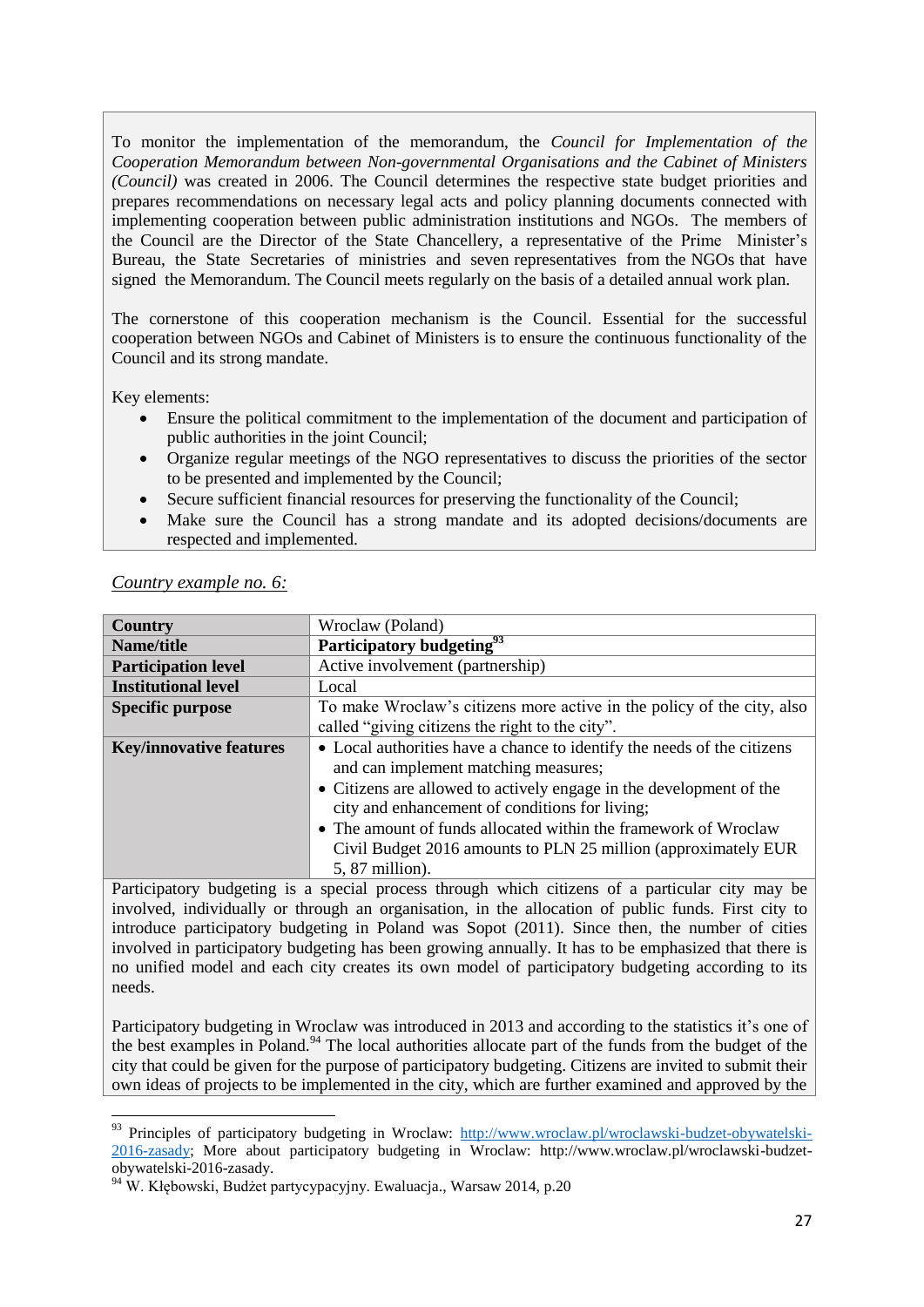To monitor the implementation of the memorandum, the *Council for Implementation of the Cooperation Memorandum between Non-governmental Organisations and the Cabinet of Ministers (Council)* was created in 2006. The Council determines the respective state budget priorities and prepares recommendations on necessary legal acts and policy planning documents connected with implementing cooperation between public administration institutions and NGOs. The members of the Council are the Director of the State Chancellery, a representative of the Prime Minister's Bureau, the State Secretaries of ministries and seven representatives from the NGOs that have signed the Memorandum. The Council meets regularly on the basis of a detailed annual work plan.

The cornerstone of this cooperation mechanism is the Council. Essential for the successful cooperation between NGOs and Cabinet of Ministers is to ensure the continuous functionality of the Council and its strong mandate.

Key elements:

**.** 

- Ensure the political commitment to the implementation of the document and participation of public authorities in the joint Council;
- Organize regular meetings of the NGO representatives to discuss the priorities of the sector to be presented and implemented by the Council;
- Secure sufficient financial resources for preserving the functionality of the Council;
- Make sure the Council has a strong mandate and its adopted decisions/documents are respected and implemented.

| Country                                                                                                                             | Wroclaw (Poland)                                                                                                                                                |
|-------------------------------------------------------------------------------------------------------------------------------------|-----------------------------------------------------------------------------------------------------------------------------------------------------------------|
| Name/title                                                                                                                          | Participatory budgeting <sup>93</sup>                                                                                                                           |
| <b>Participation level</b>                                                                                                          | Active involvement (partnership)                                                                                                                                |
| <b>Institutional level</b>                                                                                                          | Local                                                                                                                                                           |
| <b>Specific purpose</b>                                                                                                             | To make Wroclaw's citizens more active in the policy of the city, also                                                                                          |
|                                                                                                                                     | called "giving citizens the right to the city".                                                                                                                 |
| <b>Key/innovative features</b>                                                                                                      | • Local authorities have a chance to identify the needs of the citizens                                                                                         |
|                                                                                                                                     | and can implement matching measures;                                                                                                                            |
|                                                                                                                                     | • Citizens are allowed to actively engage in the development of the                                                                                             |
|                                                                                                                                     | city and enhancement of conditions for living;                                                                                                                  |
|                                                                                                                                     | • The amount of funds allocated within the framework of Wroclaw                                                                                                 |
|                                                                                                                                     | Civil Budget 2016 amounts to PLN 25 million (approximately EUR                                                                                                  |
|                                                                                                                                     | 5, 87 million).                                                                                                                                                 |
| $\mathbf{r}$ and $\mathbf{r}$ and $\mathbf{r}$ and $\mathbf{r}$ and $\mathbf{r}$ and $\mathbf{r}$ and $\mathbf{r}$ and $\mathbf{r}$ | the contract of the contract of the contract of the contract of the contract of the contract of the contract of<br>$\sim$ $\sim$<br>$\sim$ $\sim$ $\sim$ $\sim$ |

### *Country example no. 6:*

Participatory budgeting is a special process through which citizens of a particular city may be involved, individually or through an organisation, in the allocation of public funds. First city to introduce participatory budgeting in Poland was Sopot (2011). Since then, the number of cities involved in participatory budgeting has been growing annually. It has to be emphasized that there is no unified model and each city creates its own model of participatory budgeting according to its needs.

Participatory budgeting in Wroclaw was introduced in 2013 and according to the statistics it's one of the best examples in Poland.<sup>94</sup> The local authorities allocate part of the funds from the budget of the city that could be given for the purpose of participatory budgeting. Citizens are invited to submit their own ideas of projects to be implemented in the city, which are further examined and approved by the

<sup>&</sup>lt;sup>93</sup> Principles of participatory budgeting in Wroclaw: [http://www.wroclaw.pl/wroclawski-budzet-obywatelski-](http://www.wroclaw.pl/wroclawski-budzet-obywatelski-2016-zasady)[2016-zasady;](http://www.wroclaw.pl/wroclawski-budzet-obywatelski-2016-zasady) More about participatory budgeting in Wroclaw: http://www.wroclaw.pl/wroclawski-budzetobywatelski-2016-zasady.

<sup>94</sup> W. Kłębowski, Budżet partycypacyjny. Ewaluacja., Warsaw 2014, p.20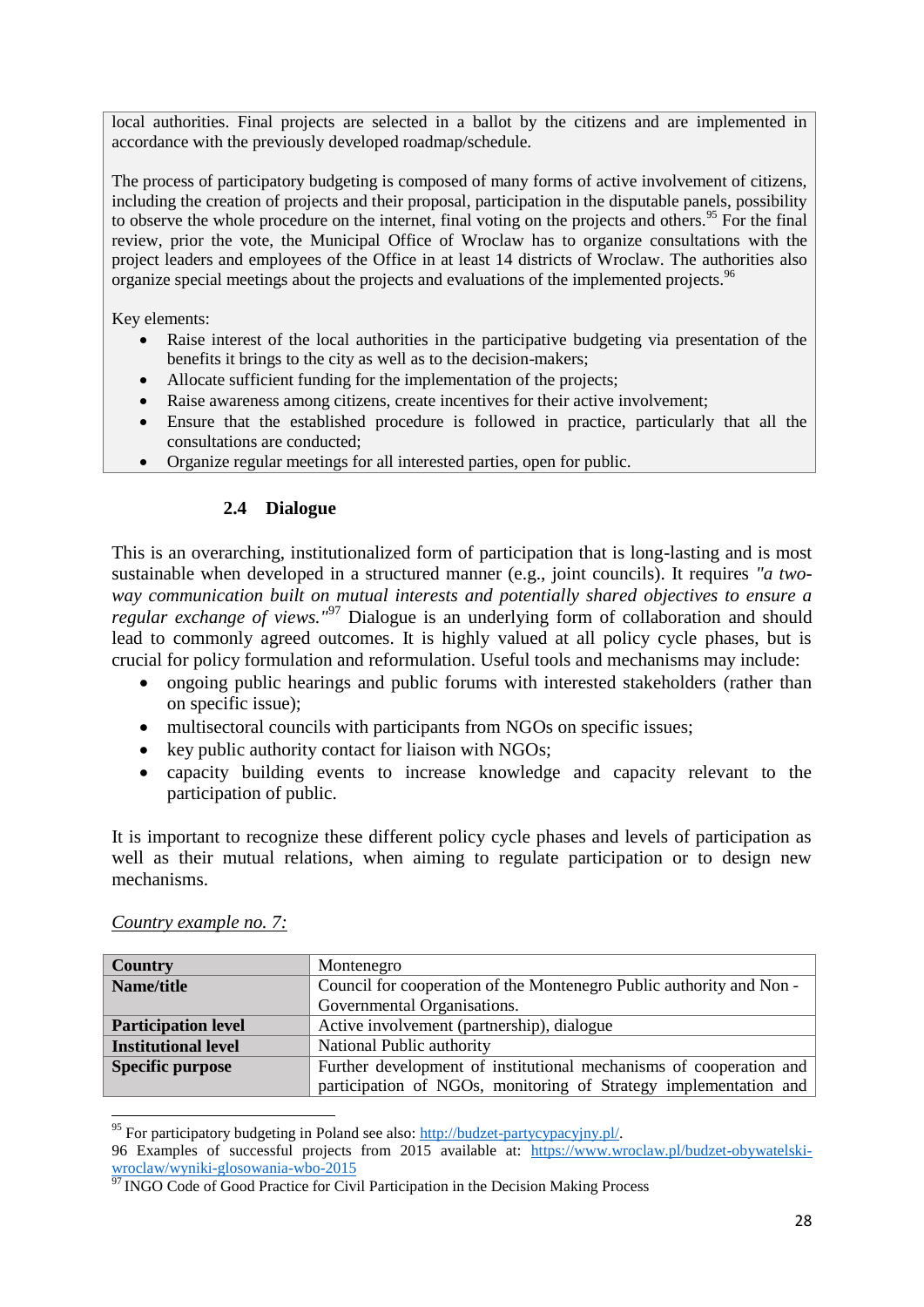local authorities. Final projects are selected in a ballot by the citizens and are implemented in accordance with the previously developed roadmap/schedule.

The process of participatory budgeting is composed of many forms of active involvement of citizens, including the creation of projects and their proposal, participation in the disputable panels, possibility to observe the whole procedure on the internet, final voting on the projects and others.<sup>95</sup> For the final review, prior the vote, the Municipal Office of Wroclaw has to organize consultations with the project leaders and employees of the Office in at least 14 districts of Wroclaw. The authorities also organize special meetings about the projects and evaluations of the implemented projects.<sup>96</sup>

Key elements:

- Raise interest of the local authorities in the participative budgeting via presentation of the benefits it brings to the city as well as to the decision-makers;
- Allocate sufficient funding for the implementation of the projects;
- Raise awareness among citizens, create incentives for their active involvement;
- Ensure that the established procedure is followed in practice, particularly that all the consultations are conducted;
- Organize regular meetings for all interested parties, open for public.

## **2.4 Dialogue**

<span id="page-28-0"></span>This is an overarching, institutionalized form of participation that is long-lasting and is most sustainable when developed in a structured manner (e.g., joint councils). It requires *"a twoway communication built on mutual interests and potentially shared objectives to ensure a regular exchange of views."*<sup>97</sup> Dialogue is an underlying form of collaboration and should lead to commonly agreed outcomes. It is highly valued at all policy cycle phases, but is crucial for policy formulation and reformulation. Useful tools and mechanisms may include:

- ongoing public hearings and public forums with interested stakeholders (rather than on specific issue);
- multisectoral councils with participants from NGOs on specific issues;
- $\bullet$  key public authority contact for liaison with NGOs;
- capacity building events to increase knowledge and capacity relevant to the participation of public.

It is important to recognize these different policy cycle phases and levels of participation as well as their mutual relations, when aiming to regulate participation or to design new mechanisms.

| Country                    | Montenegro                                                           |
|----------------------------|----------------------------------------------------------------------|
| Name/title                 | Council for cooperation of the Montenegro Public authority and Non - |
|                            | Governmental Organisations.                                          |
| <b>Participation level</b> | Active involvement (partnership), dialogue                           |
| <b>Institutional level</b> | National Public authority                                            |
| <b>Specific purpose</b>    | Further development of institutional mechanisms of cooperation and   |
|                            | participation of NGOs, monitoring of Strategy implementation and     |

### *Country example no. 7:*

**.** 

<sup>&</sup>lt;sup>95</sup> For participatory budgeting in Poland see also:  $\frac{http://budget-partycypacyjny.pl/}{http://budget-partycypacyjny.pl/}.$ 

<sup>96</sup> Examples of successful projects from 2015 available at: [https://www.wroclaw.pl/budzet-obywatelski](https://www.wroclaw.pl/budzet-obywatelski-wroclaw/wyniki-glosowania-wbo-2015)[wroclaw/wyniki-glosowania-wbo-2015](https://www.wroclaw.pl/budzet-obywatelski-wroclaw/wyniki-glosowania-wbo-2015)

<sup>&</sup>lt;sup>97</sup> INGO Code of Good Practice for Civil Participation in the Decision Making Process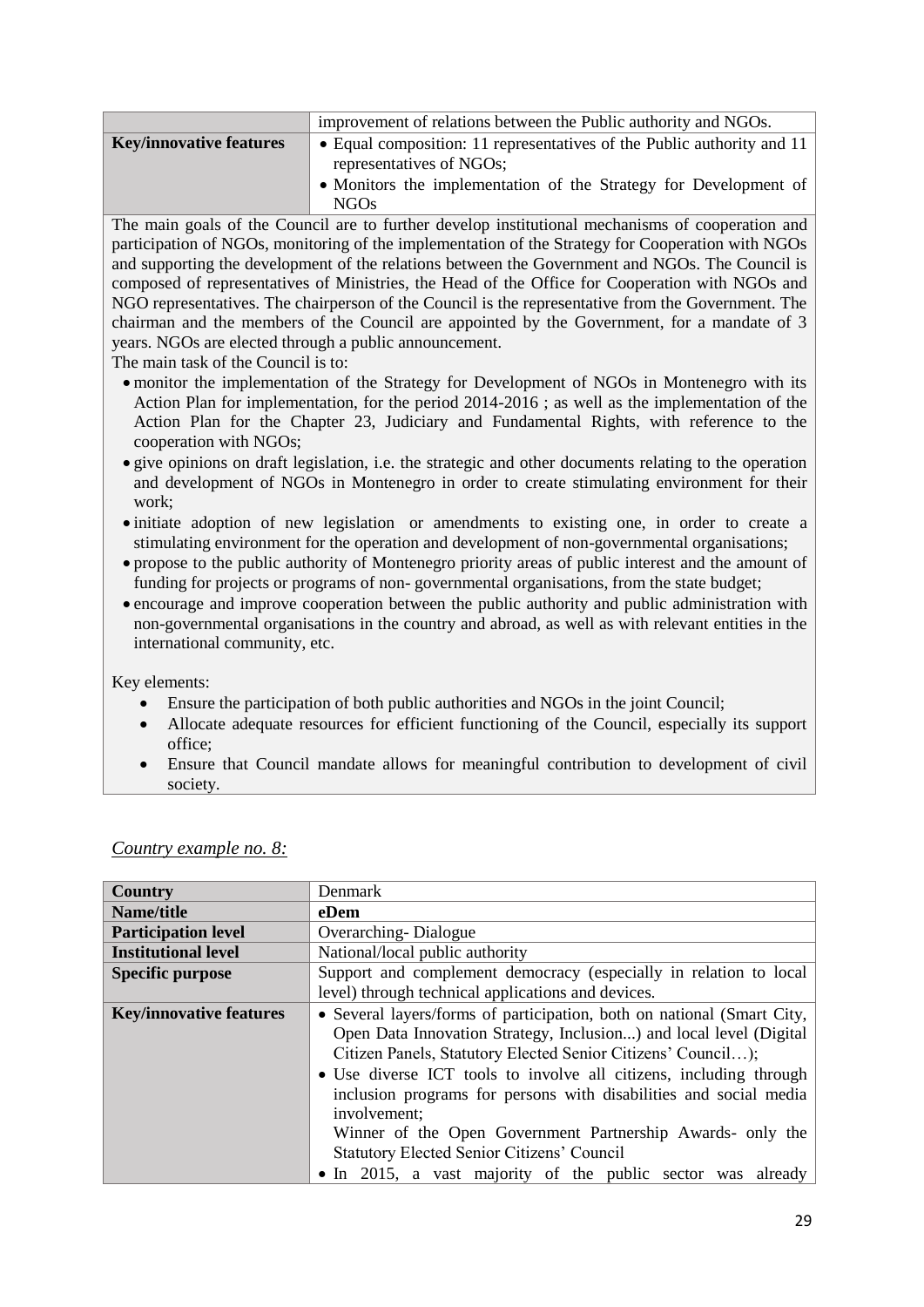|                                | improvement of relations between the Public authority and NGOs.                                    |
|--------------------------------|----------------------------------------------------------------------------------------------------|
| <b>Key/innovative features</b> | • Equal composition: 11 representatives of the Public authority and 11<br>representatives of NGOs; |
|                                | • Monitors the implementation of the Strategy for Development of<br>NGO <sub>s</sub>               |

The main goals of the Council are to further develop institutional mechanisms of cooperation and participation of NGOs, monitoring of the implementation of the Strategy for Cooperation with NGOs and supporting the development of the relations between the Government and NGOs. The Council is composed of representatives of Ministries, the Head of the Office for Cooperation with NGOs and NGO representatives. The chairperson of the Council is the representative from the Government. The chairman and the members of the Council are appointed by the Government, for a mandate of 3 years. NGOs are elected through a public announcement.

The main task of the Council is to:

- monitor the implementation of the Strategy for Development of NGOs in Montenegro with its Action Plan for implementation, for the period 2014-2016 ; as well as the implementation of the Action Plan for the Chapter 23, Judiciary and Fundamental Rights, with reference to the cooperation with NGOs;
- give opinions on draft legislation, i.e. the strategic and other documents relating to the operation and development of NGOs in Montenegro in order to create stimulating environment for their work;
- initiate adoption of new legislation or amendments to existing one, in order to create a stimulating environment for the operation and development of non-governmental organisations;
- propose to the public authority of Montenegro priority areas of public interest and the amount of funding for projects or programs of non- governmental organisations, from the state budget;
- encourage and improve cooperation between the public authority and public administration with non-governmental organisations in the country and abroad, as well as with relevant entities in the international community, etc.

Key elements:

- Ensure the participation of both public authorities and NGOs in the joint Council;
- Allocate adequate resources for efficient functioning of the Council, especially its support office;
- Ensure that Council mandate allows for meaningful contribution to development of civil society.

| Country                        | Denmark                                                                                                                                                                                                                                                                                                                                                                                                                                                                                                                                                   |
|--------------------------------|-----------------------------------------------------------------------------------------------------------------------------------------------------------------------------------------------------------------------------------------------------------------------------------------------------------------------------------------------------------------------------------------------------------------------------------------------------------------------------------------------------------------------------------------------------------|
| Name/title                     | eDem                                                                                                                                                                                                                                                                                                                                                                                                                                                                                                                                                      |
| <b>Participation level</b>     | <b>Overarching-Dialogue</b>                                                                                                                                                                                                                                                                                                                                                                                                                                                                                                                               |
| <b>Institutional level</b>     | National/local public authority                                                                                                                                                                                                                                                                                                                                                                                                                                                                                                                           |
| <b>Specific purpose</b>        | Support and complement democracy (especially in relation to local                                                                                                                                                                                                                                                                                                                                                                                                                                                                                         |
|                                | level) through technical applications and devices.                                                                                                                                                                                                                                                                                                                                                                                                                                                                                                        |
| <b>Key/innovative features</b> | • Several layers/forms of participation, both on national (Smart City,<br>Open Data Innovation Strategy, Inclusion) and local level (Digital<br>Citizen Panels, Statutory Elected Senior Citizens' Council);<br>• Use diverse ICT tools to involve all citizens, including through<br>inclusion programs for persons with disabilities and social media<br>involvement:<br>Winner of the Open Government Partnership Awards- only the<br><b>Statutory Elected Senior Citizens' Council</b><br>• In 2015, a vast majority of the public sector was already |

*Country example no. 8:*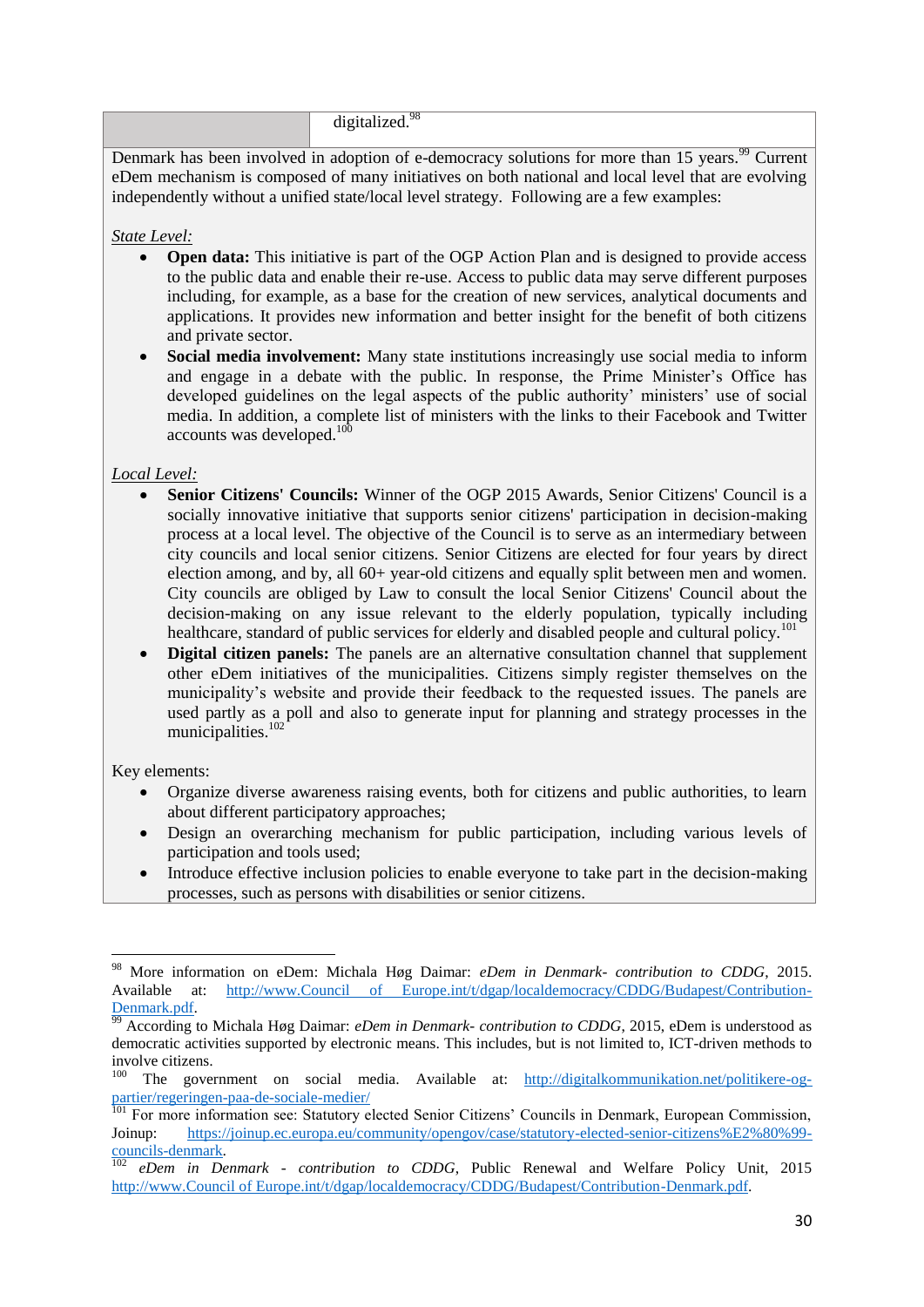digitalized.<sup>98</sup>

Denmark has been involved in adoption of e-democracy solutions for more than 15 years.<sup>99</sup> Current eDem mechanism is composed of many initiatives on both national and local level that are evolving independently without a unified state/local level strategy. Following are a few examples:

#### *State Level:*

- **Open data:** This initiative is part of the OGP Action Plan and is designed to provide access to the public data and enable their re-use. Access to public data may serve different purposes including, for example, as a base for the creation of new services, analytical documents and applications. It provides new information and better insight for the benefit of both citizens and private sector.
- **Social media involvement:** Many state institutions increasingly use social media to inform and engage in a debate with the public. In response, the Prime Minister's Office has developed guidelines on the legal aspects of the public authority' ministers' use of social media. In addition, a complete list of ministers with the links to their Facebook and Twitter accounts was developed.<sup>100</sup>

### *Local Level:*

- **Senior Citizens' Councils:** Winner of the OGP 2015 Awards, Senior Citizens' Council is a socially innovative initiative that supports senior citizens' participation in decision-making process at a local level. The objective of the Council is to serve as an intermediary between city councils and local senior citizens. Senior Citizens are elected for four years by direct election among, and by, all 60+ year-old citizens and equally split between men and women. City councils are obliged by Law to consult the local Senior Citizens' Council about the decision-making on any issue relevant to the elderly population, typically including healthcare, standard of public services for elderly and disabled people and cultural policy.<sup>101</sup>
- **Digital citizen panels:** The panels are an alternative consultation channel that supplement other eDem initiatives of the municipalities. Citizens simply register themselves on the municipality's website and provide their feedback to the requested issues. The panels are used partly as a poll and also to generate input for planning and strategy processes in the municipalities.<sup>102</sup>

Key elements:

 $\overline{a}$ 

- Organize diverse awareness raising events, both for citizens and public authorities, to learn about different participatory approaches;
- Design an overarching mechanism for public participation, including various levels of participation and tools used;
- Introduce effective inclusion policies to enable everyone to take part in the decision-making processes, such as persons with disabilities or senior citizens.

<sup>98</sup> More information on eDem: Michala Høg Daimar: *eDem in Denmark- contribution to CDDG*, 2015. Available at: [http://www.Council of Europe.int/t/dgap/localdemocracy/CDDG/Budapest/Contribution-](http://www.coe.int/t/dgap/localdemocracy/CDDG/Budapest/Contribution-Denmark.pdf)[Denmark.pdf.](http://www.coe.int/t/dgap/localdemocracy/CDDG/Budapest/Contribution-Denmark.pdf)

<sup>&</sup>lt;sup>99</sup> According to Michala Høg Daimar: *eDem in Denmark- contribution to CDDG*, 2015, eDem is understood as democratic activities supported by electronic means. This includes, but is not limited to, ICT-driven methods to involve citizens.

<sup>&</sup>lt;sup>100</sup> The government on social media. Available at: [http://digitalkommunikation.net/politikere-og](http://digitalkommunikation.net/politikere-og-partier/regeringen-paa-de-sociale-medier/)[partier/regeringen-paa-de-sociale-medier/](http://digitalkommunikation.net/politikere-og-partier/regeringen-paa-de-sociale-medier/)

<sup>&</sup>lt;sup>101</sup> For more information see: Statutory elected Senior Citizens' Councils in Denmark, European Commission, Joinup: [https://joinup.ec.europa.eu/community/opengov/case/statutory-elected-senior-citizens%E2%80%99](https://joinup.ec.europa.eu/community/opengov/case/statutory-elected-senior-citizens%E2%80%99-councils-denmark) [councils-denmark.](https://joinup.ec.europa.eu/community/opengov/case/statutory-elected-senior-citizens%E2%80%99-councils-denmark)

<sup>102</sup> *eDem in Denmark - contribution to CDDG*, Public Renewal and Welfare Policy Unit, 2015 [http://www.Council of Europe.int/t/dgap/localdemocracy/CDDG/Budapest/Contribution-Denmark.pdf.](http://www.coe.int/t/dgap/localdemocracy/CDDG/Budapest/Contribution-Denmark.pdf)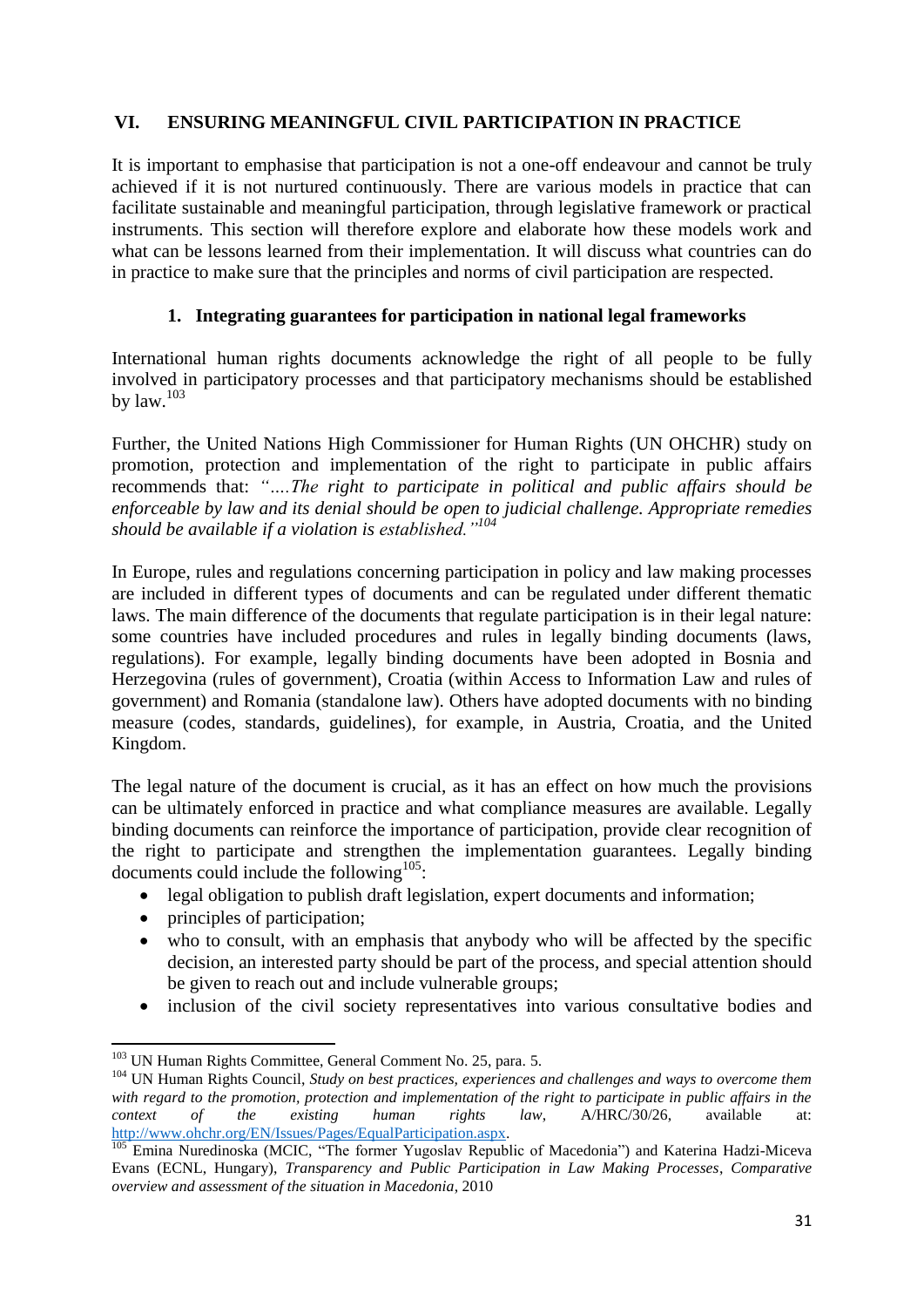# <span id="page-31-0"></span>**VI. ENSURING MEANINGFUL CIVIL PARTICIPATION IN PRACTICE**

It is important to emphasise that participation is not a one-off endeavour and cannot be truly achieved if it is not nurtured continuously. There are various models in practice that can facilitate sustainable and meaningful participation, through legislative framework or practical instruments. This section will therefore explore and elaborate how these models work and what can be lessons learned from their implementation. It will discuss what countries can do in practice to make sure that the principles and norms of civil participation are respected.

# **1. Integrating guarantees for participation in national legal frameworks**

<span id="page-31-1"></span>International human rights documents acknowledge the right of all people to be fully involved in participatory processes and that participatory mechanisms should be established by  $law$ .  $103$ 

Further, the United Nations High Commissioner for Human Rights (UN OHCHR) study on promotion, protection and implementation of the right to participate in public affairs recommends that: *"….The right to participate in political and public affairs should be enforceable by law and its denial should be open to judicial challenge. Appropriate remedies should be available if a violation is established."<sup>104</sup>*

In Europe, rules and regulations concerning participation in policy and law making processes are included in different types of documents and can be regulated under different thematic laws. The main difference of the documents that regulate participation is in their legal nature: some countries have included procedures and rules in legally binding documents (laws, regulations). For example, legally binding documents have been adopted in Bosnia and Herzegovina (rules of government), Croatia (within Access to Information Law and rules of government) and Romania (standalone law). Others have adopted documents with no binding measure (codes, standards, guidelines), for example, in Austria, Croatia, and the United Kingdom.

The legal nature of the document is crucial, as it has an effect on how much the provisions can be ultimately enforced in practice and what compliance measures are available. Legally binding documents can reinforce the importance of participation, provide clear recognition of the right to participate and strengthen the implementation guarantees. Legally binding documents could include the following $105$ :

- legal obligation to publish draft legislation, expert documents and information;
- principles of participation;
- who to consult, with an emphasis that anybody who will be affected by the specific decision, an interested party should be part of the process, and special attention should be given to reach out and include vulnerable groups;
- inclusion of the civil society representatives into various consultative bodies and

**<sup>.</sup>** <sup>103</sup> UN Human Rights Committee, General Comment No. 25, para. 5.

<sup>&</sup>lt;sup>104</sup> UN Human Rights Council, *Study on best practices, experiences and challenges and ways to overcome them with regard to the promotion, protection and implementation of the right to participate in public affairs in the context of the existing human rights law*, A/HRC/30/26, available at: [http://www.ohchr.org/EN/Issues/Pages/EqualParticipation.aspx.](http://www.ohchr.org/EN/Issues/Pages/EqualParticipation.aspx)

<sup>105</sup> Emina Nuredinoska (MCIC, "The former Yugoslav Republic of Macedonia") and Katerina Hadzi-Miceva Evans (ECNL, Hungary), *Transparency and Public Participation in Law Making Processes*, *Comparative overview and assessment of the situation in Macedonia*, 2010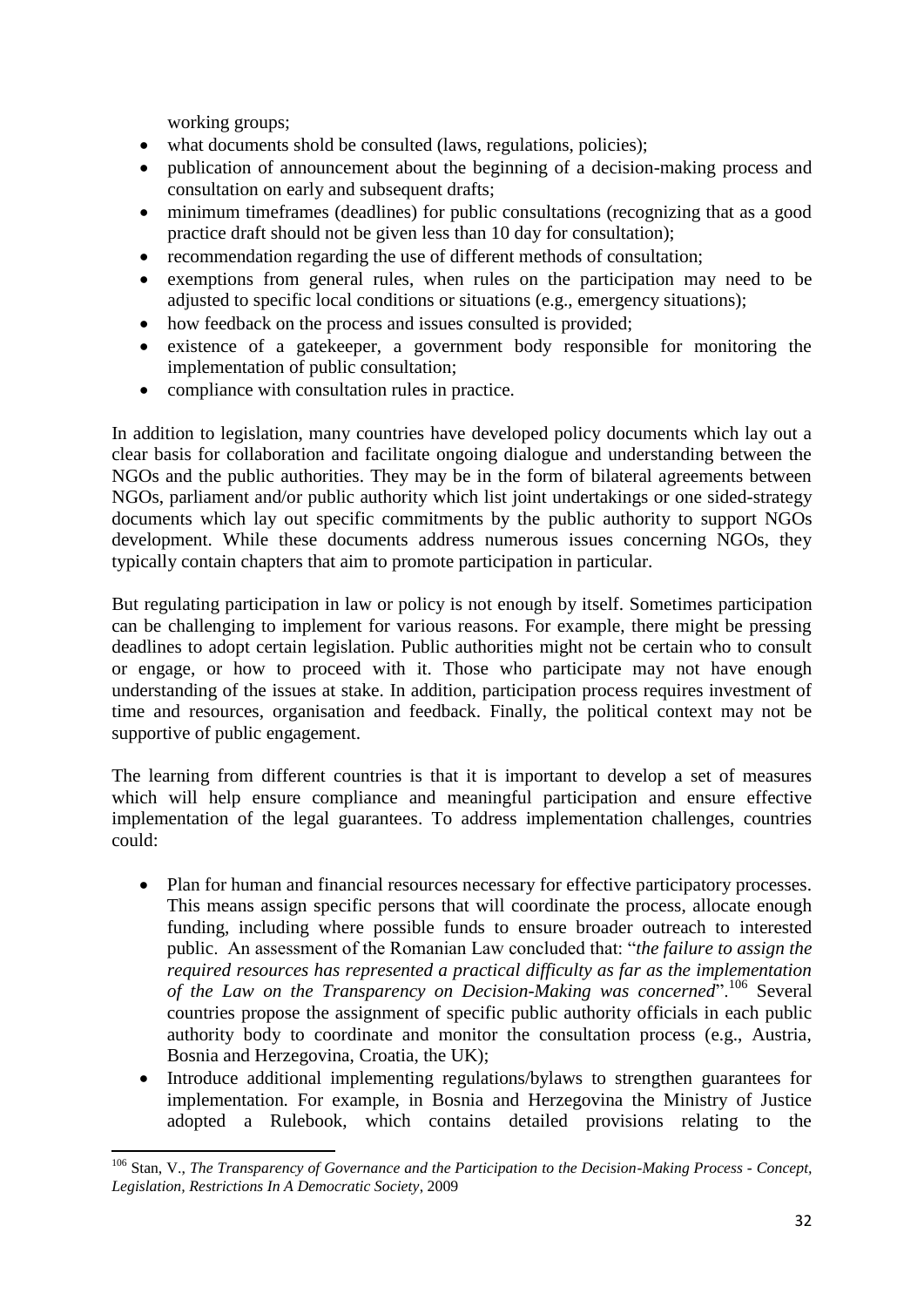working groups;

- what documents shold be consulted (laws, regulations, policies);
- publication of announcement about the beginning of a decision-making process and consultation on early and subsequent drafts;
- minimum timeframes (deadlines) for public consultations (recognizing that as a good practice draft should not be given less than 10 day for consultation);
- recommendation regarding the use of different methods of consultation;
- exemptions from general rules, when rules on the participation may need to be adjusted to specific local conditions or situations (e.g., emergency situations);
- how feedback on the process and issues consulted is provided;
- existence of a gatekeeper, a government body responsible for monitoring the implementation of public consultation;
- compliance with consultation rules in practice.

In addition to legislation, many countries have developed policy documents which lay out a clear basis for collaboration and facilitate ongoing dialogue and understanding between the NGOs and the public authorities. They may be in the form of bilateral agreements between NGOs, parliament and/or public authority which list joint undertakings or one sided-strategy documents which lay out specific commitments by the public authority to support NGOs development. While these documents address numerous issues concerning NGOs, they typically contain chapters that aim to promote participation in particular.

But regulating participation in law or policy is not enough by itself. Sometimes participation can be challenging to implement for various reasons. For example, there might be pressing deadlines to adopt certain legislation. Public authorities might not be certain who to consult or engage, or how to proceed with it. Those who participate may not have enough understanding of the issues at stake. In addition, participation process requires investment of time and resources, organisation and feedback. Finally, the political context may not be supportive of public engagement.

The learning from different countries is that it is important to develop a set of measures which will help ensure compliance and meaningful participation and ensure effective implementation of the legal guarantees. To address implementation challenges, countries could:

- Plan for human and financial resources necessary for effective participatory processes. This means assign specific persons that will coordinate the process, allocate enough funding, including where possible funds to ensure broader outreach to interested public. An assessment of the Romanian Law concluded that: "*the failure to assign the required resources has represented a practical difficulty as far as the implementation of the Law on the Transparency on Decision-Making was concerned*".<sup>106</sup> Several countries propose the assignment of specific public authority officials in each public authority body to coordinate and monitor the consultation process (e.g., Austria, Bosnia and Herzegovina, Croatia, the UK);
- Introduce additional implementing regulations/bylaws to strengthen guarantees for implementation*.* For example, in Bosnia and Herzegovina the Ministry of Justice adopted a Rulebook, which contains detailed provisions relating to the

**<sup>.</sup>** <sup>106</sup> Stan, V., *The Transparency of Governance and the Participation to the Decision-Making Process - Concept, Legislation, Restrictions In A Democratic Society*, 2009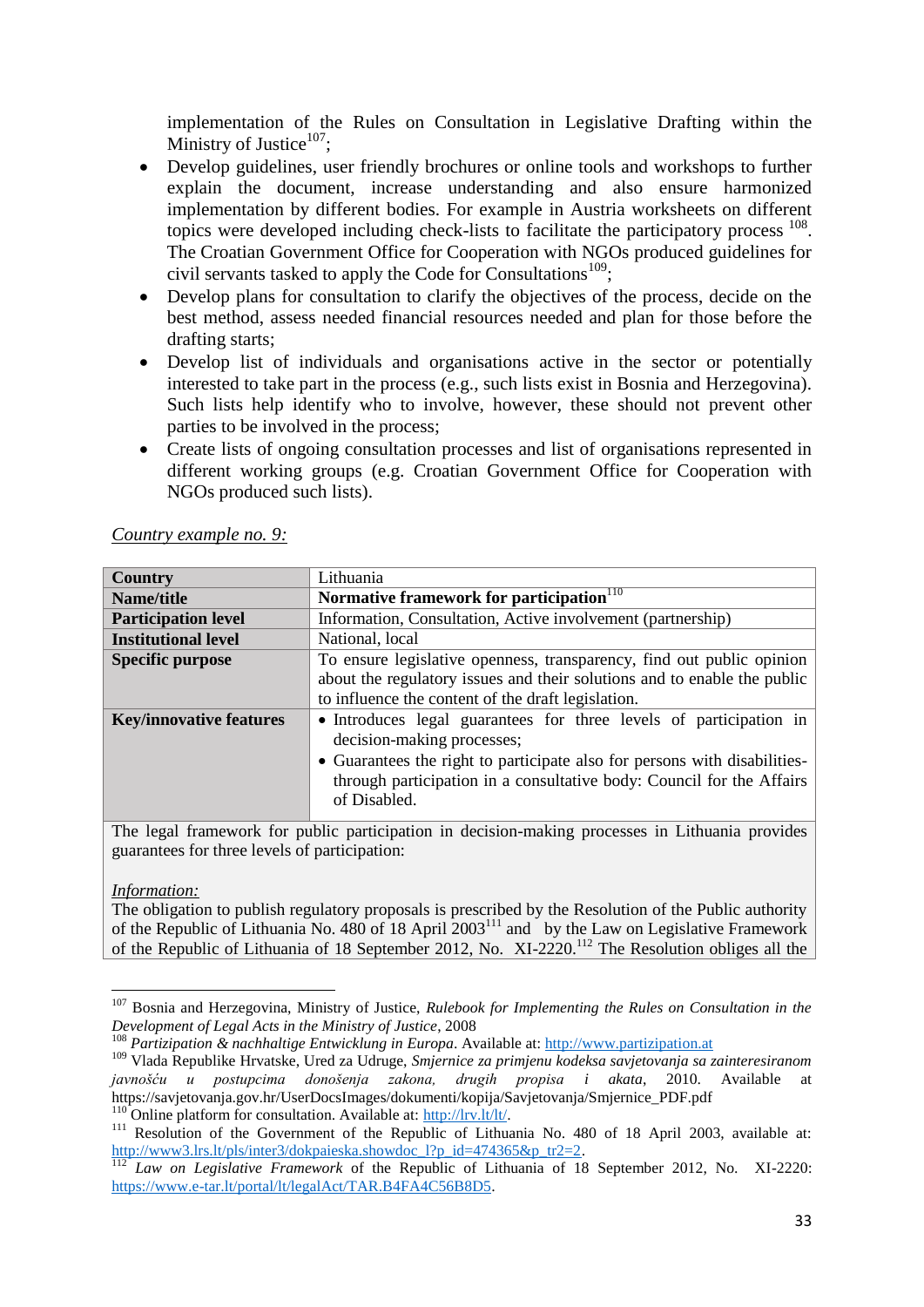implementation of the Rules on Consultation in Legislative Drafting within the Ministry of Justice $107$ ;

- Develop guidelines, user friendly brochures or online tools and workshops to further explain the document, increase understanding and also ensure harmonized implementation by different bodies. For example in Austria worksheets on different topics were developed including check-lists to facilitate the participatory process <sup>108</sup>. The Croatian Government Office for Cooperation with NGOs produced guidelines for civil servants tasked to apply the Code for Consultations<sup>109</sup>;
- Develop plans for consultation to clarify the objectives of the process, decide on the best method, assess needed financial resources needed and plan for those before the drafting starts;
- Develop list of individuals and organisations active in the sector or potentially interested to take part in the process (e.g., such lists exist in Bosnia and Herzegovina). Such lists help identify who to involve, however, these should not prevent other parties to be involved in the process;
- Create lists of ongoing consultation processes and list of organisations represented in different working groups (e.g. Croatian Government Office for Cooperation with NGOs produced such lists).

| <b>Country</b>                 | Lithuania                                                                                                                                                                                                                                                              |
|--------------------------------|------------------------------------------------------------------------------------------------------------------------------------------------------------------------------------------------------------------------------------------------------------------------|
| Name/title                     | Normative framework for participation <sup>110</sup>                                                                                                                                                                                                                   |
| <b>Participation level</b>     | Information, Consultation, Active involvement (partnership)                                                                                                                                                                                                            |
| <b>Institutional level</b>     | National, local                                                                                                                                                                                                                                                        |
| <b>Specific purpose</b>        | To ensure legislative openness, transparency, find out public opinion<br>about the regulatory issues and their solutions and to enable the public<br>to influence the content of the draft legislation.                                                                |
| <b>Key/innovative features</b> | • Introduces legal guarantees for three levels of participation in<br>decision-making processes;<br>• Guarantees the right to participate also for persons with disabilities-<br>through participation in a consultative body: Council for the Affairs<br>of Disabled. |

*Country example no. 9:*

The legal framework for public participation in decision-making processes in Lithuania provides guarantees for three levels of participation:

### *Information:*

**.** 

The obligation to publish regulatory proposals is prescribed by the Resolution of the Public authority of the Republic of Lithuania No. 480 of 18 April 2003<sup>111</sup> and by the Law on Legislative Framework of the Republic of Lithuania of 18 September 2012, No. XI-2220.<sup>112</sup> The Resolution obliges all the

<sup>107</sup> Bosnia and Herzegovina, Ministry of Justice, *Rulebook for Implementing the Rules on Consultation in the Development of Legal Acts in the Ministry of Justice*, 2008

<sup>108</sup> *Partizipation & nachhaltige Entwicklung in Europa*. Available at: [http://www.partizipation.at](http://www.partizipation.at/)

<sup>109</sup> Vlada Republike Hrvatske, Ured za Udruge, *Smjernice za primjenu kodeksa savjetovanja sa zainteresiranom javnošću u postupcima donošenja zakona, drugih propisa i akata*, 2010. Available at https://savjetovanja.gov.hr/UserDocsImages/dokumenti/kopija/Savjetovanja/Smjernice\_PDF.pdf  $^{110}$  Online platform for consultation. Available at: [http://lrv.lt/lt/.](http://lrv.lt/lt/)

<sup>&</sup>lt;sup>111</sup> Resolution of the Government of the Republic of Lithuania No. 480 of 18 April 2003, available at: [http://www3.lrs.lt/pls/inter3/dokpaieska.showdoc\\_l?p\\_id=474365&p\\_tr2=2.](http://www3.lrs.lt/pls/inter3/dokpaieska.showdoc_l?p_id=474365&p_tr2=2)

<sup>&</sup>lt;sup>112</sup> *Law on Legislative Framework* of the Republic of Lithuania of 18 September 2012, No. XI-2220: [https://www.e-tar.lt/portal/lt/legalAct/TAR.B4FA4C56B8D5.](https://www.e-tar.lt/portal/lt/legalAct/TAR.B4FA4C56B8D5)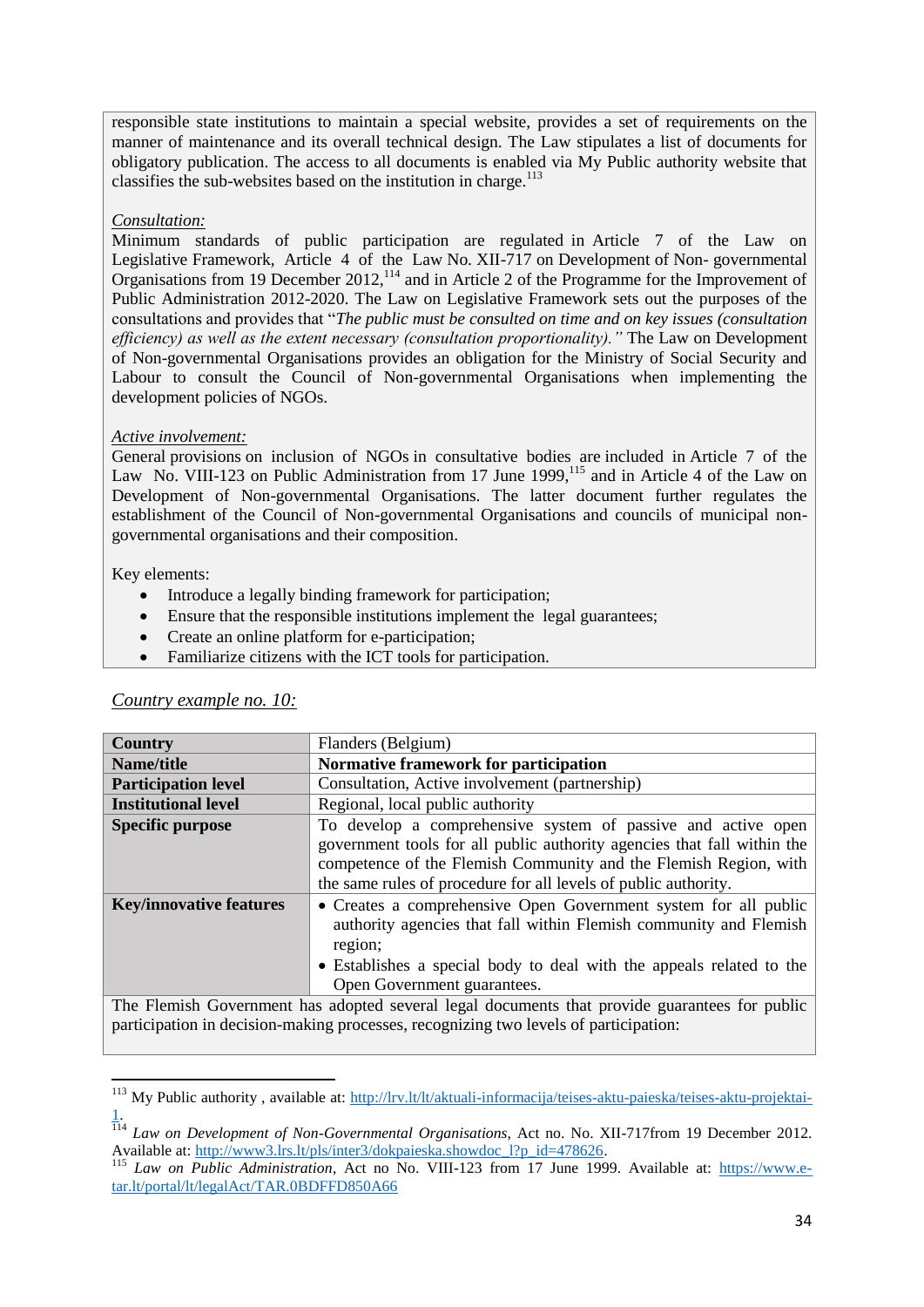responsible state institutions to maintain a special website, provides a set of requirements on the manner of maintenance and its overall technical design. The Law stipulates a list of documents for obligatory publication. The access to all documents is enabled via My Public authority website that classifies the sub-websites based on the institution in charge.<sup>113</sup>

#### *Consultation:*

Minimum standards of public participation are regulated in Article 7 of the Law on Legislative Framework, Article 4 of the Law No. XII-717 on Development of Non- governmental Organisations from 19 December 2012,<sup>114</sup> and in Article 2 of the Programme for the Improvement of Public Administration 2012-2020. The Law on Legislative Framework sets out the purposes of the consultations and provides that "*The public must be consulted on time and on key issues (consultation efficiency) as well as the extent necessary (consultation proportionality)."* The Law on Development of Non-governmental Organisations provides an obligation for the Ministry of Social Security and Labour to consult the Council of Non-governmental Organisations when implementing the development policies of NGOs.

#### *Active involvement:*

General provisions on inclusion of NGOs in consultative bodies are included in Article 7 of the Law No. VIII-123 on Public Administration from 17 June 1999,<sup>115</sup> and in Article 4 of the Law on Development of Non-governmental Organisations. The latter document further regulates the establishment of the Council of Non-governmental Organisations and councils of municipal nongovernmental organisations and their composition.

#### Key elements:

1

- Introduce a legally binding framework for participation;
- Ensure that the responsible institutions implement the legal guarantees;
- Create an online platform for e-participation;
- Familiarize citizens with the ICT tools for participation.

| <b>Country</b>                                                                       | Flanders (Belgium)                                                                            |  |  |
|--------------------------------------------------------------------------------------|-----------------------------------------------------------------------------------------------|--|--|
| Name/title                                                                           | Normative framework for participation                                                         |  |  |
| <b>Participation level</b>                                                           | Consultation, Active involvement (partnership)                                                |  |  |
| <b>Institutional level</b>                                                           | Regional, local public authority                                                              |  |  |
| <b>Specific purpose</b>                                                              | To develop a comprehensive system of passive and active open                                  |  |  |
|                                                                                      | government tools for all public authority agencies that fall within the                       |  |  |
|                                                                                      | competence of the Flemish Community and the Flemish Region, with                              |  |  |
|                                                                                      | the same rules of procedure for all levels of public authority.                               |  |  |
| <b>Key/innovative features</b>                                                       | • Creates a comprehensive Open Government system for all public                               |  |  |
|                                                                                      | authority agencies that fall within Flemish community and Flemish                             |  |  |
|                                                                                      | region;                                                                                       |  |  |
|                                                                                      | • Establishes a special body to deal with the appeals related to the                          |  |  |
|                                                                                      | Open Government guarantees.                                                                   |  |  |
|                                                                                      | The Flemish Government has adopted several legal documents that provide guarantees for public |  |  |
| participation in decision-making processes, recognizing two levels of participation: |                                                                                               |  |  |

#### *Country example no. 10:*

<sup>&</sup>lt;sup>113</sup> My Public authority, available at: [http://lrv.lt/lt/aktuali-informacija/teises-aktu-paieska/teises-aktu-projektai-](http://lrv.lt/lt/aktuali-informacija/teises-aktu-paieska/teises-aktu-projektai-1)[1.](http://lrv.lt/lt/aktuali-informacija/teises-aktu-paieska/teises-aktu-projektai-1)

<sup>114</sup> *Law on Development of Non-Governmental Organisations*, Act no. No. XII-717from 19 December 2012. Available at: [http://www3.lrs.lt/pls/inter3/dokpaieska.showdoc\\_l?p\\_id=478626.](http://www3.lrs.lt/pls/inter3/dokpaieska.showdoc_l?p_id=478626)

<sup>&</sup>lt;sup>115</sup> *Law on Public Administration*, Act no No. VIII-123 from 17 June 1999. Available at: [https://www.e](https://www.e-tar.lt/portal/lt/legalAct/TAR.0BDFFD850A66)[tar.lt/portal/lt/legalAct/TAR.0BDFFD850A66](https://www.e-tar.lt/portal/lt/legalAct/TAR.0BDFFD850A66)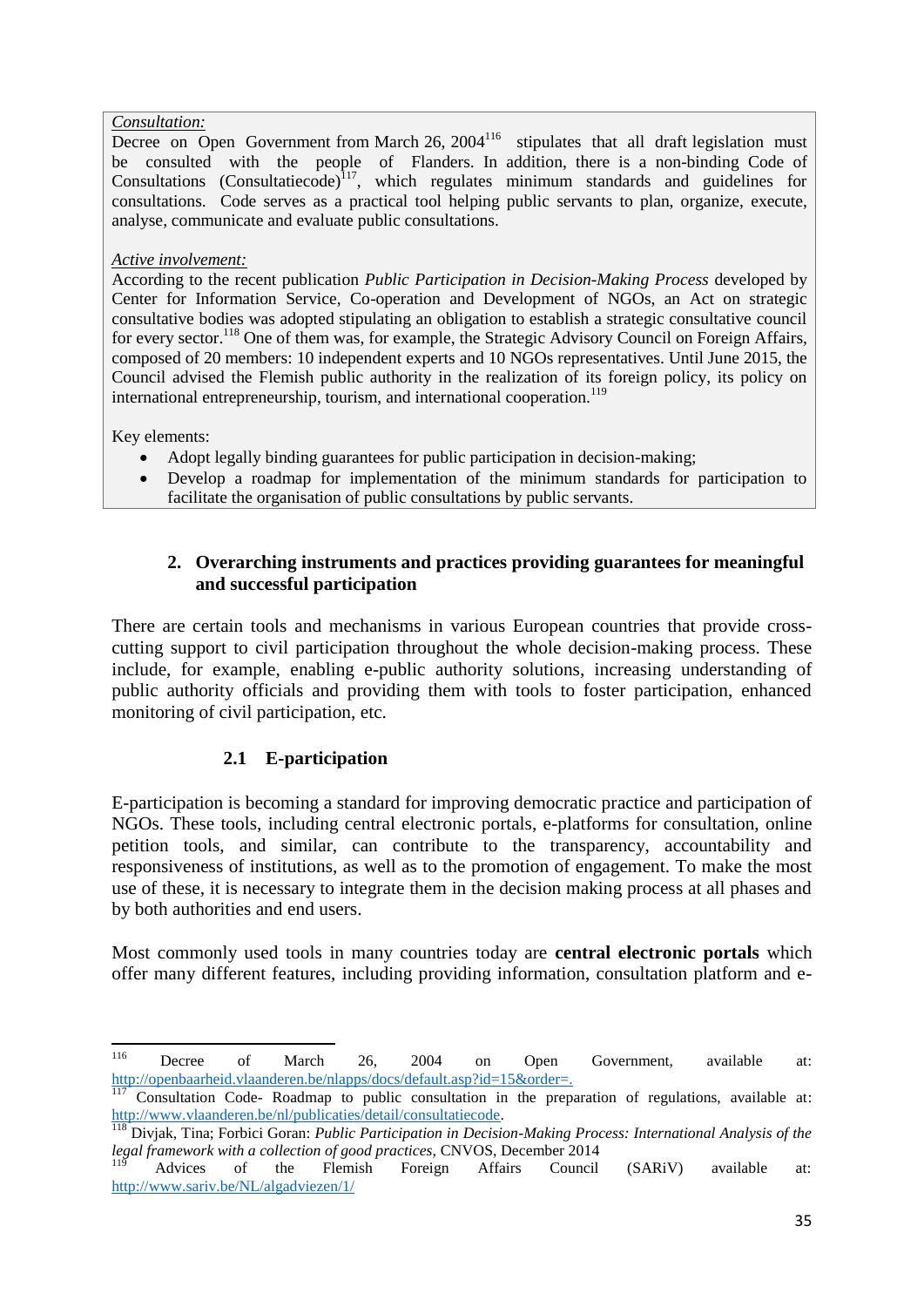#### *Consultation:*

Decree on Open Government from March  $26$ ,  $2004^{116}$  stipulates that all draft legislation must be consulted with the people of Flanders. In addition, there is a non-binding Code of Consultations (Consultatiecode)<sup>117</sup>, which regulates minimum standards and guidelines for consultations. Code serves as a practical tool helping public servants to plan, organize, execute, analyse, communicate and evaluate public consultations.

#### *Active involvement:*

According to the recent publication *Public Participation in Decision-Making Process* developed by Center for Information Service, Co-operation and Development of NGOs, an Act on strategic consultative bodies was adopted stipulating an obligation to establish a strategic consultative council for every sector.<sup>118</sup> One of them was, for example, the Strategic Advisory Council on Foreign Affairs, composed of 20 members: 10 independent experts and 10 NGOs representatives. Until June 2015, the Council advised the Flemish public authority in the realization of its foreign policy, its policy on international entrepreneurship, tourism, and international cooperation.<sup>119</sup>

Key elements:

- Adopt legally binding guarantees for public participation in decision-making;
- Develop a roadmap for implementation of the minimum standards for participation to facilitate the organisation of public consultations by public servants.

## <span id="page-35-0"></span>**2. Overarching instruments and practices providing guarantees for meaningful and successful participation**

There are certain tools and mechanisms in various European countries that provide crosscutting support to civil participation throughout the whole decision-making process. These include, for example, enabling e-public authority solutions, increasing understanding of public authority officials and providing them with tools to foster participation, enhanced monitoring of civil participation, etc.

## **2.1 E-participation**

<span id="page-35-1"></span>E-participation is becoming a standard for improving democratic practice and participation of NGOs. These tools, including central electronic portals, e-platforms for consultation, online petition tools, and similar, can contribute to the transparency, accountability and responsiveness of institutions, as well as to the promotion of engagement. To make the most use of these, it is necessary to integrate them in the decision making process at all phases and by both authorities and end users.

Most commonly used tools in many countries today are **central electronic portals** which offer many different features, including providing information, consultation platform and e-

<sup>116</sup> <sup>116</sup> Decree of March 26, 2004 on Open Government, available at: [http://openbaarheid.vlaanderen.be/nlapps/docs/default.asp?id=15&order=.](http://openbaarheid.vlaanderen.be/nlapps/docs/default.asp?id=15&order=)

<sup>117</sup> Consultation Code- Roadmap to public consultation in the preparation of regulations, available at: [http://www.vlaanderen.be/nl/publicaties/detail/consultatiecode.](http://www.vlaanderen.be/nl/publicaties/detail/consultatiecode)

<sup>118</sup> Divjak, Tina; Forbici Goran: *Public Participation in Decision-Making Process: International Analysis of the legal framework with a collection of good practices,* CNVOS, December 2014

 $119$  Advices of the Flemish Foreign Affairs Council (SARiV) available at: <http://www.sariv.be/NL/algadviezen/1/>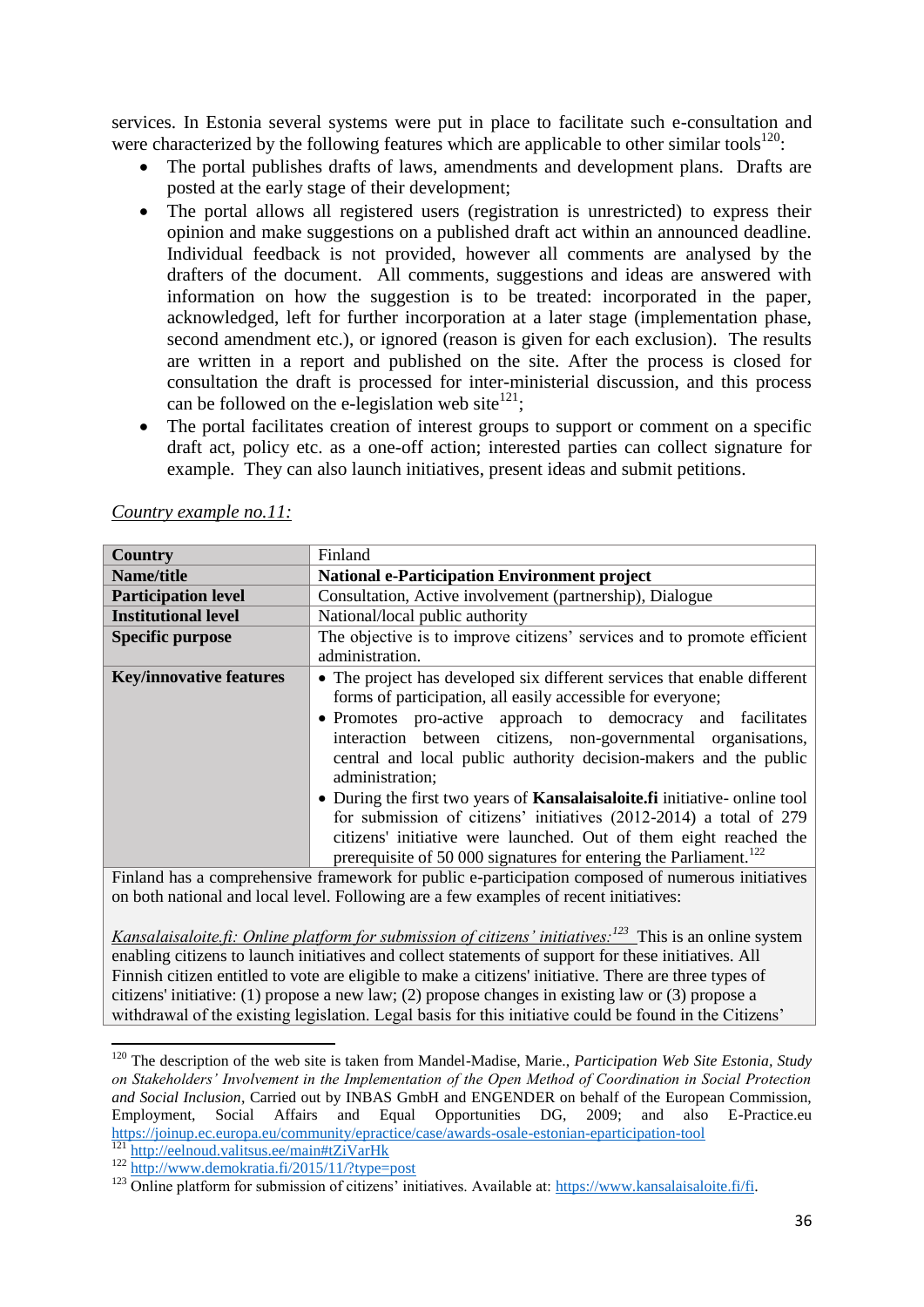services. In Estonia several systems were put in place to facilitate such e-consultation and were characterized by the following features which are applicable to other similar tools<sup>120</sup>:

- The portal publishes drafts of laws, amendments and development plans. Drafts are posted at the early stage of their development;
- The portal allows all registered users (registration is unrestricted) to express their opinion and make suggestions on a published draft act within an announced deadline. Individual feedback is not provided, however all comments are analysed by the drafters of the document. All comments, suggestions and ideas are answered with information on how the suggestion is to be treated: incorporated in the paper, acknowledged, left for further incorporation at a later stage (implementation phase, second amendment etc.), or ignored (reason is given for each exclusion). The results are written in a report and published on the site. After the process is closed for consultation the draft is processed for inter-ministerial discussion, and this process can be followed on the e-legislation web site $^{121}$ ;
- The portal facilitates creation of interest groups to support or comment on a specific draft act, policy etc. as a one-off action; interested parties can collect signature for example. They can also launch initiatives, present ideas and submit petitions.

| <b>Country</b>                                                                                    | Finland                                                                                                                                                                                                                                                                                                                                                                                                                                                                                                                                                                                                                                                                          |
|---------------------------------------------------------------------------------------------------|----------------------------------------------------------------------------------------------------------------------------------------------------------------------------------------------------------------------------------------------------------------------------------------------------------------------------------------------------------------------------------------------------------------------------------------------------------------------------------------------------------------------------------------------------------------------------------------------------------------------------------------------------------------------------------|
| Name/title                                                                                        | <b>National e-Participation Environment project</b>                                                                                                                                                                                                                                                                                                                                                                                                                                                                                                                                                                                                                              |
| <b>Participation level</b>                                                                        | Consultation, Active involvement (partnership), Dialogue                                                                                                                                                                                                                                                                                                                                                                                                                                                                                                                                                                                                                         |
| <b>Institutional level</b>                                                                        | National/local public authority                                                                                                                                                                                                                                                                                                                                                                                                                                                                                                                                                                                                                                                  |
| <b>Specific purpose</b>                                                                           | The objective is to improve citizens' services and to promote efficient<br>administration.                                                                                                                                                                                                                                                                                                                                                                                                                                                                                                                                                                                       |
| <b>Key/innovative features</b>                                                                    | • The project has developed six different services that enable different<br>forms of participation, all easily accessible for everyone;<br>• Promotes pro-active approach to democracy and facilitates<br>interaction between citizens, non-governmental organisations,<br>central and local public authority decision-makers and the public<br>administration;<br>• During the first two years of <b>Kansalaisaloite.fi</b> initiative- online tool<br>for submission of citizens' initiatives (2012-2014) a total of 279<br>citizens' initiative were launched. Out of them eight reached the<br>prerequisite of 50 000 signatures for entering the Parliament. <sup>122</sup> |
| Finland has a comprehensive framework for public e-participation composed of numerous initiatives |                                                                                                                                                                                                                                                                                                                                                                                                                                                                                                                                                                                                                                                                                  |
|                                                                                                   | on both national and local level. Following are a few examples of recent initiatives:                                                                                                                                                                                                                                                                                                                                                                                                                                                                                                                                                                                            |

*Country example no.11:*

on both national and local level. Following are a few examples of recent initiatives:

*Kansalaisaloite.fi: Online platform for submission of citizens' initiatives:<sup>123</sup> This is an online system* enabling citizens to launch initiatives and collect statements of support for these initiatives. All Finnish citizen entitled to vote are eligible to make a citizens' initiative. There are three types of citizens' initiative: (1) propose a new law; (2) propose changes in existing law or (3) propose a withdrawal of the existing legislation. Legal basis for this initiative could be found in the Citizens'

<http://eelnoud.valitsus.ee/main#tZiVarHk>

**<sup>.</sup>** <sup>120</sup> The description of the web site is taken from Mandel-Madise, Marie., *Participation Web Site Estonia, Study on Stakeholders' Involvement in the Implementation of the Open Method of Coordination in Social Protection and Social Inclusion*, Carried out by INBAS GmbH and ENGENDER on behalf of the European Commission, Employment, Social Affairs and Equal Opportunities DG, 2009; and also E-Practice.eu <https://joinup.ec.europa.eu/community/epractice/case/awards-osale-estonian-eparticipation-tool>

<sup>122</sup> <http://www.demokratia.fi/2015/11/?type=post>

<sup>&</sup>lt;sup>123</sup> Online platform for submission of citizens' initiatives. Available at: https://www.kansalaisaloite.fi/fi.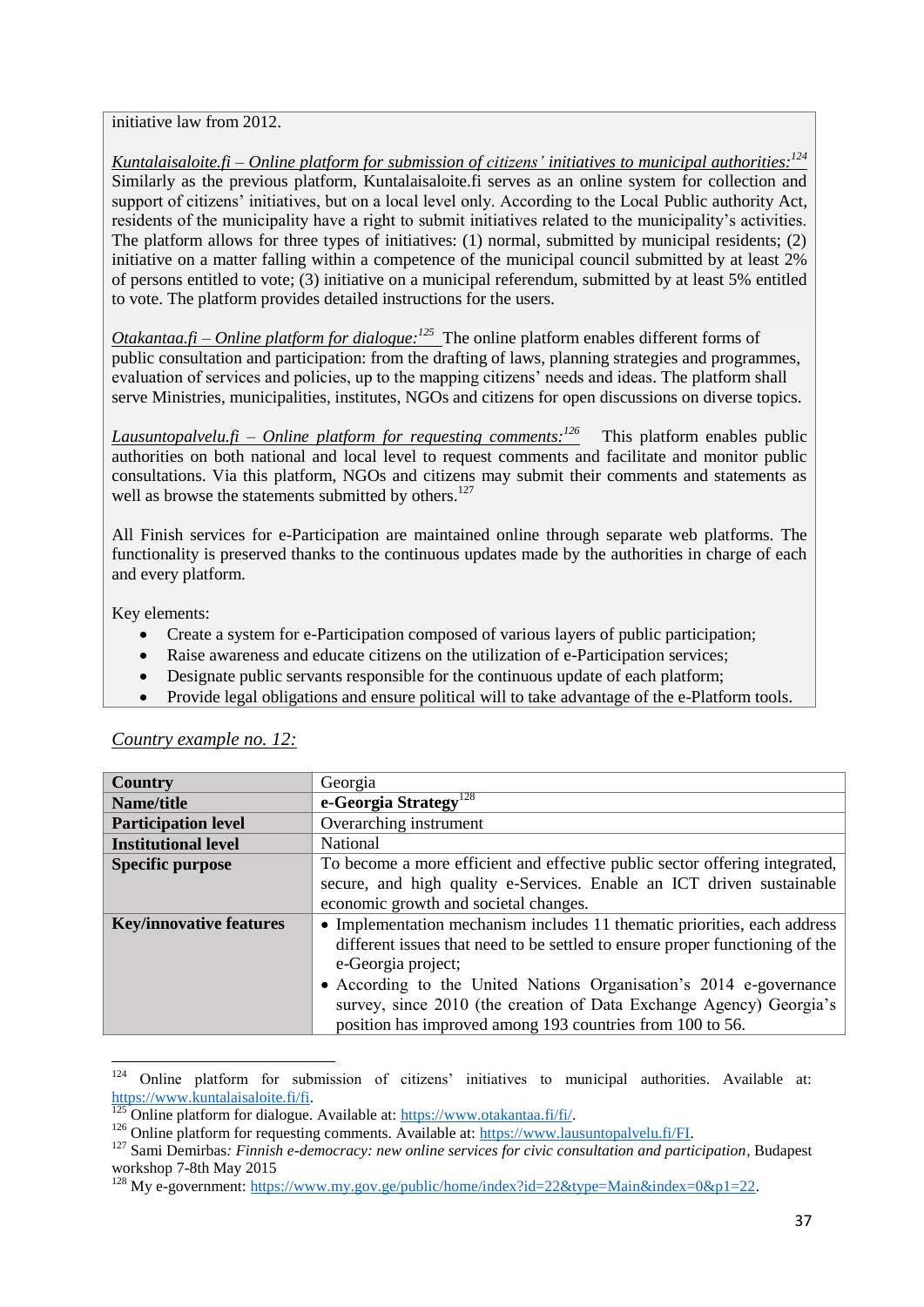initiative law from 2012.

*Kuntalaisaloite.fi – Online platform for submission of citizens' initiatives to municipal authorities: 124* Similarly as the previous platform, Kuntalaisaloite.fi serves as an online system for collection and support of citizens' initiatives, but on a local level only. According to the Local Public authority Act, residents of the municipality have a right to submit initiatives related to the municipality's activities. The platform allows for three types of initiatives: (1) normal, submitted by municipal residents; (2) initiative on a matter falling within a competence of the municipal council submitted by at least 2% of persons entitled to vote; (3) initiative on a municipal referendum, submitted by at least 5% entitled to vote. The platform provides detailed instructions for the users.

*Otakantaa.fi – Online platform for dialogue:*<sup>125</sup> The online platform enables different forms of public consultation and participation: from the drafting of laws, planning strategies and programmes, evaluation of services and policies, up to the mapping citizens' needs and ideas. The platform shall serve Ministries, municipalities, institutes, NGOs and citizens for open discussions on diverse topics.

*Lausuntopalvelu.fi – Online platform for requesting comments:<sup>126</sup>* This platform enables public authorities on both national and local level to request comments and facilitate and monitor public consultations. Via this platform, NGOs and citizens may submit their comments and statements as well as browse the statements submitted by others.<sup>127</sup>

All Finish services for e-Participation are maintained online through separate web platforms. The functionality is preserved thanks to the continuous updates made by the authorities in charge of each and every platform.

Key elements:

- Create a system for e-Participation composed of various layers of public participation;
- Raise awareness and educate citizens on the utilization of e-Participation services;
- Designate public servants responsible for the continuous update of each platform;
- Provide legal obligations and ensure political will to take advantage of the e-Platform tools.

| Country                        | Georgia                                                                      |
|--------------------------------|------------------------------------------------------------------------------|
| Name/title                     | e-Georgia Strategy <sup>128</sup>                                            |
| <b>Participation level</b>     | Overarching instrument                                                       |
| <b>Institutional level</b>     | National                                                                     |
| <b>Specific purpose</b>        | To become a more efficient and effective public sector offering integrated,  |
|                                | secure, and high quality e-Services. Enable an ICT driven sustainable        |
|                                | economic growth and societal changes.                                        |
| <b>Key/innovative features</b> | • Implementation mechanism includes 11 thematic priorities, each address     |
|                                | different issues that need to be settled to ensure proper functioning of the |
|                                | e-Georgia project;                                                           |
|                                | • According to the United Nations Organisation's 2014 e-governance           |
|                                | survey, since 2010 (the creation of Data Exchange Agency) Georgia's          |
|                                | position has improved among 193 countries from 100 to 56.                    |

*Country example no. 12:*

<sup>124</sup> <sup>124</sup> Online platform for submission of citizens' initiatives to municipal authorities. Available at: [https://www.kuntalaisaloite.fi/fi.](https://www.kuntalaisaloite.fi/fi)

<sup>125</sup> Online platform for dialogue. Available at: [https://www.otakantaa.fi/fi/.](https://www.otakantaa.fi/fi/)

<sup>&</sup>lt;sup>126</sup> Online platform for requesting comments. Available at: [https://www.lausuntopalvelu.fi/FI.](https://www.lausuntopalvelu.fi/FI)

<sup>&</sup>lt;sup>127</sup> Sami Demirbas: Finnish e-democracy: new online services for civic consultation and participation, Budapest workshop 7-8th May 2015

<sup>&</sup>lt;sup>128</sup> My e-government: [https://www.my.gov.ge/public/home/index?id=22&type=Main&index=0&p1=22.](https://www.my.gov.ge/public/home/index?id=22&type=Main&index=0&p1=22)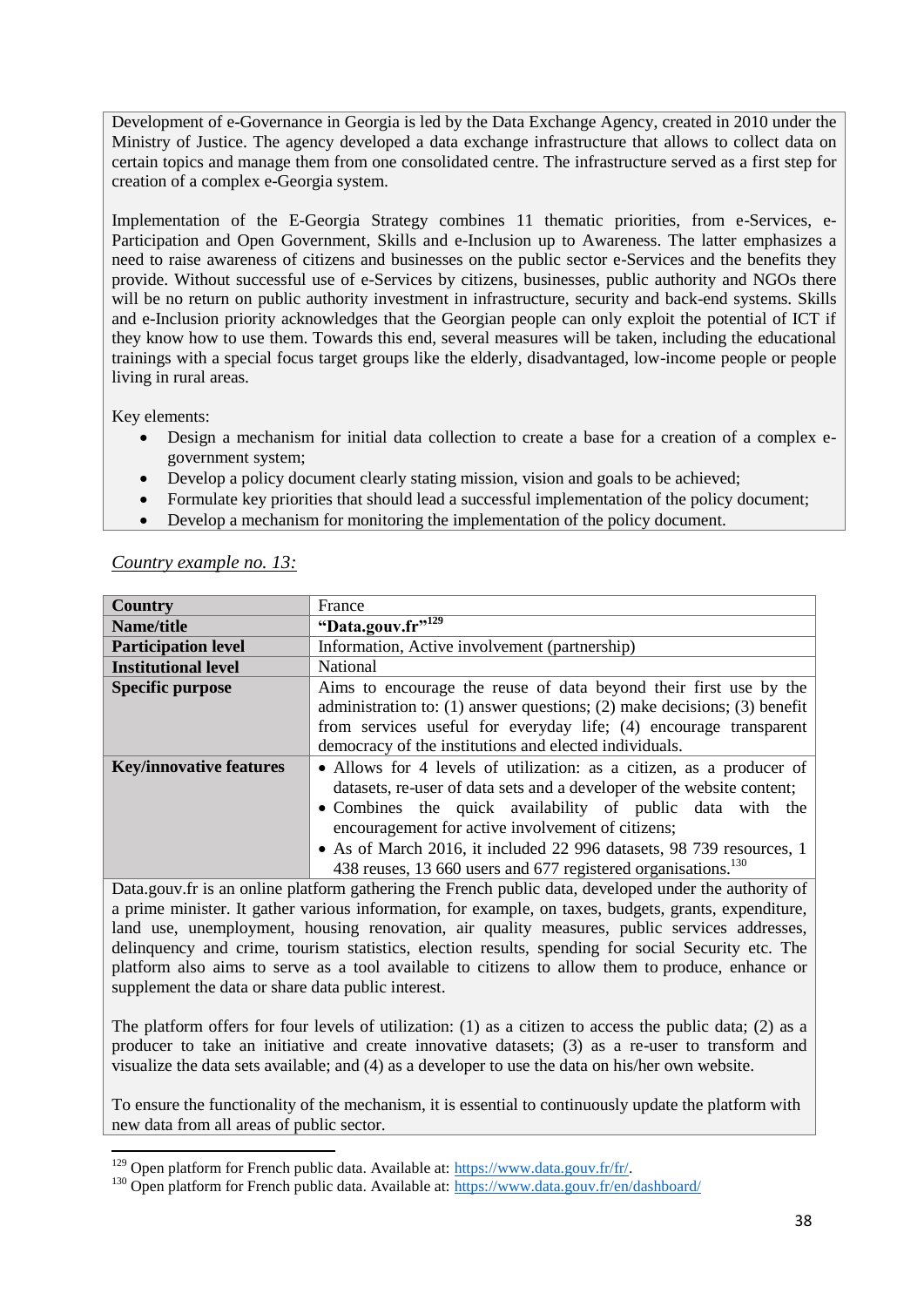Development of e-Governance in Georgia is led by the Data Exchange Agency, created in 2010 under the Ministry of Justice. The agency developed a data exchange infrastructure that allows to collect data on certain topics and manage them from one consolidated centre. The infrastructure served as a first step for creation of a complex e-Georgia system.

Implementation of the E-Georgia Strategy combines 11 thematic priorities, from e-Services, e-Participation and Open Government, Skills and e-Inclusion up to Awareness. The latter emphasizes a need to raise awareness of citizens and businesses on the public sector e-Services and the benefits they provide. Without successful use of e-Services by citizens, businesses, public authority and NGOs there will be no return on public authority investment in infrastructure, security and back-end systems. Skills and e-Inclusion priority acknowledges that the Georgian people can only exploit the potential of ICT if they know how to use them. Towards this end, several measures will be taken, including the educational trainings with a special focus target groups like the elderly, disadvantaged, low-income people or people living in rural areas.

Key elements:

- Design a mechanism for initial data collection to create a base for a creation of a complex egovernment system;
- Develop a policy document clearly stating mission, vision and goals to be achieved;
- Formulate key priorities that should lead a successful implementation of the policy document;
- Develop a mechanism for monitoring the implementation of the policy document.

| Country                        | France                                                                                                                                                                                                                                                                                                                                                                                                                |
|--------------------------------|-----------------------------------------------------------------------------------------------------------------------------------------------------------------------------------------------------------------------------------------------------------------------------------------------------------------------------------------------------------------------------------------------------------------------|
| Name/title                     | "Data.gouv.fr" <sup>129</sup>                                                                                                                                                                                                                                                                                                                                                                                         |
| <b>Participation level</b>     | Information, Active involvement (partnership)                                                                                                                                                                                                                                                                                                                                                                         |
| <b>Institutional level</b>     | <b>National</b>                                                                                                                                                                                                                                                                                                                                                                                                       |
| <b>Specific purpose</b>        | Aims to encourage the reuse of data beyond their first use by the<br>administration to: $(1)$ answer questions; $(2)$ make decisions; $(3)$ benefit<br>from services useful for everyday life; (4) encourage transparent<br>democracy of the institutions and elected individuals.                                                                                                                                    |
| <b>Key/innovative features</b> | • Allows for 4 levels of utilization: as a citizen, as a producer of<br>datasets, re-user of data sets and a developer of the website content;<br>• Combines the quick availability of public data with the<br>encouragement for active involvement of citizens;<br>• As of March 2016, it included 22 996 datasets, 98 739 resources, 1<br>438 reuses, 13 660 users and 677 registered organisations. <sup>130</sup> |

#### *Country example no. 13:*

Data.gouv.fr is an online platform gathering the French public data, developed under the authority of a prime minister. It gather various information, for example, on taxes, budgets, grants, expenditure, land use, unemployment, housing renovation, air quality measures, public services addresses, delinquency and crime, tourism statistics, election results, spending for social Security etc. The platform also aims to serve as a tool available to citizens to allow them to produce, enhance or supplement the data or share data public interest.

The platform offers for four levels of utilization: (1) as a citizen to access the public data; (2) as a producer to take an initiative and create innovative datasets; (3) as a re-user to transform and visualize the data sets available; and (4) as a developer to use the data on his/her own website.

To ensure the functionality of the mechanism, it is essential to continuously update the platform with new data from all areas of public sector.

**<sup>.</sup>**  $129$  Open platform for French public data. Available at: https://www.data.gouv.fr/fr/.

<sup>&</sup>lt;sup>130</sup> Open platform for French public data. Available at:<https://www.data.gouv.fr/en/dashboard/>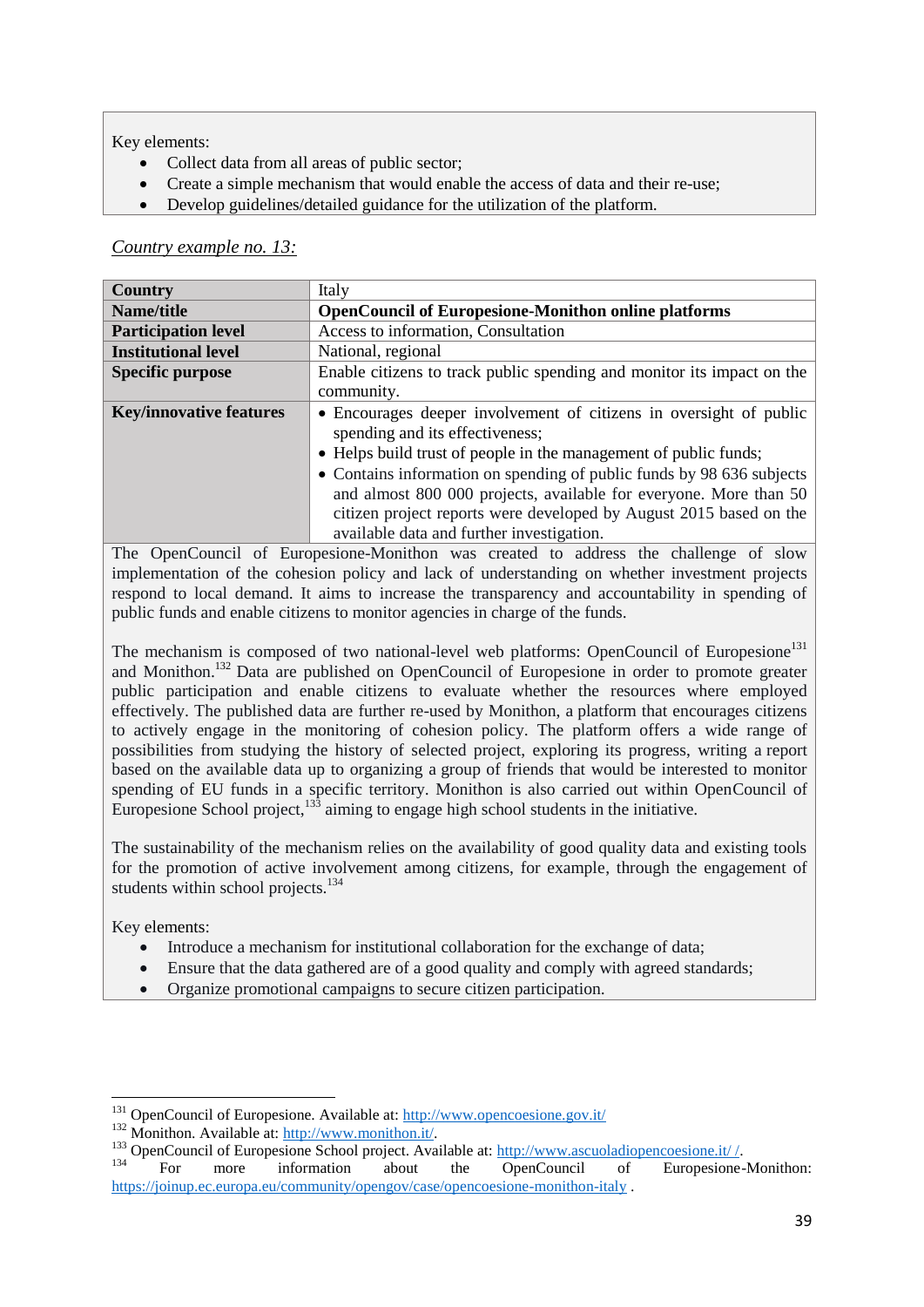Key elements:

- Collect data from all areas of public sector;
- Create a simple mechanism that would enable the access of data and their re-use;
- Develop guidelines/detailed guidance for the utilization of the platform.

### *Country example no. 13:*

| <b>Country</b>                 | Italy                                                                                                 |
|--------------------------------|-------------------------------------------------------------------------------------------------------|
| Name/title                     | <b>OpenCouncil of Europesione-Monithon online platforms</b>                                           |
| <b>Participation level</b>     | Access to information, Consultation                                                                   |
| <b>Institutional level</b>     | National, regional                                                                                    |
| <b>Specific purpose</b>        | Enable citizens to track public spending and monitor its impact on the                                |
|                                | community.                                                                                            |
| <b>Key/innovative features</b> | • Encourages deeper involvement of citizens in oversight of public<br>spending and its effectiveness; |
|                                | • Helps build trust of people in the management of public funds;                                      |
|                                | • Contains information on spending of public funds by 98 636 subjects                                 |
|                                | and almost 800 000 projects, available for everyone. More than 50                                     |
|                                | citizen project reports were developed by August 2015 based on the                                    |
|                                | available data and further investigation.                                                             |

The OpenCouncil of Europesione-Monithon was created to address the challenge of slow implementation of the cohesion policy and lack of understanding on whether investment projects respond to local demand. It aims to increase the transparency and accountability in spending of public funds and enable citizens to monitor agencies in charge of the funds.

The mechanism is composed of two national-level web platforms: OpenCouncil of Europesione<sup>131</sup> and Monithon.<sup>132</sup> Data are published on OpenCouncil of Europesione in order to promote greater public participation and enable citizens to evaluate whether the resources where employed effectively. The published data are further re-used by Monithon, a platform that encourages citizens to actively engage in the monitoring of cohesion policy. The platform offers a wide range of possibilities from studying the history of selected project, exploring its progress, writing a report based on the available data up to organizing a group of friends that would be interested to monitor spending of EU funds in a specific territory. Monithon is also carried out within OpenCouncil of Europesione School project, $133$  aiming to engage high school students in the initiative.

The sustainability of the mechanism relies on the availability of good quality data and existing tools for the promotion of active involvement among citizens, for example, through the engagement of students within school projects.<sup>134</sup>

Key elements:

**.** 

- Introduce a mechanism for institutional collaboration for the exchange of data;
- Ensure that the data gathered are of a good quality and comply with agreed standards;
- Organize promotional campaigns to secure citizen participation.

<sup>&</sup>lt;sup>131</sup> OpenCouncil of Europesione. Available at:<http://www.opencoesione.gov.it/>

<sup>132</sup> Monithon. Available at: [http://www.monithon.it/.](http://www.monithon.it/)

<sup>&</sup>lt;sup>133</sup> OpenCouncil of Europesione School project. Available at:  $\frac{http://www.ascuola diopencoesione.it/}{\text{DearCouncil}}$ 

<sup>134</sup> For more information about the OpenCouncil of Europesione-Monithon: <https://joinup.ec.europa.eu/community/opengov/case/opencoesione-monithon-italy> .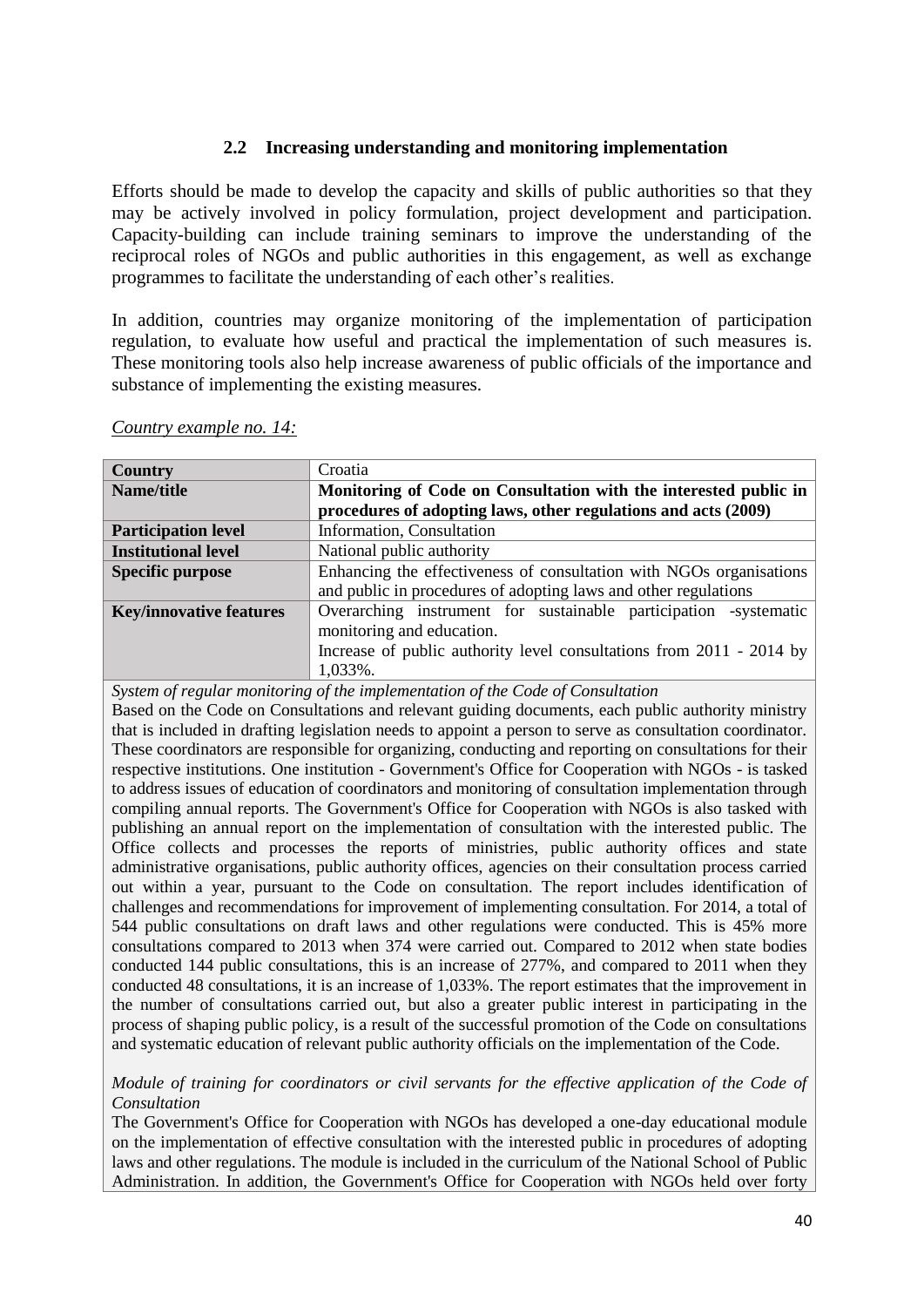### **2.2 Increasing understanding and monitoring implementation**

<span id="page-40-0"></span>Efforts should be made to develop the capacity and skills of public authorities so that they may be actively involved in policy formulation, project development and participation. Capacity-building can include training seminars to improve the understanding of the reciprocal roles of NGOs and public authorities in this engagement, as well as exchange programmes to facilitate the understanding of each other's realities.

In addition, countries may organize monitoring of the implementation of participation regulation, to evaluate how useful and practical the implementation of such measures is. These monitoring tools also help increase awareness of public officials of the importance and substance of implementing the existing measures.

| <b>Country</b>                 | Croatia                                                              |
|--------------------------------|----------------------------------------------------------------------|
| Name/title                     | Monitoring of Code on Consultation with the interested public in     |
|                                | procedures of adopting laws, other regulations and acts (2009)       |
| <b>Participation level</b>     | Information, Consultation                                            |
| <b>Institutional level</b>     | National public authority                                            |
| <b>Specific purpose</b>        | Enhancing the effectiveness of consultation with NGOs organisations  |
|                                | and public in procedures of adopting laws and other regulations      |
| <b>Key/innovative features</b> | Overarching instrument for sustainable participation -systematic     |
|                                | monitoring and education.                                            |
|                                | Increase of public authority level consultations from 2011 - 2014 by |
|                                | 1,033%.                                                              |

*Country example no. 14:* 

*System of regular monitoring of the implementation of the Code of Consultation* Based on the Code on Consultations and relevant guiding documents, each public authority ministry that is included in drafting legislation needs to appoint a person to serve as consultation coordinator. These coordinators are responsible for organizing, conducting and reporting on consultations for their respective institutions. One institution - Government's Office for Cooperation with NGOs - is tasked to address issues of education of coordinators and monitoring of consultation implementation through compiling annual reports. The Government's Office for Cooperation with NGOs is also tasked with publishing an annual report on the implementation of consultation with the interested public. The Office collects and processes the reports of ministries, public authority offices and state administrative organisations, public authority offices, agencies on their consultation process carried out within a year, pursuant to the Code on consultation. The report includes identification of challenges and recommendations for improvement of implementing consultation. For 2014, a total of 544 public consultations on draft laws and other regulations were conducted. This is 45% more consultations compared to 2013 when 374 were carried out. Compared to 2012 when state bodies conducted 144 public consultations, this is an increase of 277%, and compared to 2011 when they conducted 48 consultations, it is an increase of 1,033%. The report estimates that the improvement in the number of consultations carried out, but also a greater public interest in participating in the process of shaping public policy, is a result of the successful promotion of the Code on consultations and systematic education of relevant public authority officials on the implementation of the Code.

*Module of training for coordinators or civil servants for the effective application of the Code of Consultation*

The Government's Office for Cooperation with NGOs has developed a one-day educational module on the implementation of effective consultation with the interested public in procedures of adopting laws and other regulations. The module is included in the curriculum of the National School of Public Administration. In addition, the Government's Office for Cooperation with NGOs held over forty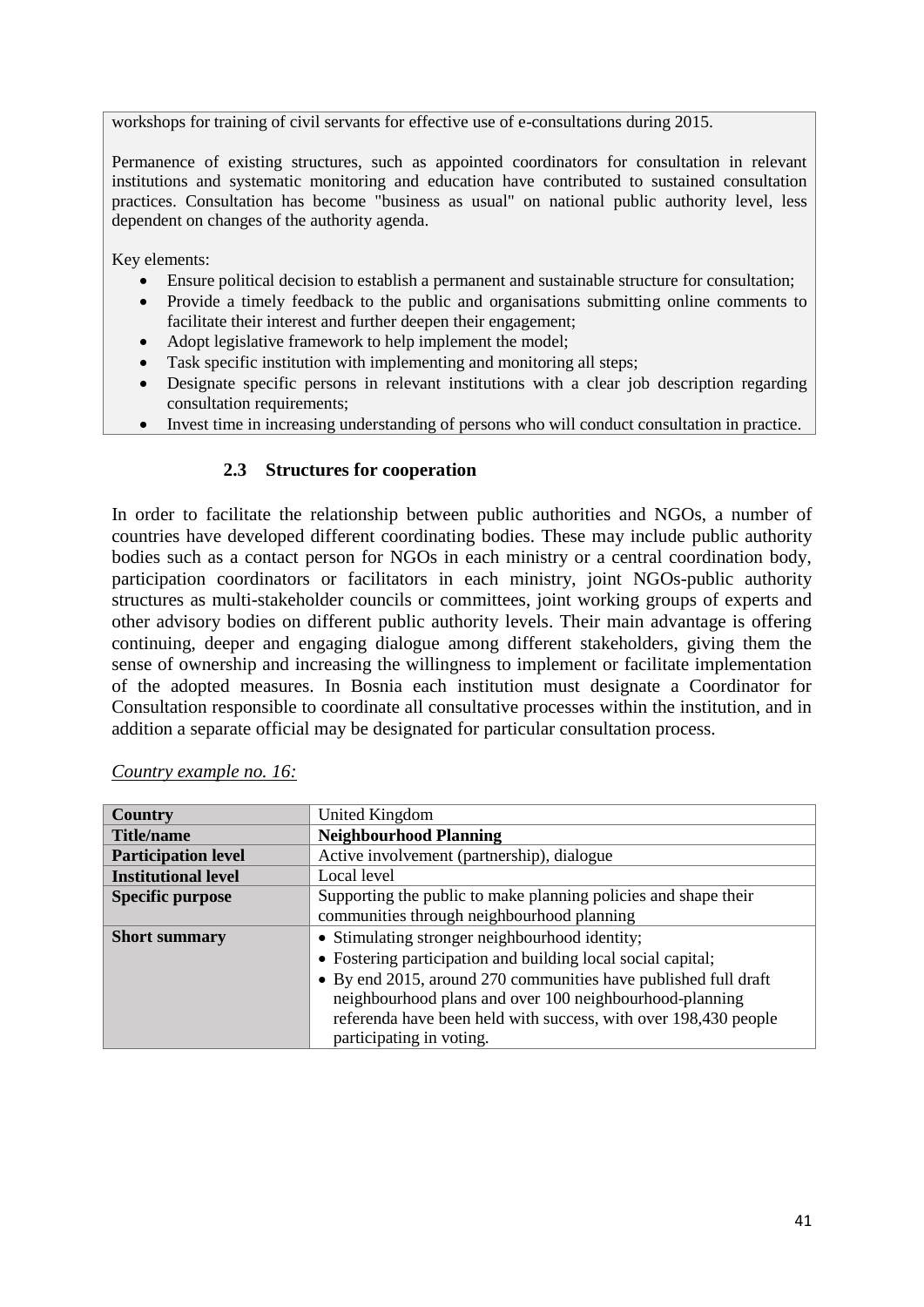workshops for training of civil servants for effective use of e-consultations during 2015.

Permanence of existing structures, such as appointed coordinators for consultation in relevant institutions and systematic monitoring and education have contributed to sustained consultation practices. Consultation has become "business as usual" on national public authority level, less dependent on changes of the authority agenda.

Key elements:

- Ensure political decision to establish a permanent and sustainable structure for consultation;
- Provide a timely feedback to the public and organisations submitting online comments to facilitate their interest and further deepen their engagement;
- Adopt legislative framework to help implement the model;
- Task specific institution with implementing and monitoring all steps;
- Designate specific persons in relevant institutions with a clear job description regarding consultation requirements;
- Invest time in increasing understanding of persons who will conduct consultation in practice.

### **2.3 Structures for cooperation**

<span id="page-41-0"></span>In order to facilitate the relationship between public authorities and NGOs, a number of countries have developed different coordinating bodies. These may include public authority bodies such as a contact person for NGOs in each ministry or a central coordination body, participation coordinators or facilitators in each ministry, joint NGOs-public authority structures as multi-stakeholder councils or committees, joint working groups of experts and other advisory bodies on different public authority levels. Their main advantage is offering continuing, deeper and engaging dialogue among different stakeholders, giving them the sense of ownership and increasing the willingness to implement or facilitate implementation of the adopted measures. In Bosnia each institution must designate a Coordinator for Consultation responsible to coordinate all consultative processes within the institution, and in addition a separate official may be designated for particular consultation process.

| <b>Country</b>             | United Kingdom                                                  |
|----------------------------|-----------------------------------------------------------------|
| <b>Title/name</b>          | <b>Neighbourhood Planning</b>                                   |
| <b>Participation level</b> | Active involvement (partnership), dialogue                      |
| <b>Institutional level</b> | Local level                                                     |
| <b>Specific purpose</b>    | Supporting the public to make planning policies and shape their |
|                            | communities through neighbourhood planning                      |
| <b>Short summary</b>       | • Stimulating stronger neighbourhood identity;                  |
|                            | • Fostering participation and building local social capital;    |
|                            | • By end 2015, around 270 communities have published full draft |
|                            | neighbourhood plans and over 100 neighbourhood-planning         |
|                            | referenda have been held with success, with over 198,430 people |
|                            | participating in voting.                                        |

| Country example no. 16: |  |
|-------------------------|--|
|                         |  |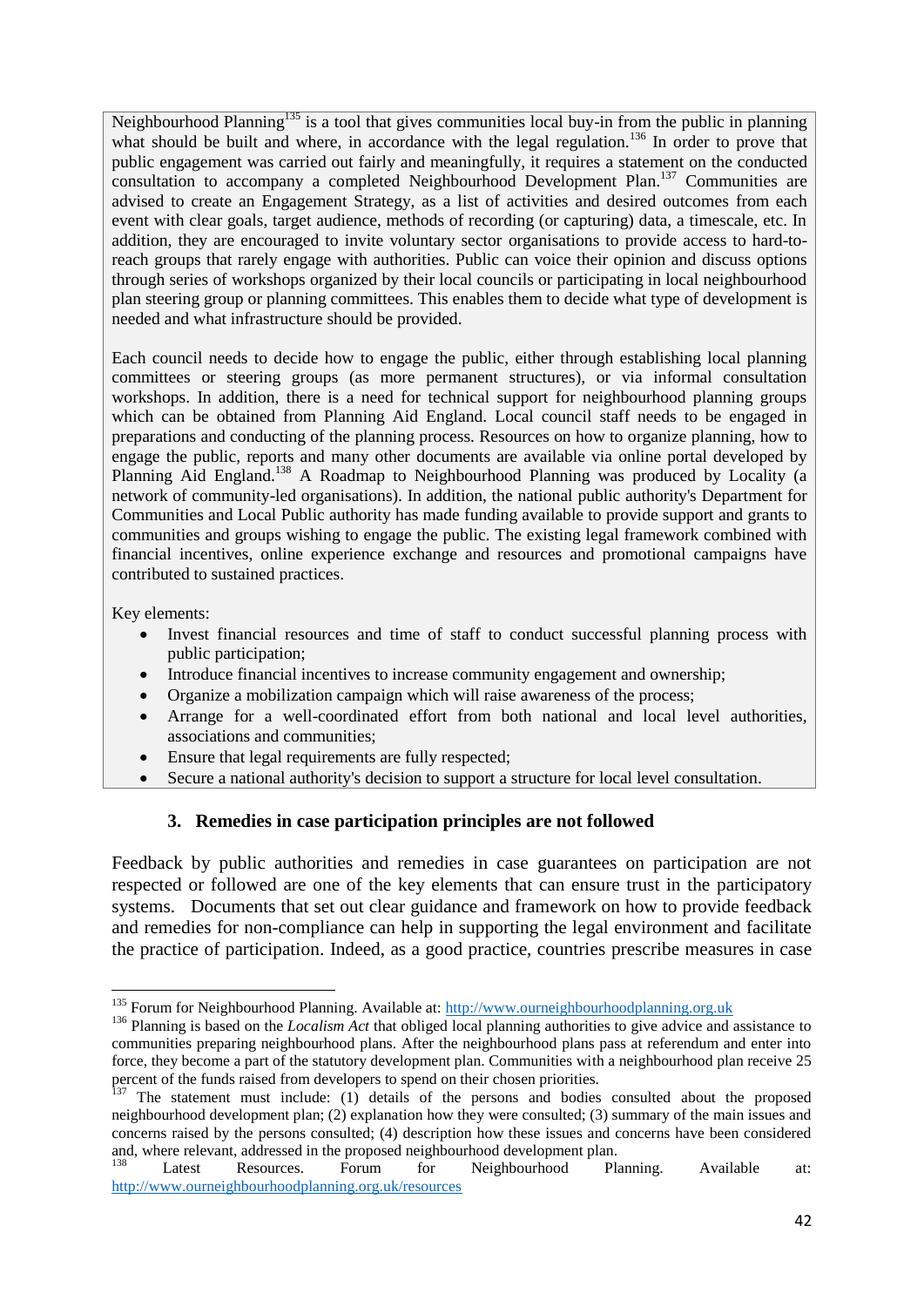Neighbourhood Planning<sup>135</sup> is a tool that gives communities local buy-in from the public in planning what should be built and where, in accordance with the legal regulation.<sup>136</sup> In order to prove that public engagement was carried out fairly and meaningfully, it requires a statement on the conducted consultation to accompany a completed Neighbourhood Development Plan.<sup>137</sup> Communities are advised to create an Engagement Strategy, as a list of activities and desired outcomes from each event with clear goals, target audience, methods of recording (or capturing) data, a timescale, etc. In addition, they are encouraged to invite voluntary sector organisations to provide access to hard-toreach groups that rarely engage with authorities. Public can voice their opinion and discuss options through series of workshops organized by their local councils or participating in local neighbourhood plan steering group or planning committees. This enables them to decide what type of development is needed and what infrastructure should be provided.

Each council needs to decide how to engage the public, either through establishing local planning committees or steering groups (as more permanent structures), or via informal consultation workshops. In addition, there is a need for technical support for neighbourhood planning groups which can be obtained from Planning Aid England. Local council staff needs to be engaged in preparations and conducting of the planning process. Resources on how to organize planning, how to engage the public, reports and many other documents are available via online portal developed by Planning Aid England.<sup>138</sup> A Roadmap to Neighbourhood Planning was produced by Locality (a network of community-led organisations). In addition, the national public authority's Department for Communities and Local Public authority has made funding available to provide support and grants to communities and groups wishing to engage the public. The existing legal framework combined with financial incentives, online experience exchange and resources and promotional campaigns have contributed to sustained practices.

Key elements:

**.** 

- Invest financial resources and time of staff to conduct successful planning process with public participation;
- Introduce financial incentives to increase community engagement and ownership;
- Organize a mobilization campaign which will raise awareness of the process;
- Arrange for a well-coordinated effort from both national and local level authorities, associations and communities;
- Ensure that legal requirements are fully respected;
- Secure a national authority's decision to support a structure for local level consultation.

### **3. Remedies in case participation principles are not followed**

<span id="page-42-0"></span>Feedback by public authorities and remedies in case guarantees on participation are not respected or followed are one of the key elements that can ensure trust in the participatory systems. Documents that set out clear guidance and framework on how to provide feedback and remedies for non-compliance can help in supporting the legal environment and facilitate the practice of participation. Indeed, as a good practice, countries prescribe measures in case

<sup>&</sup>lt;sup>135</sup> Forum for Neighbourhood Planning. Available at: [http://www.ourneighbourhoodplanning.org.uk](http://www.ourneighbourhoodplanning.org.uk/)

<sup>&</sup>lt;sup>136</sup> Planning is based on the *Localism Act* that obliged local planning authorities to give advice and assistance to communities preparing neighbourhood plans. After the neighbourhood plans pass at referendum and enter into force, they become a part of the statutory development plan. Communities with a neighbourhood plan receive 25 percent of the funds raised from developers to spend on their chosen priorities.

 $137$  The statement must include: (1) details of the persons and bodies consulted about the proposed neighbourhood development plan; (2) explanation how they were consulted; (3) summary of the main issues and concerns raised by the persons consulted; (4) description how these issues and concerns have been considered and, where relevant, addressed in the proposed neighbourhood development plan.

Latest Resources. Forum for Neighbourhood Planning. Available at: <http://www.ourneighbourhoodplanning.org.uk/resources>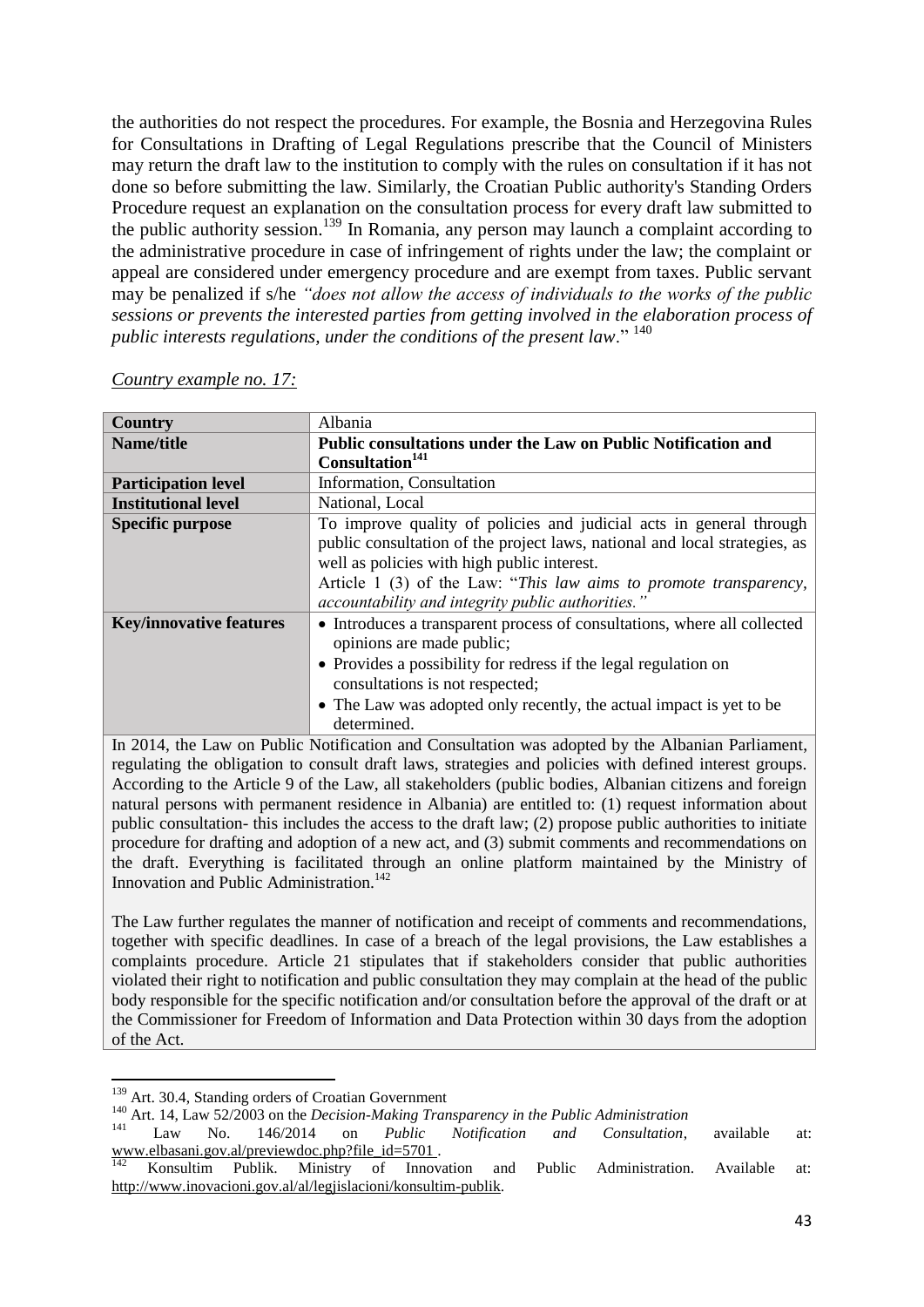the authorities do not respect the procedures. For example, the Bosnia and Herzegovina Rules for Consultations in Drafting of Legal Regulations prescribe that the Council of Ministers may return the draft law to the institution to comply with the rules on consultation if it has not done so before submitting the law. Similarly, the Croatian Public authority's Standing Orders Procedure request an explanation on the consultation process for every draft law submitted to the public authority session.<sup>139</sup> In Romania, any person may launch a complaint according to the administrative procedure in case of infringement of rights under the law; the complaint or appeal are considered under emergency procedure and are exempt from taxes. Public servant may be penalized if s/he *"does not allow the access of individuals to the works of the public sessions or prevents the interested parties from getting involved in the elaboration process of public interests regulations, under the conditions of the present law*." <sup>140</sup>

| <b>Country</b>                 | Albania                                                                    |
|--------------------------------|----------------------------------------------------------------------------|
| Name/title                     | Public consultations under the Law on Public Notification and              |
|                                | Consultation <sup>141</sup>                                                |
| <b>Participation level</b>     | Information, Consultation                                                  |
| <b>Institutional level</b>     | National, Local                                                            |
| <b>Specific purpose</b>        | To improve quality of policies and judicial acts in general through        |
|                                | public consultation of the project laws, national and local strategies, as |
|                                | well as policies with high public interest.                                |
|                                | Article 1 (3) of the Law: "This law aims to promote transparency,          |
|                                | accountability and integrity public authorities."                          |
| <b>Key/innovative features</b> | • Introduces a transparent process of consultations, where all collected   |
|                                | opinions are made public;                                                  |
|                                | • Provides a possibility for redress if the legal regulation on            |
|                                | consultations is not respected;                                            |
|                                | • The Law was adopted only recently, the actual impact is yet to be        |
|                                | determined.                                                                |
|                                |                                                                            |

### *Country example no. 17:*

In 2014, the Law on Public Notification and Consultation was adopted by the Albanian Parliament, regulating the obligation to consult draft laws, strategies and policies with defined interest groups. According to the Article 9 of the Law, all stakeholders (public bodies, Albanian citizens and foreign natural persons with permanent residence in Albania) are entitled to: (1) request information about public consultation- this includes the access to the draft law; (2) propose public authorities to initiate procedure for drafting and adoption of a new act, and (3) submit comments and recommendations on the draft. Everything is facilitated through an online platform maintained by the Ministry of Innovation and Public Administration.<sup>142</sup>

The Law further regulates the manner of notification and receipt of comments and recommendations, together with specific deadlines. In case of a breach of the legal provisions, the Law establishes a complaints procedure. Article 21 stipulates that if stakeholders consider that public authorities violated their right to notification and public consultation they may complain at the head of the public body responsible for the specific notification and/or consultation before the approval of the draft or at the Commissioner for Freedom of Information and Data Protection within 30 days from the adoption of the Act.

<sup>1</sup> <sup>139</sup> Art. 30.4, Standing orders of Croatian Government

<sup>&</sup>lt;sup>140</sup> Art. 14, Law 52/2003 on the *Decision-Making Transparency in the Public Administration* 

<sup>141</sup> Law No. 146/2014 on *Public Notification and Consultation*, available at: [www.elbasani.gov.al/previewdoc.php?file\\_id=5701](http://www.elbasani.gov.al/previewdoc.php?file_id=5701) .

<sup>&</sup>lt;sup>142</sup> Konsultim Publik. Ministry of Innovation and Public Administration. Available at: [http://www.inovacioni.gov.al/al/legjislacioni/konsultim-publik.](http://www.inovacioni.gov.al/al/legjislacioni/konsultim-publik)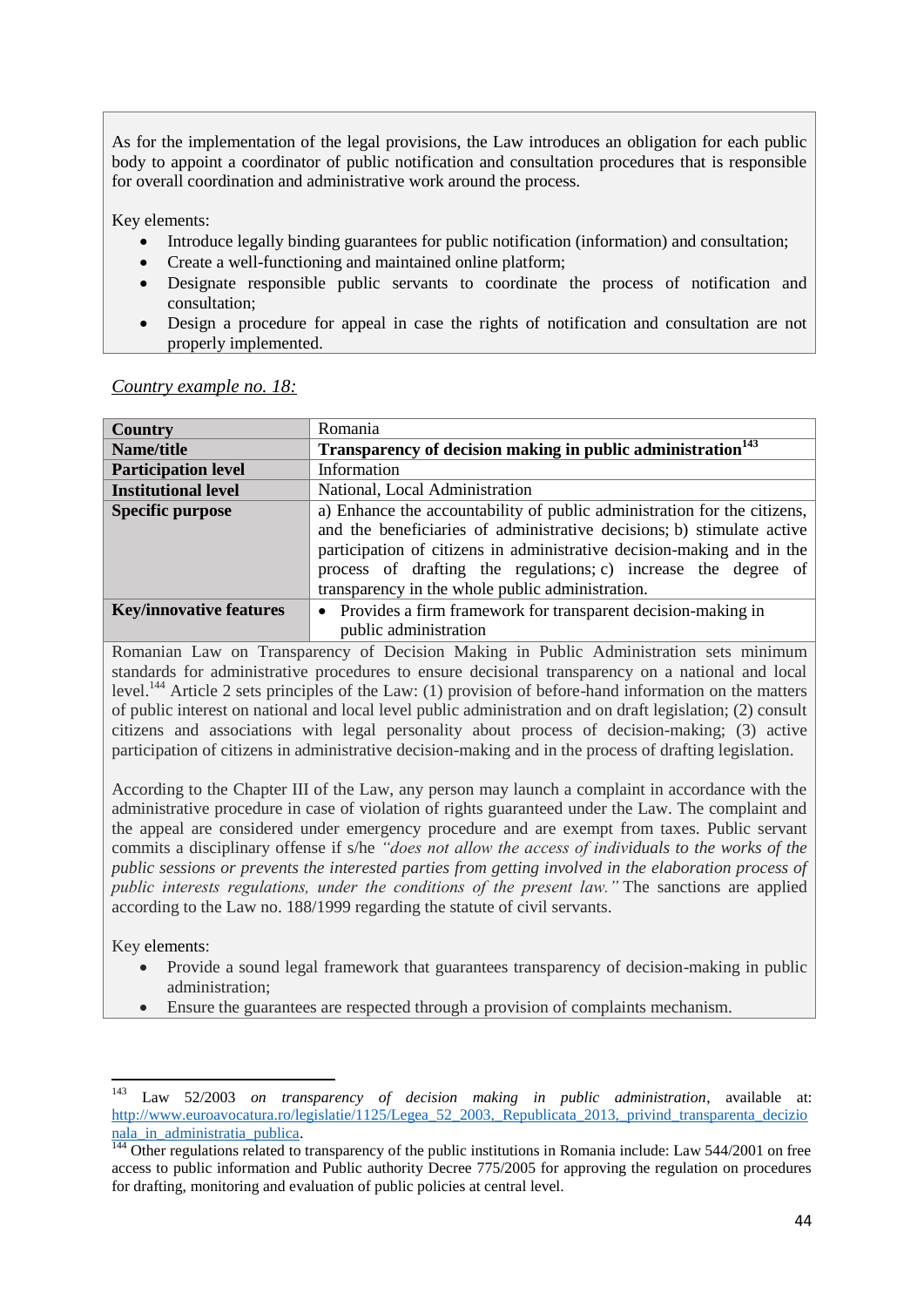As for the implementation of the legal provisions, the Law introduces an obligation for each public body to appoint a coordinator of public notification and consultation procedures that is responsible for overall coordination and administrative work around the process.

Key elements:

- Introduce legally binding guarantees for public notification (information) and consultation;
- Create a well-functioning and maintained online platform;
- Designate responsible public servants to coordinate the process of notification and consultation;
- Design a procedure for appeal in case the rights of notification and consultation are not properly implemented.

*Country example no. 18:*

| <b>Country</b>                 | Romania                                                                                                                                                                                                                                                                                                                                            |
|--------------------------------|----------------------------------------------------------------------------------------------------------------------------------------------------------------------------------------------------------------------------------------------------------------------------------------------------------------------------------------------------|
| Name/title                     | Transparency of decision making in public administration <sup>143</sup>                                                                                                                                                                                                                                                                            |
| <b>Participation level</b>     | Information                                                                                                                                                                                                                                                                                                                                        |
| <b>Institutional level</b>     | National, Local Administration                                                                                                                                                                                                                                                                                                                     |
| <b>Specific purpose</b>        | a) Enhance the accountability of public administration for the citizens,<br>and the beneficiaries of administrative decisions; b) stimulate active<br>participation of citizens in administrative decision-making and in the<br>process of drafting the regulations; c) increase the degree of<br>transparency in the whole public administration. |
| <b>Key/innovative features</b> | • Provides a firm framework for transparent decision-making in                                                                                                                                                                                                                                                                                     |
|                                | public administration                                                                                                                                                                                                                                                                                                                              |

Romanian Law on Transparency of Decision Making in Public Administration sets minimum standards for administrative procedures to ensure decisional transparency on a national and local level.<sup>144</sup> Article 2 sets principles of the Law: (1) provision of before-hand information on the matters of public interest on national and local level public administration and on draft legislation; (2) consult citizens and associations with legal personality about process of decision-making; (3) active participation of citizens in administrative decision-making and in the process of drafting legislation.

According to the Chapter III of the Law, any person may launch a complaint in accordance with the administrative procedure in case of violation of rights guaranteed under the Law. The complaint and the appeal are considered under emergency procedure and are exempt from taxes. Public servant commits a disciplinary offense if s/he *"does not allow the access of individuals to the works of the public sessions or prevents the interested parties from getting involved in the elaboration process of public interests regulations, under the conditions of the present law."* The sanctions are applied according to the Law no. 188/1999 regarding the statute of civil servants.

Key elements:

- Provide a sound legal framework that guarantees transparency of decision-making in public administration;
- Ensure the guarantees are respected through a provision of complaints mechanism.

<sup>143</sup> <sup>143</sup> Law 52/2003 *on transparency of decision making in public administration*, available at: http://www.euroavocatura.ro/legislatie/1125/Legea\_52\_2003, Republicata\_2013,\_privind\_transparenta\_decizio nala in administratia publica.

 $\frac{144}{144}$  Other regulations related to transparency of the public institutions in Romania include: Law 544/2001 on free access to public information and Public authority Decree 775/2005 for approving the regulation on procedures for drafting, monitoring and evaluation of public policies at central level.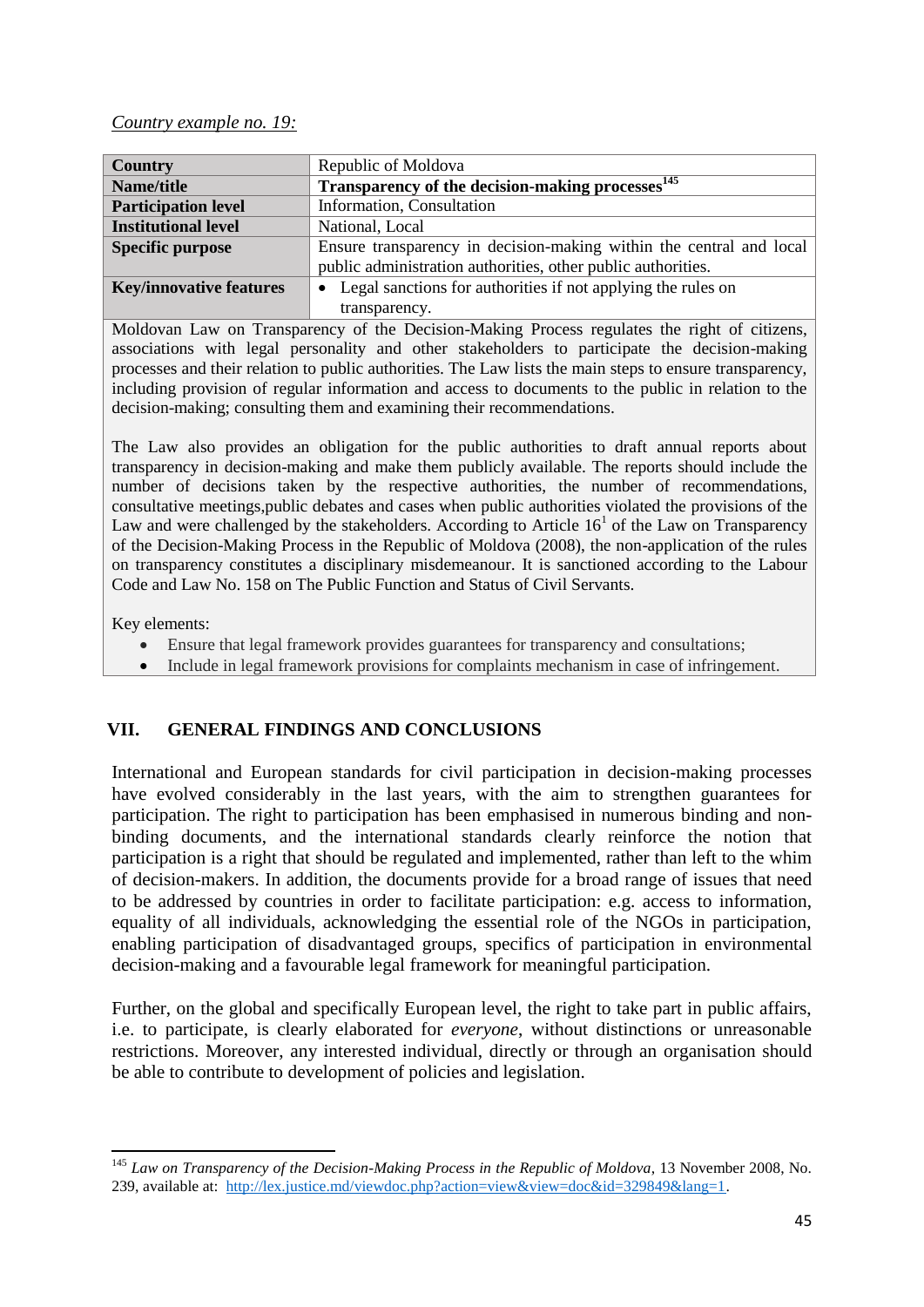### *Country example no. 19:*

| <b>Country</b>                 | Republic of Moldova                                                       |
|--------------------------------|---------------------------------------------------------------------------|
| Name/title                     | Transparency of the decision-making processes <sup>145</sup>              |
| <b>Participation level</b>     | Information, Consultation                                                 |
| <b>Institutional level</b>     | National, Local                                                           |
| <b>Specific purpose</b>        | Ensure transparency in decision-making within the central and local       |
|                                | public administration authorities, other public authorities.              |
| <b>Key/innovative features</b> | Legal sanctions for authorities if not applying the rules on<br>$\bullet$ |
|                                | transparency.                                                             |

Moldovan Law on Transparency of the Decision-Making Process regulates the right of citizens, associations with legal personality and other stakeholders to participate the decision-making processes and their relation to public authorities. The Law lists the main steps to ensure transparency, including provision of regular information and access to documents to the public in relation to the decision-making; consulting them and examining their recommendations.

The Law also provides an obligation for the public authorities to draft annual reports about transparency in decision-making and make them publicly available. The reports should include the number of decisions taken by the respective authorities, the number of recommendations, consultative meetings,public debates and cases when public authorities violated the provisions of the Law and were challenged by the stakeholders. According to Article  $16<sup>1</sup>$  of the Law on Transparency of the Decision-Making Process in the Republic of Moldova (2008), the non-application of the rules on transparency constitutes a disciplinary misdemeanour. It is sanctioned according to the Labour Code and Law No. 158 on The Public Function and Status of Civil Servants.

Key elements:

- Ensure that legal framework provides guarantees for transparency and consultations;
- Include in legal framework provisions for complaints mechanism in case of infringement.

# <span id="page-45-0"></span>**VII. GENERAL FINDINGS AND CONCLUSIONS**

International and European standards for civil participation in decision-making processes have evolved considerably in the last years, with the aim to strengthen guarantees for participation. The right to participation has been emphasised in numerous binding and nonbinding documents, and the international standards clearly reinforce the notion that participation is a right that should be regulated and implemented, rather than left to the whim of decision-makers. In addition, the documents provide for a broad range of issues that need to be addressed by countries in order to facilitate participation: e.g. access to information, equality of all individuals, acknowledging the essential role of the NGOs in participation, enabling participation of disadvantaged groups, specifics of participation in environmental decision-making and a favourable legal framework for meaningful participation.

Further, on the global and specifically European level, the right to take part in public affairs, i.e. to participate, is clearly elaborated for *everyone*, without distinctions or unreasonable restrictions. Moreover, any interested individual, directly or through an organisation should be able to contribute to development of policies and legislation.

**<sup>.</sup>** <sup>145</sup> *Law on Transparency of the Decision-Making Process in the Republic of Moldova*, 13 November 2008, No. 239, available at: [http://lex.justice.md/viewdoc.php?action=view&view=doc&id=329849&lang=1.](http://lex.justice.md/viewdoc.php?action=view&view=doc&id=329849&lang=1)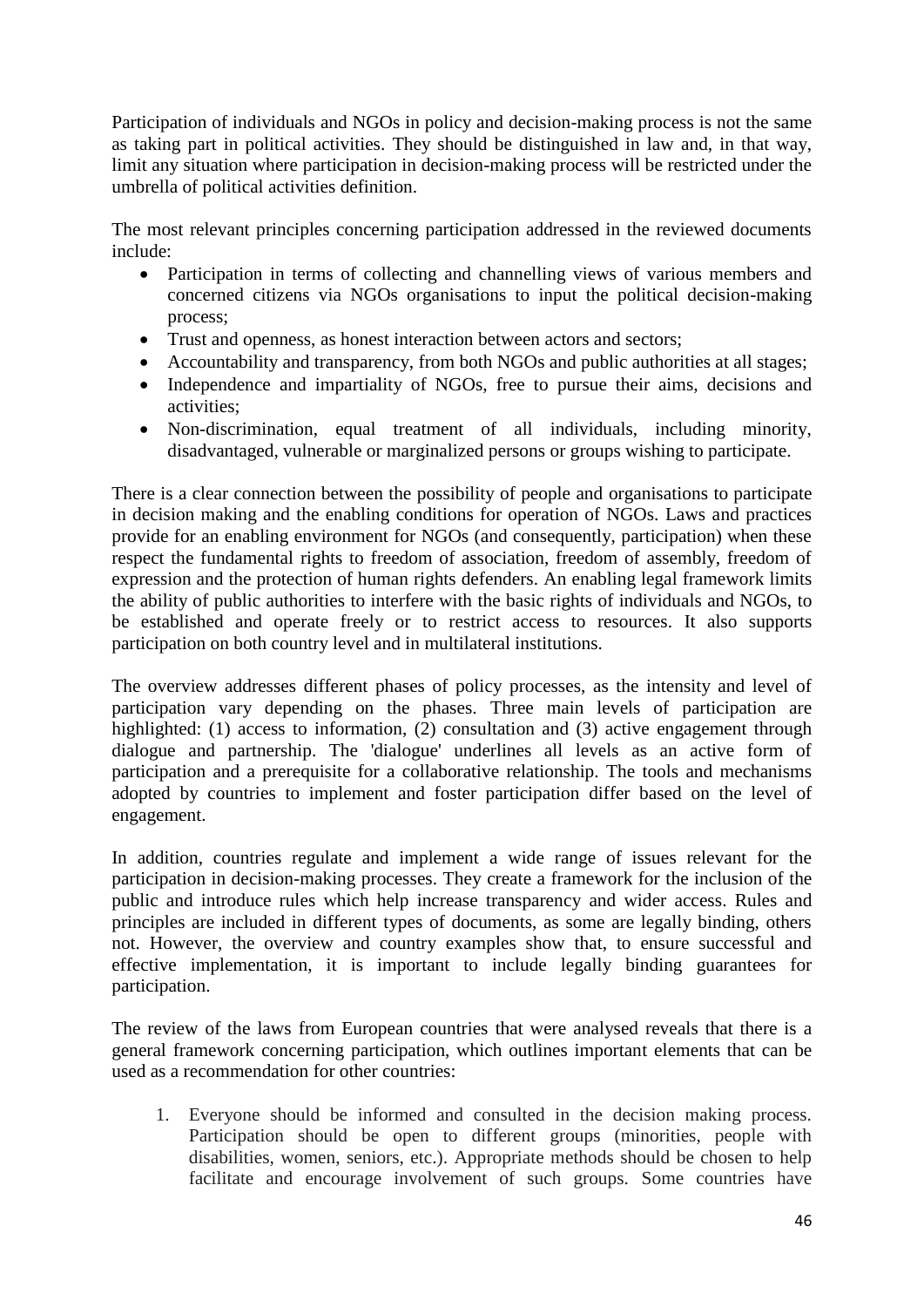Participation of individuals and NGOs in policy and decision-making process is not the same as taking part in political activities. They should be distinguished in law and, in that way, limit any situation where participation in decision-making process will be restricted under the umbrella of political activities definition.

The most relevant principles concerning participation addressed in the reviewed documents include:

- Participation in terms of collecting and channelling views of various members and concerned citizens via NGOs organisations to input the political decision-making process;
- Trust and openness, as honest interaction between actors and sectors;
- Accountability and transparency, from both NGOs and public authorities at all stages;
- Independence and impartiality of NGOs, free to pursue their aims, decisions and activities;
- Non-discrimination, equal treatment of all individuals, including minority, disadvantaged, vulnerable or marginalized persons or groups wishing to participate.

There is a clear connection between the possibility of people and organisations to participate in decision making and the enabling conditions for operation of NGOs. Laws and practices provide for an enabling environment for NGOs (and consequently, participation) when these respect the fundamental rights to freedom of association, freedom of assembly, freedom of expression and the protection of human rights defenders. An enabling legal framework limits the ability of public authorities to interfere with the basic rights of individuals and NGOs, to be established and operate freely or to restrict access to resources. It also supports participation on both country level and in multilateral institutions.

The overview addresses different phases of policy processes, as the intensity and level of participation vary depending on the phases. Three main levels of participation are highlighted: (1) access to information, (2) consultation and (3) active engagement through dialogue and partnership. The 'dialogue' underlines all levels as an active form of participation and a prerequisite for a collaborative relationship. The tools and mechanisms adopted by countries to implement and foster participation differ based on the level of engagement.

In addition, countries regulate and implement a wide range of issues relevant for the participation in decision-making processes. They create a framework for the inclusion of the public and introduce rules which help increase transparency and wider access. Rules and principles are included in different types of documents, as some are legally binding, others not. However, the overview and country examples show that, to ensure successful and effective implementation, it is important to include legally binding guarantees for participation.

The review of the laws from European countries that were analysed reveals that there is a general framework concerning participation, which outlines important elements that can be used as a recommendation for other countries:

1. Everyone should be informed and consulted in the decision making process. Participation should be open to different groups (minorities, people with disabilities, women, seniors, etc.). Appropriate methods should be chosen to help facilitate and encourage involvement of such groups. Some countries have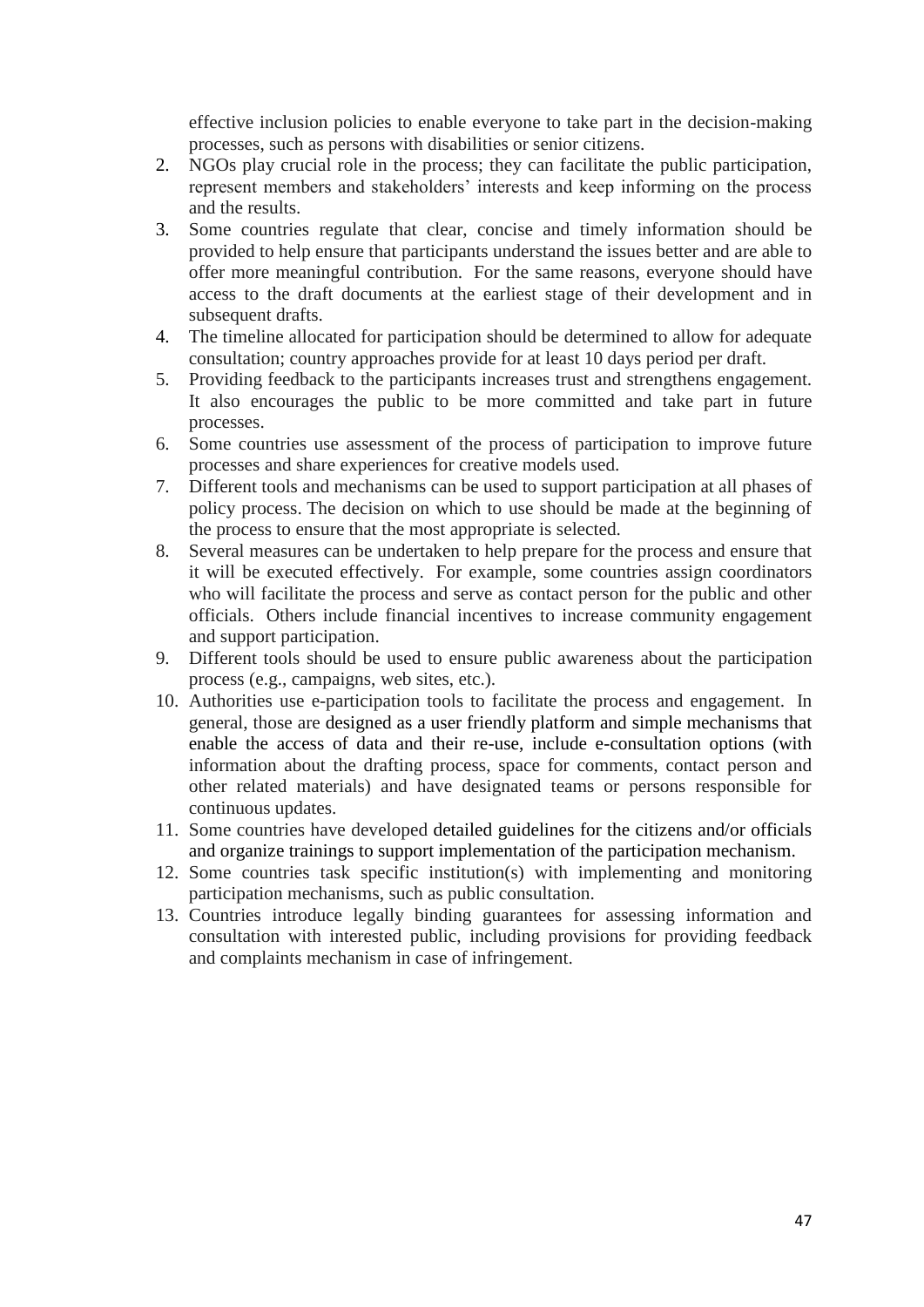effective inclusion policies to enable everyone to take part in the decision-making processes, such as persons with disabilities or senior citizens.

- 2. NGOs play crucial role in the process; they can facilitate the public participation, represent members and stakeholders' interests and keep informing on the process and the results.
- 3. Some countries regulate that clear, concise and timely information should be provided to help ensure that participants understand the issues better and are able to offer more meaningful contribution. For the same reasons, everyone should have access to the draft documents at the earliest stage of their development and in subsequent drafts.
- 4. The timeline allocated for participation should be determined to allow for adequate consultation; country approaches provide for at least 10 days period per draft.
- 5. Providing feedback to the participants increases trust and strengthens engagement. It also encourages the public to be more committed and take part in future processes.
- 6. Some countries use assessment of the process of participation to improve future processes and share experiences for creative models used.
- 7. Different tools and mechanisms can be used to support participation at all phases of policy process. The decision on which to use should be made at the beginning of the process to ensure that the most appropriate is selected.
- 8. Several measures can be undertaken to help prepare for the process and ensure that it will be executed effectively. For example, some countries assign coordinators who will facilitate the process and serve as contact person for the public and other officials. Others include financial incentives to increase community engagement and support participation.
- 9. Different tools should be used to ensure public awareness about the participation process (e.g., campaigns, web sites, etc.).
- 10. Authorities use e-participation tools to facilitate the process and engagement. In general, those are designed as a user friendly platform and simple mechanisms that enable the access of data and their re-use, include e-consultation options (with information about the drafting process, space for comments, contact person and other related materials) and have designated teams or persons responsible for continuous updates.
- 11. Some countries have developed detailed guidelines for the citizens and/or officials and organize trainings to support implementation of the participation mechanism.
- 12. Some countries task specific institution(s) with implementing and monitoring participation mechanisms, such as public consultation.
- 13. Countries introduce legally binding guarantees for assessing information and consultation with interested public, including provisions for providing feedback and complaints mechanism in case of infringement.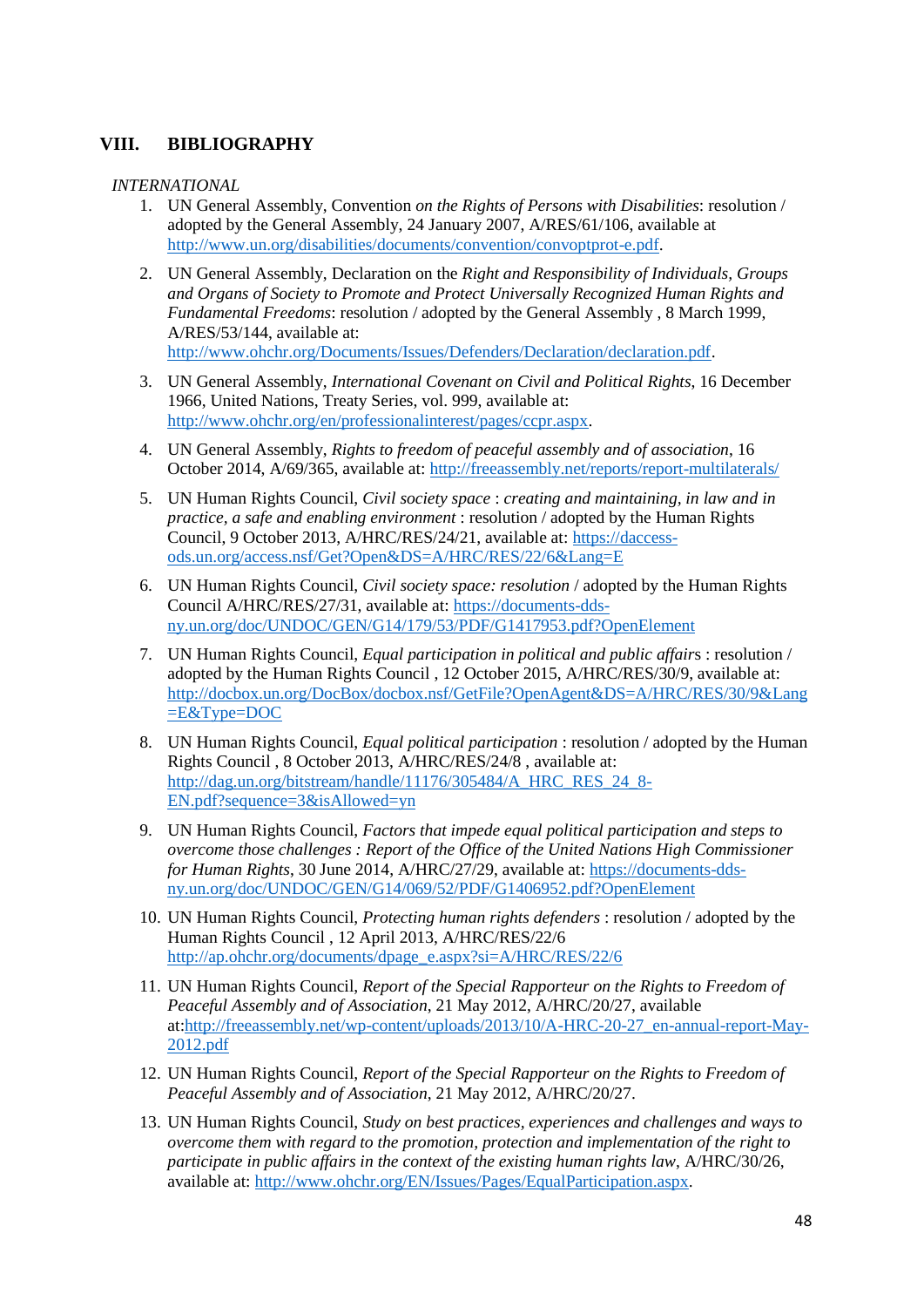### <span id="page-48-0"></span>**VIII. BIBLIOGRAPHY**

*INTERNATIONAL*

- 1. UN General Assembly, Convention *on the Rights of Persons with Disabilities*: resolution / adopted by the General Assembly, 24 January 2007, A/RES/61/106, available at [http://www.un.org/disabilities/documents/convention/convoptprot-e.pdf.](http://www.un.org/disabilities/documents/convention/convoptprot-e.pdf)
- 2. UN General Assembly, Declaration on the *Right and Responsibility of Individuals, Groups and Organs of Society to Promote and Protect Universally Recognized Human Rights and Fundamental Freedoms*: resolution / adopted by the General Assembly , 8 March 1999, A/RES/53/144, available at: [http://www.ohchr.org/Documents/Issues/Defenders/Declaration/declaration.pdf.](http://www.ohchr.org/Documents/Issues/Defenders/Declaration/declaration.pdf)
- 3. UN General Assembly, *International Covenant on Civil and Political Rights*, 16 December 1966, United Nations, Treaty Series, vol. 999, available at: [http://www.ohchr.org/en/professionalinterest/pages/ccpr.aspx.](http://www.ohchr.org/en/professionalinterest/pages/ccpr.aspx)
- 4. UN General Assembly, *Rights to freedom of peaceful assembly and of association*, 16 October 2014, A/69/365, available at:<http://freeassembly.net/reports/report-multilaterals/>
- 5. UN Human Rights Council, *Civil society space* : *creating and maintaining, in law and in practice, a safe and enabling environment* : resolution / adopted by the Human Rights Council, 9 October 2013, A/HRC/RES/24/21, available at: [https://daccess](https://daccess-ods.un.org/access.nsf/Get?Open&DS=A/HRC/RES/22/6&Lang=E)[ods.un.org/access.nsf/Get?Open&DS=A/HRC/RES/22/6&Lang=E](https://daccess-ods.un.org/access.nsf/Get?Open&DS=A/HRC/RES/22/6&Lang=E)
- 6. UN Human Rights Council, *Civil society space: resolution* / adopted by the Human Rights Council A/HRC/RES/27/31, available at: [https://documents-dds](https://documents-dds-ny.un.org/doc/UNDOC/GEN/G14/179/53/PDF/G1417953.pdf?OpenElement)[ny.un.org/doc/UNDOC/GEN/G14/179/53/PDF/G1417953.pdf?OpenElement](https://documents-dds-ny.un.org/doc/UNDOC/GEN/G14/179/53/PDF/G1417953.pdf?OpenElement)
- 7. UN Human Rights Council, *Equal participation in political and public affair*s : resolution / adopted by the Human Rights Council , 12 October 2015, A/HRC/RES/30/9, available at: [http://docbox.un.org/DocBox/docbox.nsf/GetFile?OpenAgent&DS=A/HRC/RES/30/9&Lang](http://docbox.un.org/DocBox/docbox.nsf/GetFile?OpenAgent&DS=A/HRC/RES/30/9&Lang=E&Type=DOC)  $E&Type=DOC$
- 8. UN Human Rights Council, *Equal political participation* : resolution / adopted by the Human Rights Council , 8 October 2013, A/HRC/RES/24/8 , available at: [http://dag.un.org/bitstream/handle/11176/305484/A\\_HRC\\_RES\\_24\\_8-](http://dag.un.org/bitstream/handle/11176/305484/A_HRC_RES_24_8-EN.pdf?sequence=3&isAllowed=yn) [EN.pdf?sequence=3&isAllowed=yn](http://dag.un.org/bitstream/handle/11176/305484/A_HRC_RES_24_8-EN.pdf?sequence=3&isAllowed=yn)
- 9. UN Human Rights Council, *Factors that impede equal political participation and steps to overcome those challenges : Report of the Office of the United Nations High Commissioner for Human Rights*, 30 June 2014, A/HRC/27/29, available at: [https://documents-dds](https://documents-dds-ny.un.org/doc/UNDOC/GEN/G14/069/52/PDF/G1406952.pdf?OpenElement)[ny.un.org/doc/UNDOC/GEN/G14/069/52/PDF/G1406952.pdf?OpenElement](https://documents-dds-ny.un.org/doc/UNDOC/GEN/G14/069/52/PDF/G1406952.pdf?OpenElement)
- 10. UN Human Rights Council, *Protecting human rights defenders* : resolution / adopted by the Human Rights Council , 12 April 2013, A/HRC/RES/22/6 [http://ap.ohchr.org/documents/dpage\\_e.aspx?si=A/HRC/RES/22/6](http://ap.ohchr.org/documents/dpage_e.aspx?si=A/HRC/RES/22/6)
- 11. UN Human Rights Council, *Report of the Special Rapporteur on the Rights to Freedom of Peaceful Assembly and of Association*, 21 May 2012, A/HRC/20/27, available at[:http://freeassembly.net/wp-content/uploads/2013/10/A-HRC-20-27\\_en-annual-report-May-](http://freeassembly.net/wp-content/uploads/2013/10/A-HRC-20-27_en-annual-report-May-2012.pdf)[2012.pdf](http://freeassembly.net/wp-content/uploads/2013/10/A-HRC-20-27_en-annual-report-May-2012.pdf)
- 12. UN Human Rights Council, *Report of the Special Rapporteur on the Rights to Freedom of Peaceful Assembly and of Association*, 21 May 2012, A/HRC/20/27.
- 13. UN Human Rights Council, *Study on best practices, experiences and challenges and ways to overcome them with regard to the promotion, protection and implementation of the right to participate in public affairs in the context of the existing human rights law*, A/HRC/30/26, available at: [http://www.ohchr.org/EN/Issues/Pages/EqualParticipation.aspx.](http://www.ohchr.org/EN/Issues/Pages/EqualParticipation.aspx)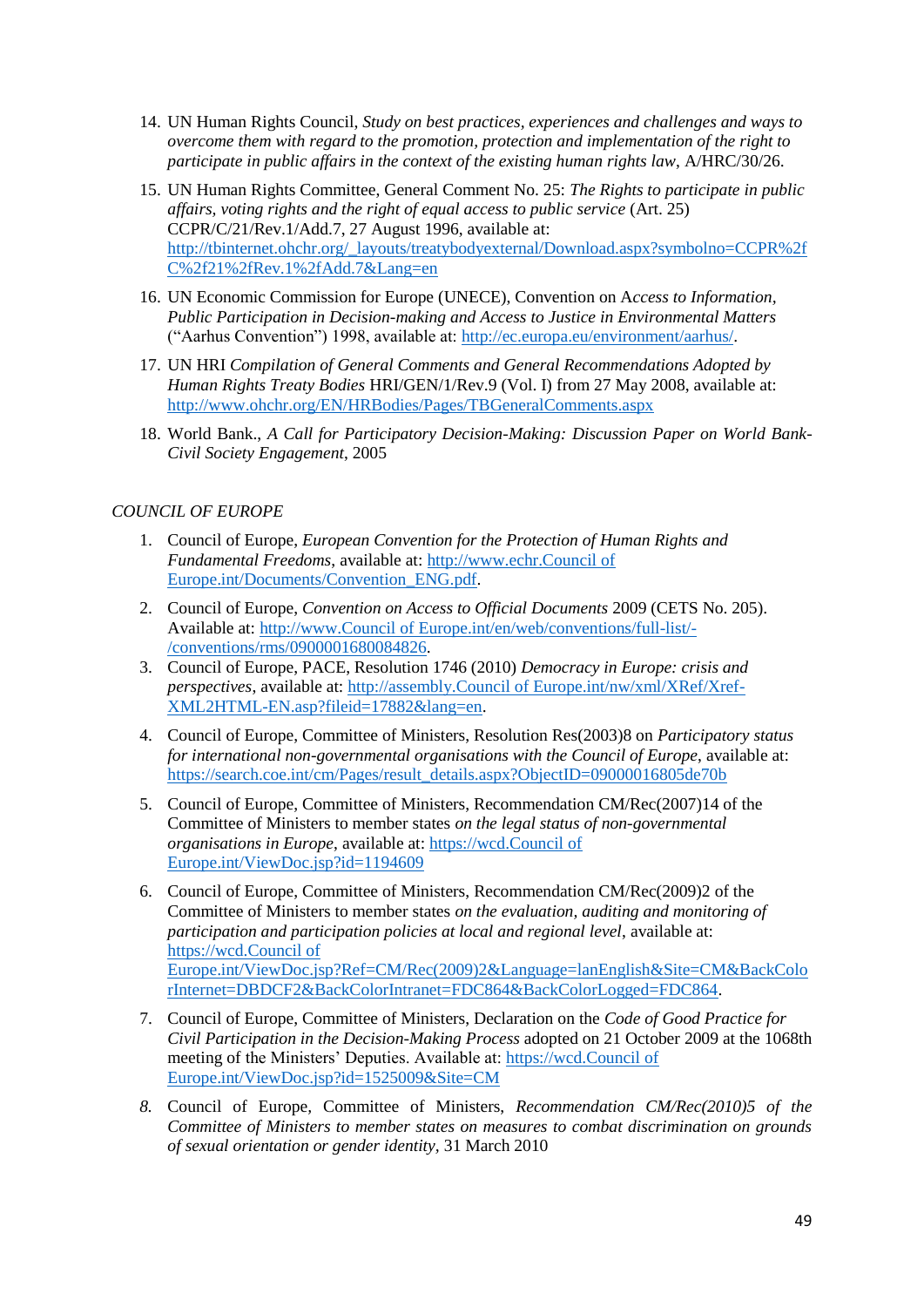- 14. UN Human Rights Council, *Study on best practices, experiences and challenges and ways to overcome them with regard to the promotion, protection and implementation of the right to participate in public affairs in the context of the existing human rights law*, A/HRC/30/26.
- 15. UN Human Rights Committee, General Comment No. 25: *The Rights to participate in public affairs, voting rights and the right of equal access to public service* (Art. 25) CCPR/C/21/Rev.1/Add.7, 27 August 1996, available at: [http://tbinternet.ohchr.org/\\_layouts/treatybodyexternal/Download.aspx?symbolno=CCPR%2f](http://tbinternet.ohchr.org/_layouts/treatybodyexternal/Download.aspx?symbolno=CCPR%2fC%2f21%2fRev.1%2fAdd.7&Lang=en) [C%2f21%2fRev.1%2fAdd.7&Lang=en](http://tbinternet.ohchr.org/_layouts/treatybodyexternal/Download.aspx?symbolno=CCPR%2fC%2f21%2fRev.1%2fAdd.7&Lang=en)
- 16. UN Economic Commission for Europe (UNECE), Convention on A*ccess to Information, Public Participation in Decision-making and Access to Justice in Environmental Matters* ("Aarhus Convention") 1998, available at: [http://ec.europa.eu/environment/aarhus/.](http://ec.europa.eu/environment/aarhus/)
- 17. UN HRI *Compilation of General Comments and General Recommendations Adopted by Human Rights Treaty Bodies* HRI/GEN/1/Rev.9 (Vol. I) from 27 May 2008, available at: <http://www.ohchr.org/EN/HRBodies/Pages/TBGeneralComments.aspx>
- 18. World Bank., *A Call for Participatory Decision-Making: Discussion Paper on World Bank-Civil Society Engagement*, 2005

### *COUNCIL OF EUROPE*

- 1. Council of Europe, *European Convention for the Protection of Human Rights and Fundamental Freedoms*, available at: [http://www.echr.Council of](http://www.echr.coe.int/Documents/Convention_ENG.pdf)  [Europe.int/Documents/Convention\\_ENG.pdf.](http://www.echr.coe.int/Documents/Convention_ENG.pdf)
- 2. Council of Europe, *Convention on Access to Official Documents* 2009 (CETS No. 205). Available at: [http://www.Council of Europe.int/en/web/conventions/full-list/-](http://www.coe.int/en/web/conventions/full-list/-/conventions/rms/0900001680084826) [/conventions/rms/0900001680084826.](http://www.coe.int/en/web/conventions/full-list/-/conventions/rms/0900001680084826)
- 3. Council of Europe, PACE, Resolution 1746 (2010) *Democracy in Europe: crisis and perspectives*, available at: [http://assembly.Council of Europe.int/nw/xml/XRef/Xref-](http://assembly.coe.int/nw/xml/XRef/Xref-XML2HTML-EN.asp?fileid=17882&lang=en)[XML2HTML-EN.asp?fileid=17882&lang=en.](http://assembly.coe.int/nw/xml/XRef/Xref-XML2HTML-EN.asp?fileid=17882&lang=en)
- 4. Council of Europe, Committee of Ministers, Resolution Res(2003)8 on *Participatory status for international non-governmental organisations with the Council of Europe*, available at: [https://search.coe.int/cm/Pages/result\\_details.aspx?ObjectID=09000016805de70b](https://search.coe.int/cm/Pages/result_details.aspx?ObjectID=09000016805de70b)
- 5. Council of Europe, Committee of Ministers, Recommendation CM/Rec(2007)14 of the Committee of Ministers to member states *on the legal status of non-governmental organisations in Europe*, available at[: https://wcd.Council of](https://wcd.coe.int/ViewDoc.jsp?id=1194609)  [Europe.int/ViewDoc.jsp?id=1194609](https://wcd.coe.int/ViewDoc.jsp?id=1194609)
- 6. Council of Europe, Committee of Ministers, Recommendation CM/Rec(2009)2 of the Committee of Ministers to member states *on the evaluation, auditing and monitoring of participation and participation policies at local and regional level*, available at: [https://wcd.Council of](https://wcd.coe.int/ViewDoc.jsp?Ref=CM/Rec(2009)2&Language=lanEnglish&Site=CM&BackColorInternet=DBDCF2&BackColorIntranet=FDC864&BackColorLogged=FDC864)  [Europe.int/ViewDoc.jsp?Ref=CM/Rec\(2009\)2&Language=lanEnglish&Site=CM&BackColo](https://wcd.coe.int/ViewDoc.jsp?Ref=CM/Rec(2009)2&Language=lanEnglish&Site=CM&BackColorInternet=DBDCF2&BackColorIntranet=FDC864&BackColorLogged=FDC864) [rInternet=DBDCF2&BackColorIntranet=FDC864&BackColorLogged=FDC864.](https://wcd.coe.int/ViewDoc.jsp?Ref=CM/Rec(2009)2&Language=lanEnglish&Site=CM&BackColorInternet=DBDCF2&BackColorIntranet=FDC864&BackColorLogged=FDC864)
- 7. Council of Europe, Committee of Ministers, Declaration on the *Code of Good Practice for Civil Participation in the Decision-Making Process* adopted on 21 October 2009 at the 1068th meeting of the Ministers' Deputies. Available at: [https://wcd.Council of](https://wcd.coe.int/ViewDoc.jsp?id=1525009&Site=CM)  [Europe.int/ViewDoc.jsp?id=1525009&Site=CM](https://wcd.coe.int/ViewDoc.jsp?id=1525009&Site=CM)
- *8.* Council of Europe*,* Committee of Ministers, *Recommendation CM/Rec(2010)5 of the Committee of Ministers to member states on measures to combat discrimination on grounds of sexual orientation or gender identity,* 31 March 2010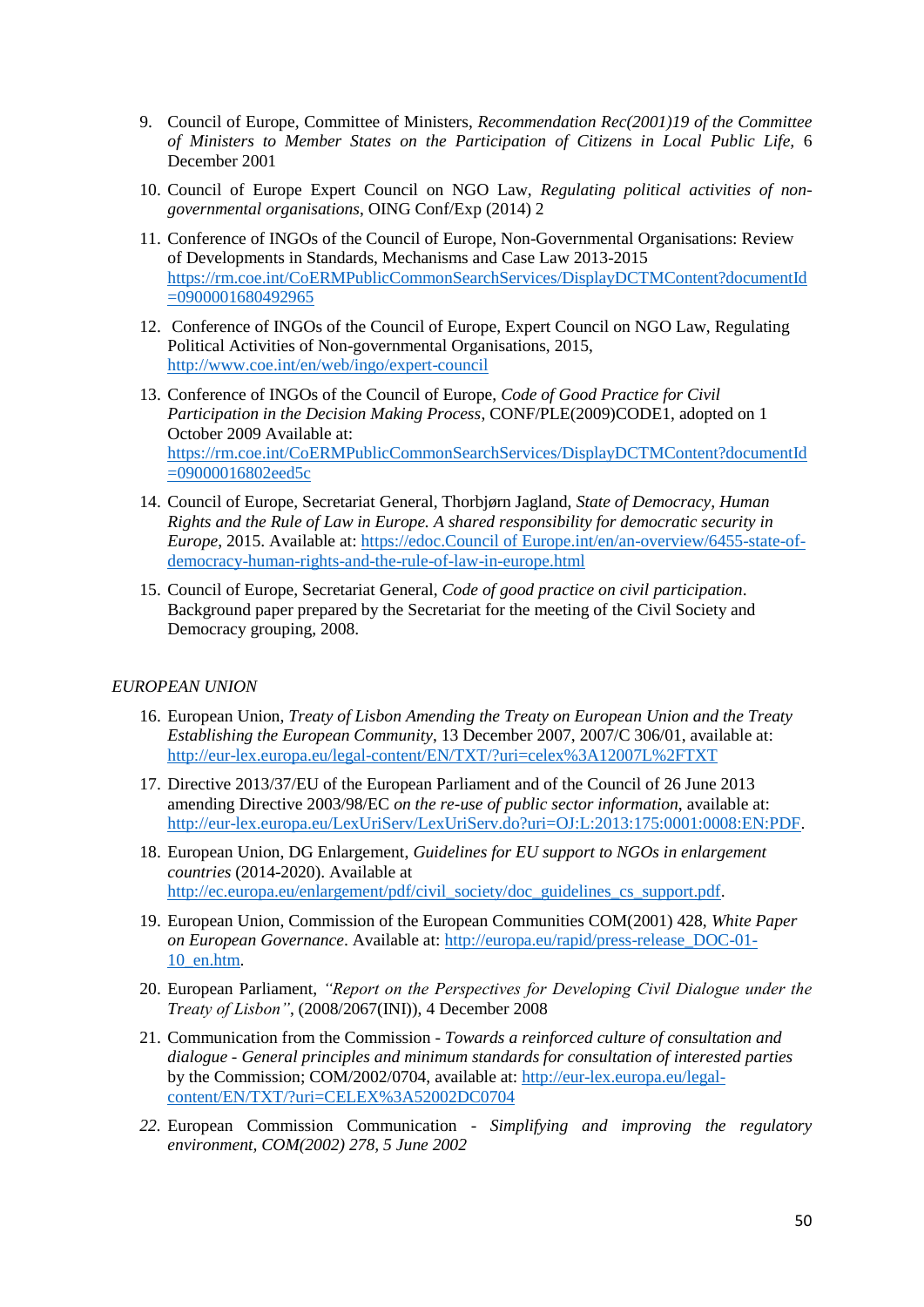- 9. Council of Europe*,* Committee of Ministers, *Recommendation Rec(2001)19 of the Committee of Ministers to Member States on the Participation of Citizens in Local Public Life,* 6 December 2001
- 10. Council of Europe Expert Council on NGO Law, *Regulating political activities of nongovernmental organisations*, OING Conf/Exp (2014) 2
- 11. Conference of INGOs of the Council of Europe, Non-Governmental Organisations: Review of Developments in Standards, Mechanisms and Case Law 2013-2015 [https://rm.coe.int/CoERMPublicCommonSearchServices/DisplayDCTMContent?documentId](https://rm.coe.int/CoERMPublicCommonSearchServices/DisplayDCTMContent?documentId=0900001680492965) [=0900001680492965](https://rm.coe.int/CoERMPublicCommonSearchServices/DisplayDCTMContent?documentId=0900001680492965)
- 12. Conference of INGOs of the Council of Europe, Expert Council on NGO Law, Regulating Political Activities of Non-governmental Organisations, 2015, <http://www.coe.int/en/web/ingo/expert-council>
- 13. Conference of INGOs of the Council of Europe, *Code of Good Practice for Civil Participation in the Decision Making Process*, CONF/PLE(2009)CODE1, adopted on 1 October 2009 Available at: [https://rm.coe.int/CoERMPublicCommonSearchServices/DisplayDCTMContent?documentId](https://rm.coe.int/CoERMPublicCommonSearchServices/DisplayDCTMContent?documentId=09000016802eed5c) [=09000016802eed5c](https://rm.coe.int/CoERMPublicCommonSearchServices/DisplayDCTMContent?documentId=09000016802eed5c)
- 14. Council of Europe, Secretariat General, Thorbjørn Jagland, *State of Democracy, Human Rights and the Rule of Law in Europe. A shared responsibility for democratic security in Europe*, 2015. Available at: [https://edoc.Council of Europe.int/en/an-overview/6455-state-of](https://edoc.coe.int/en/an-overview/6455-state-of-democracy-human-rights-and-the-rule-of-law-in-europe.html)[democracy-human-rights-and-the-rule-of-law-in-europe.html](https://edoc.coe.int/en/an-overview/6455-state-of-democracy-human-rights-and-the-rule-of-law-in-europe.html)
- 15. Council of Europe, Secretariat General, *Code of good practice on civil participation*. Background paper prepared by the Secretariat for the meeting of the Civil Society and Democracy grouping, 2008.

#### *EUROPEAN UNION*

- 16. European Union, *Treaty of Lisbon Amending the Treaty on European Union and the Treaty Establishing the European Community*, 13 December 2007, 2007/C 306/01, available at: <http://eur-lex.europa.eu/legal-content/EN/TXT/?uri=celex%3A12007L%2FTXT>
- 17. Directive 2013/37/EU of the European Parliament and of the Council of 26 June 2013 amending Directive 2003/98/EC *on the re-use of public sector information*, available at: [http://eur-lex.europa.eu/LexUriServ/LexUriServ.do?uri=OJ:L:2013:175:0001:0008:EN:PDF.](http://eur-lex.europa.eu/LexUriServ/LexUriServ.do?uri=OJ:L:2013:175:0001:0008:EN:PDF)
- 18. European Union, DG Enlargement, *Guidelines for EU support to NGOs in enlargement countries* (2014-2020). Available at [http://ec.europa.eu/enlargement/pdf/civil\\_society/doc\\_guidelines\\_cs\\_support.pdf.](http://ec.europa.eu/enlargement/pdf/civil_society/doc_guidelines_cs_support.pdf)
- 19. European Union, Commission of the European Communities COM(2001) 428, *White Paper on European Governance*. Available at: [http://europa.eu/rapid/press-release\\_DOC-01-](http://europa.eu/rapid/press-release_DOC-01-10_en.htm) [10\\_en.htm.](http://europa.eu/rapid/press-release_DOC-01-10_en.htm)
- 20. European Parliament, *"Report on the Perspectives for Developing Civil Dialogue under the Treaty of Lisbon"*, (2008/2067(INI)), 4 December 2008
- 21. Communication from the Commission *Towards a reinforced culture of consultation and dialogue - General principles and minimum standards for consultation of interested parties*  by the Commission; COM/2002/0704, available at: [http://eur-lex.europa.eu/legal](http://eur-lex.europa.eu/legal-content/EN/TXT/?uri=CELEX%3A52002DC0704)[content/EN/TXT/?uri=CELEX%3A52002DC0704](http://eur-lex.europa.eu/legal-content/EN/TXT/?uri=CELEX%3A52002DC0704)
- *22.* European Commission Communication *Simplifying and improving the regulatory environment, COM(2002) 278, 5 June 2002*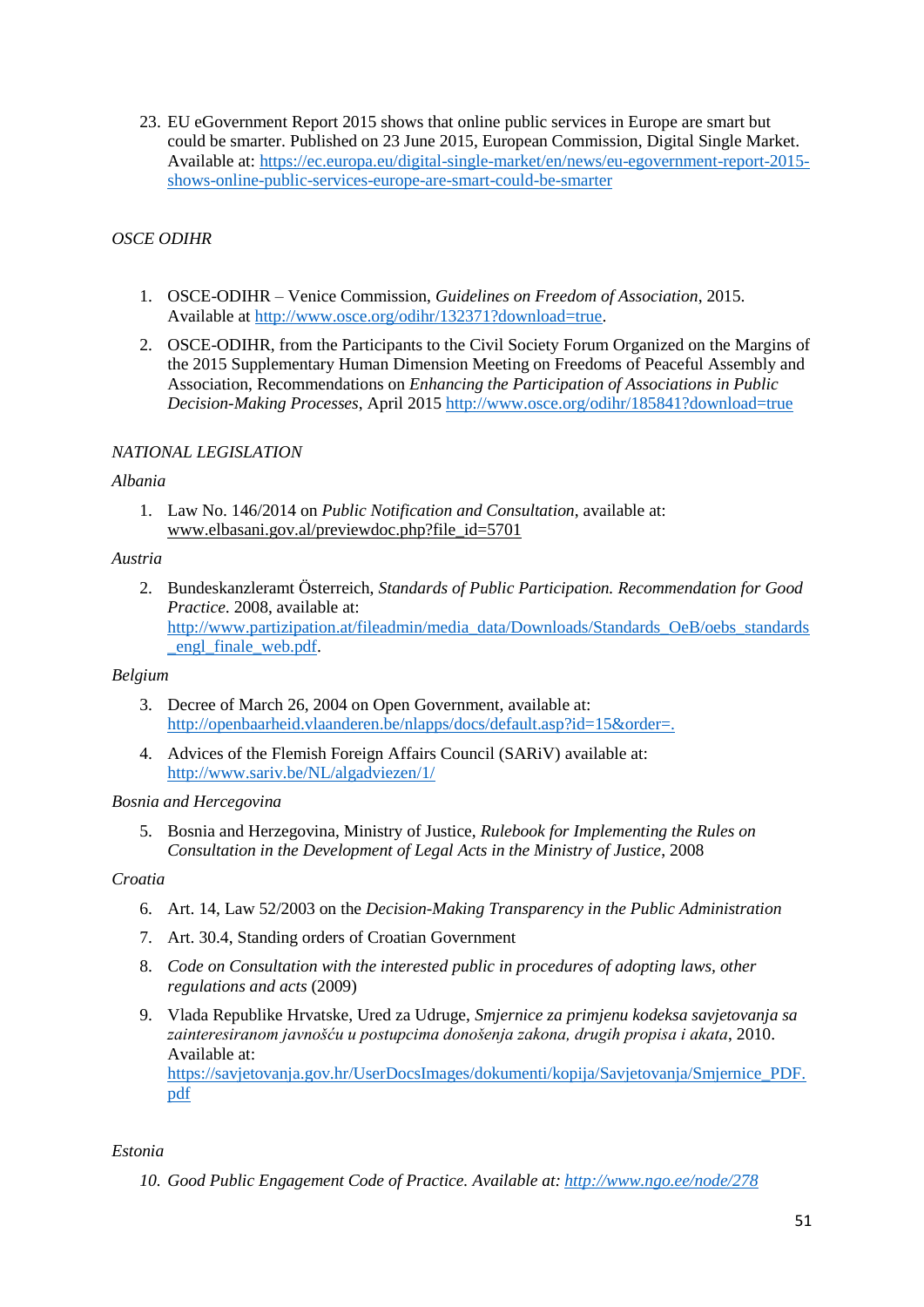23. EU eGovernment Report 2015 shows that online public services in Europe are smart but could be smarter. Published on 23 June 2015, European Commission, Digital Single Market. Available at: [https://ec.europa.eu/digital-single-market/en/news/eu-egovernment-report-2015](https://ec.europa.eu/digital-single-market/en/news/eu-egovernment-report-2015-shows-online-public-services-europe-are-smart-could-be-smarter) [shows-online-public-services-europe-are-smart-could-be-smarter](https://ec.europa.eu/digital-single-market/en/news/eu-egovernment-report-2015-shows-online-public-services-europe-are-smart-could-be-smarter)

### *OSCE ODIHR*

- 1. OSCE-ODIHR Venice Commission, *Guidelines on Freedom of Association*, 2015. Available at [http://www.osce.org/odihr/132371?download=true.](http://www.osce.org/odihr/132371?download=true)
- 2. OSCE-ODIHR, from the Participants to the Civil Society Forum Organized on the Margins of the 2015 Supplementary Human Dimension Meeting on Freedoms of Peaceful Assembly and Association, Recommendations on *Enhancing the Participation of Associations in Public Decision-Making Processes*, April 2015<http://www.osce.org/odihr/185841?download=true>

### *NATIONAL LEGISLATION*

#### *Albania*

1. Law No. 146/2014 on *Public Notification and Consultation*, available at: [www.elbasani.gov.al/previewdoc.php?file\\_id=5701](http://www.elbasani.gov.al/previewdoc.php?file_id=5701)

#### *Austria*

2. Bundeskanzleramt Österreich, *Standards of Public Participation. Recommendation for Good Practice*. 2008, available at: [http://www.partizipation.at/fileadmin/media\\_data/Downloads/Standards\\_OeB/oebs\\_standards](http://www.partizipation.at/fileadmin/media_data/Downloads/Standards_OeB/oebs_standards_engl_finale_web.pdf) [\\_engl\\_finale\\_web.pdf.](http://www.partizipation.at/fileadmin/media_data/Downloads/Standards_OeB/oebs_standards_engl_finale_web.pdf)

### *Belgium*

- 3. Decree of March 26, 2004 on Open Government, available at: [http://openbaarheid.vlaanderen.be/nlapps/docs/default.asp?id=15&order=.](http://openbaarheid.vlaanderen.be/nlapps/docs/default.asp?id=15&order=)
- 4. Advices of the Flemish Foreign Affairs Council (SARiV) available at: <http://www.sariv.be/NL/algadviezen/1/>

#### *Bosnia and Hercegovina*

5. Bosnia and Herzegovina, Ministry of Justice, *Rulebook for Implementing the Rules on Consultation in the Development of Legal Acts in the Ministry of Justice*, 2008

#### *Croatia*

- 6. Art. 14, Law 52/2003 on the *Decision-Making Transparency in the Public Administration*
- 7. Art. 30.4, Standing orders of Croatian Government
- 8. *Code on Consultation with the interested public in procedures of adopting laws, other regulations and acts* (2009)
- 9. Vlada Republike Hrvatske, Ured za Udruge, *Smjernice za primjenu kodeksa savjetovanja sa zainteresiranom javnošću u postupcima donošenja zakona, drugih propisa i akata*, 2010. Available at: [https://savjetovanja.gov.hr/UserDocsImages/dokumenti/kopija/Savjetovanja/Smjernice\\_PDF.](https://savjetovanja.gov.hr/UserDocsImages/dokumenti/kopija/Savjetovanja/Smjernice_PDF.pdf) [pdf](https://savjetovanja.gov.hr/UserDocsImages/dokumenti/kopija/Savjetovanja/Smjernice_PDF.pdf)

### *Estonia*

*10. Good Public Engagement Code of Practice. Available at: <http://www.ngo.ee/node/278>*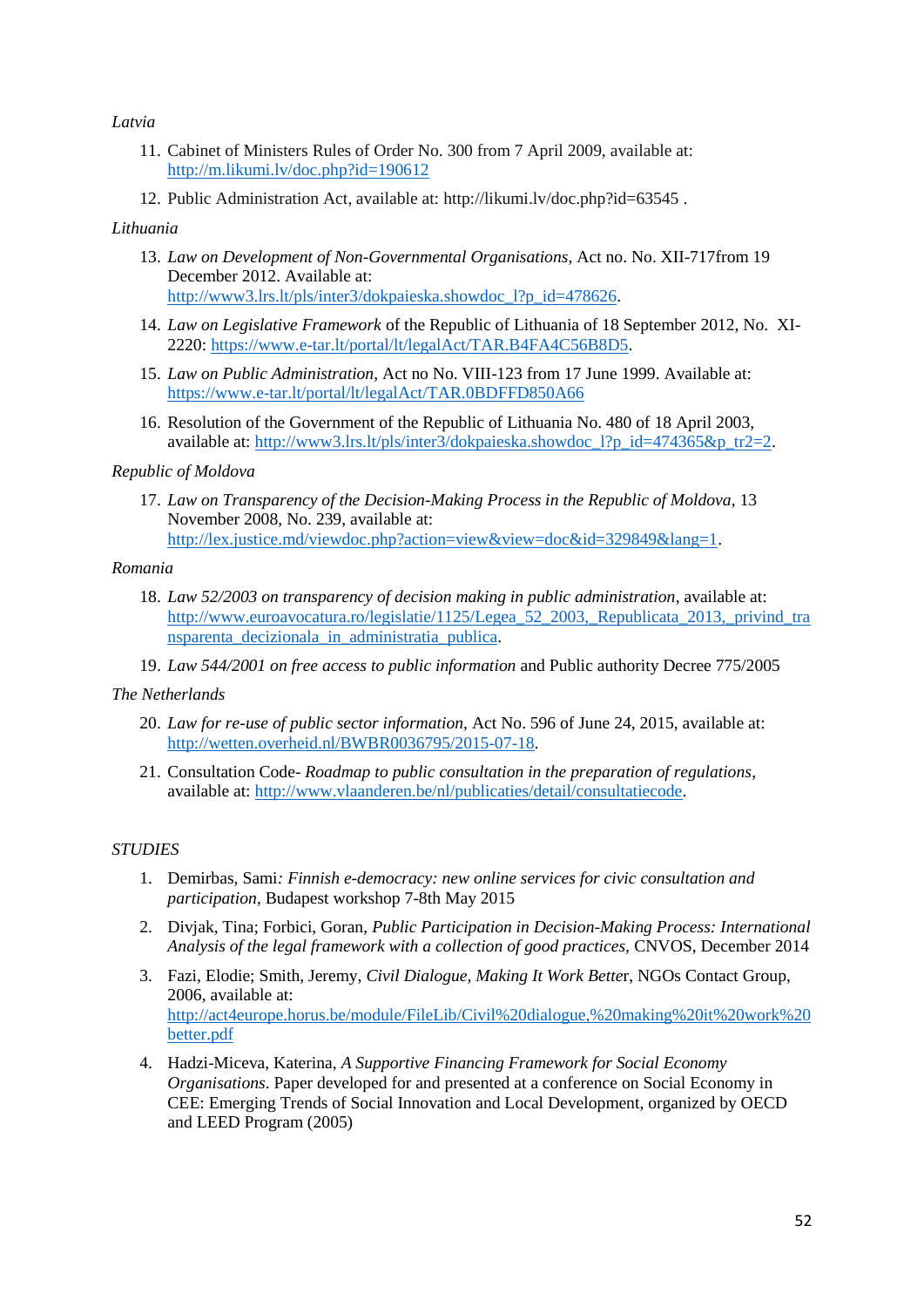### *Latvia*

- 11. Cabinet of Ministers Rules of Order No. 300 from 7 April 2009, available at: <http://m.likumi.lv/doc.php?id=190612>
- 12. Public Administration Act, available at:<http://likumi.lv/doc.php?id=63545> .

#### *Lithuania*

- 13. *Law on Development of Non-Governmental Organisations*, Act no. No. XII-717from 19 December 2012. Available at: [http://www3.lrs.lt/pls/inter3/dokpaieska.showdoc\\_l?p\\_id=478626.](http://www3.lrs.lt/pls/inter3/dokpaieska.showdoc_l?p_id=478626)
- 14. *Law on Legislative Framework* of the Republic of Lithuania of 18 September 2012, No. XI-2220: [https://www.e-tar.lt/portal/lt/legalAct/TAR.B4FA4C56B8D5.](https://www.e-tar.lt/portal/lt/legalAct/TAR.B4FA4C56B8D5)
- 15. *Law on Public Administration*, Act no No. VIII-123 from 17 June 1999. Available at: <https://www.e-tar.lt/portal/lt/legalAct/TAR.0BDFFD850A66>
- 16. Resolution of the Government of the Republic of Lithuania No. 480 of 18 April 2003, available at: [http://www3.lrs.lt/pls/inter3/dokpaieska.showdoc\\_l?p\\_id=474365&p\\_tr2=2.](http://www3.lrs.lt/pls/inter3/dokpaieska.showdoc_l?p_id=474365&p_tr2=2)

#### *Republic of Moldova*

17. *Law on Transparency of the Decision-Making Process in the Republic of Moldova*, 13 November 2008, No. 239, available at: [http://lex.justice.md/viewdoc.php?action=view&view=doc&id=329849&lang=1.](http://lex.justice.md/viewdoc.php?action=view&view=doc&id=329849&lang=1)

#### *Romania*

- 18. *Law 52/2003 on transparency of decision making in public administration*, available at: http://www.euroavocatura.ro/legislatie/1125/Legea 52 2003, Republicata 2013, privind tra [nsparenta\\_decizionala\\_in\\_administratia\\_publica.](http://www.euroavocatura.ro/legislatie/1125/Legea_52_2003,_Republicata_2013,_privind_transparenta_decizionala_in_administratia_publica)
- 19. *Law 544/2001 on free access to public information* and Public authority Decree 775/2005

#### *The Netherlands*

- 20. *Law for re-use of public sector information*, Act No. 596 of June 24, 2015, available at: [http://wetten.overheid.nl/BWBR0036795/2015-07-18.](http://wetten.overheid.nl/BWBR0036795/2015-07-18)
- 21. Consultation Code- *Roadmap to public consultation in the preparation of regulations*, available at: [http://www.vlaanderen.be/nl/publicaties/detail/consultatiecode.](http://www.vlaanderen.be/nl/publicaties/detail/consultatiecode)

#### *STUDIES*

- 1. Demirbas, Sami*: Finnish e-democracy: new online services for civic consultation and participation*, Budapest workshop 7-8th May 2015
- 2. Divjak, Tina; Forbici, Goran, *Public Participation in Decision-Making Process: International Analysis of the legal framework with a collection of good practices,* CNVOS, December 2014
- 3. Fazi, Elodie; Smith, Jeremy, *Civil Dialogue, Making It Work Bette*r, NGOs Contact Group, 2006, available at: [http://act4europe.horus.be/module/FileLib/Civil%20dialogue,%20making%20it%20work%20](http://act4europe.horus.be/module/FileLib/Civil%20dialogue,%20making%20it%20work%20better.pdf) [better.pdf](http://act4europe.horus.be/module/FileLib/Civil%20dialogue,%20making%20it%20work%20better.pdf)
- 4. Hadzi-Miceva, Katerina, *A Supportive Financing Framework for Social Economy Organisations*. Paper developed for and presented at a conference on Social Economy in CEE: Emerging Trends of Social Innovation and Local Development, organized by OECD and LEED Program (2005)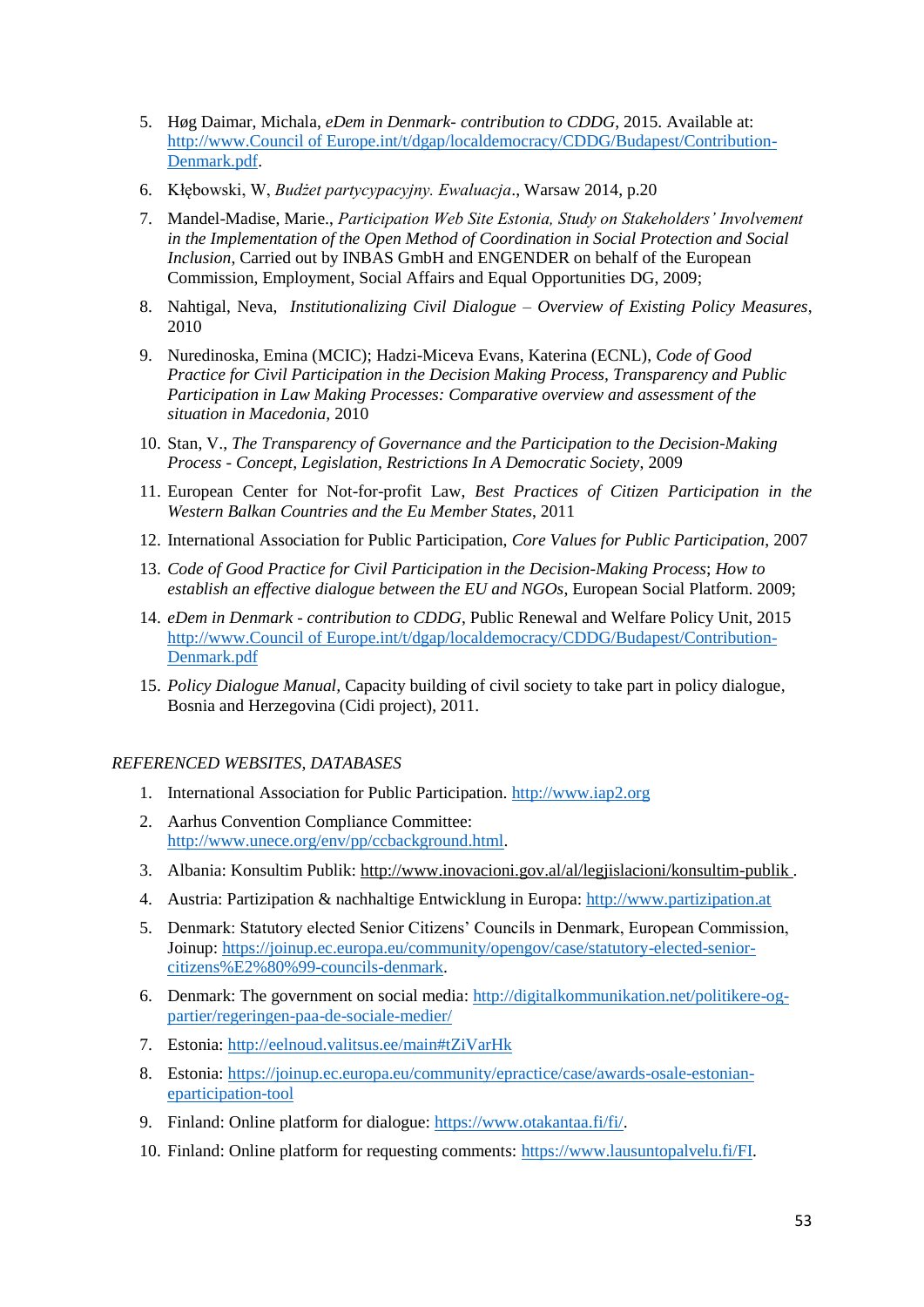- 5. Høg Daimar, Michala, *eDem in Denmark- contribution to CDDG*, 2015. Available at: [http://www.Council of Europe.int/t/dgap/localdemocracy/CDDG/Budapest/Contribution-](http://www.coe.int/t/dgap/localdemocracy/CDDG/Budapest/Contribution-Denmark.pdf)[Denmark.pdf.](http://www.coe.int/t/dgap/localdemocracy/CDDG/Budapest/Contribution-Denmark.pdf)
- 6. Kłębowski, W, *Budżet partycypacyjny. Ewaluacja*., Warsaw 2014, p.20
- 7. Mandel-Madise, Marie., *Participation Web Site Estonia, Study on Stakeholders' Involvement in the Implementation of the Open Method of Coordination in Social Protection and Social Inclusion*, Carried out by INBAS GmbH and ENGENDER on behalf of the European Commission, Employment, Social Affairs and Equal Opportunities DG, 2009;
- 8. Nahtigal, Neva, *Institutionalizing Civil Dialogue – Overview of Existing Policy Measures*, 2010
- 9. Nuredinoska, Emina (MCIC); Hadzi-Miceva Evans, Katerina (ECNL), *Code of Good Practice for Civil Participation in the Decision Making Process, Transparency and Public Participation in Law Making Processes: Comparative overview and assessment of the situation in Macedonia,* 2010
- 10. Stan, V., *The Transparency of Governance and the Participation to the Decision-Making Process - Concept, Legislation, Restrictions In A Democratic Society*, 2009
- 11. European Center for Not-for-profit Law, *Best Practices of Citizen Participation in the Western Balkan Countries and the Eu Member States*, 2011
- 12. International Association for Public Participation, *Core Values for Public Participation*, 2007
- 13. *Code of Good Practice for Civil Participation in the Decision-Making Process*; *How to establish an effective dialogue between the EU and NGOs*, European Social Platform. 2009;
- 14. *eDem in Denmark - contribution to CDDG*, Public Renewal and Welfare Policy Unit, 2015 [http://www.Council of Europe.int/t/dgap/localdemocracy/CDDG/Budapest/Contribution-](http://www.coe.int/t/dgap/localdemocracy/CDDG/Budapest/Contribution-Denmark.pdf)[Denmark.pdf](http://www.coe.int/t/dgap/localdemocracy/CDDG/Budapest/Contribution-Denmark.pdf)
- 15. *Policy Dialogue Manual,* Capacity building of civil society to take part in policy dialogue*,* Bosnia and Herzegovina (Cidi project), 2011.

### *REFERENCED WEBSITES, DATABASES*

- 1. International Association for Public Participation. [http://www.iap2.org](http://www.iap2.org/)
- 2. Aarhus Convention Compliance Committee: [http://www.unece.org/env/pp/ccbackground.html.](http://www.unece.org/env/pp/ccbackground.html)
- 3. Albania: Konsultim Publik:<http://www.inovacioni.gov.al/al/legjislacioni/konsultim-publik> .
- 4. Austria: Partizipation & nachhaltige Entwicklung in Europa: [http://www.partizipation.at](http://www.partizipation.at/)
- 5. Denmark: Statutory elected Senior Citizens' Councils in Denmark, European Commission, Joinup: [https://joinup.ec.europa.eu/community/opengov/case/statutory-elected-senior](https://joinup.ec.europa.eu/community/opengov/case/statutory-elected-senior-citizens%E2%80%99-councils-denmark)[citizens%E2%80%99-councils-denmark.](https://joinup.ec.europa.eu/community/opengov/case/statutory-elected-senior-citizens%E2%80%99-councils-denmark)
- 6. Denmark: The government on social media: [http://digitalkommunikation.net/politikere-og](http://digitalkommunikation.net/politikere-og-partier/regeringen-paa-de-sociale-medier/)[partier/regeringen-paa-de-sociale-medier/](http://digitalkommunikation.net/politikere-og-partier/regeringen-paa-de-sociale-medier/)
- 7. Estonia:<http://eelnoud.valitsus.ee/main#tZiVarHk>
- 8. Estonia: [https://joinup.ec.europa.eu/community/epractice/case/awards-osale-estonian](https://joinup.ec.europa.eu/community/epractice/case/awards-osale-estonian-eparticipation-tool)[eparticipation-tool](https://joinup.ec.europa.eu/community/epractice/case/awards-osale-estonian-eparticipation-tool)
- 9. Finland: Online platform for dialogue: [https://www.otakantaa.fi/fi/.](https://www.otakantaa.fi/fi/)
- 10. Finland: Online platform for requesting comments: [https://www.lausuntopalvelu.fi/FI.](https://www.lausuntopalvelu.fi/FI)